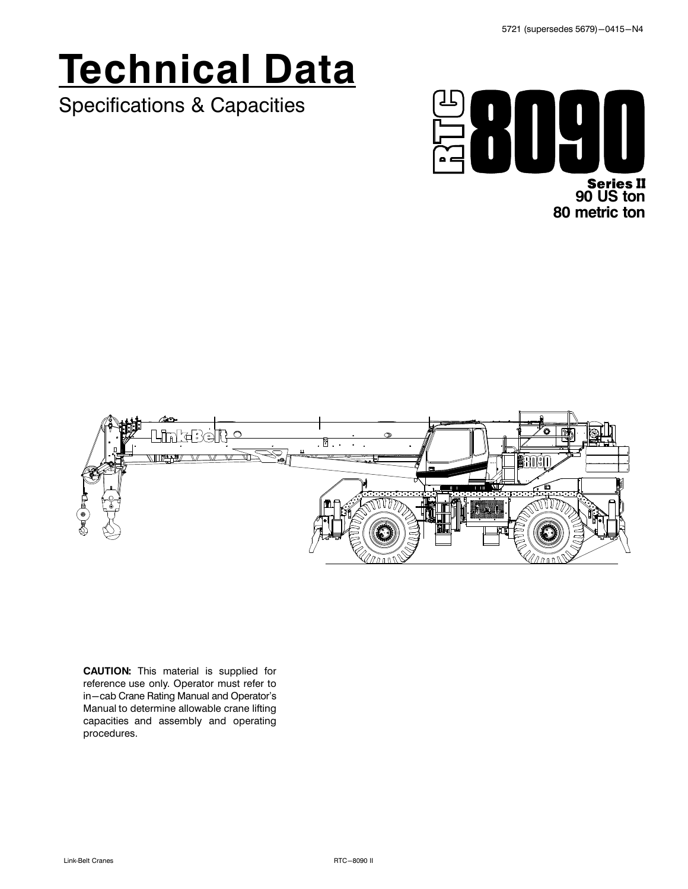# **Technical Data**

Specifications & Capacities





**CAUTION:** This material is supplied for reference use only. Operator must refer to in-cab Crane Rating Manual and Operator's Manual to determine allowable crane lifting capacities and assembly and operating procedures.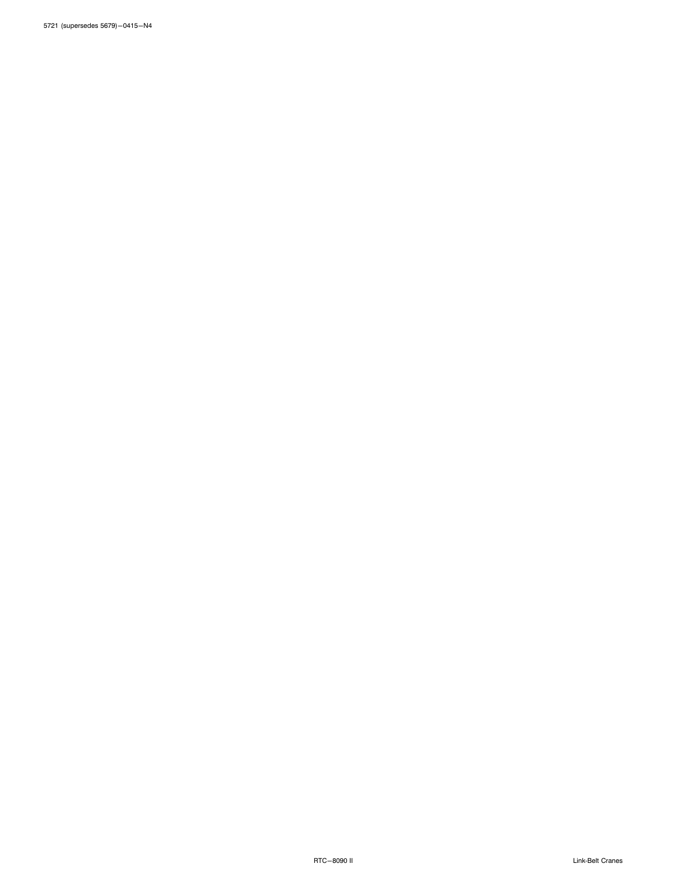5721 (supersedes 5679)-0415-N4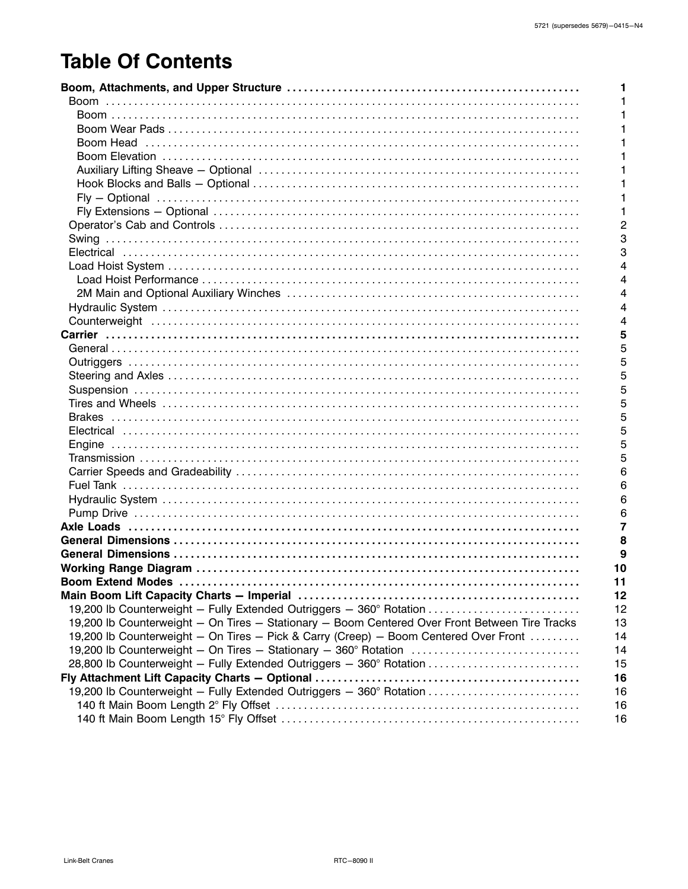### **Table Of Contents**

|                                                                                                | 1              |
|------------------------------------------------------------------------------------------------|----------------|
|                                                                                                | $\overline{2}$ |
|                                                                                                | 3              |
|                                                                                                | 3              |
|                                                                                                | 4              |
|                                                                                                | 4              |
|                                                                                                |                |
|                                                                                                | 4              |
|                                                                                                | 4              |
|                                                                                                | 4              |
|                                                                                                | 5              |
|                                                                                                | 5              |
|                                                                                                | 5              |
|                                                                                                | 5              |
|                                                                                                | 5              |
|                                                                                                | 5              |
|                                                                                                | 5              |
|                                                                                                | 5              |
|                                                                                                | 5              |
|                                                                                                | 5              |
|                                                                                                | 6              |
|                                                                                                | 6              |
|                                                                                                | 6              |
|                                                                                                | 6              |
|                                                                                                | 7              |
|                                                                                                | 8              |
|                                                                                                | 9              |
|                                                                                                | 10             |
|                                                                                                | 11             |
|                                                                                                | 12             |
| 19,200 lb Counterweight - Fully Extended Outriggers - 360° Rotation                            | 12             |
| 19,200 lb Counterweight - On Tires - Stationary - Boom Centered Over Front Between Tire Tracks | 13             |
|                                                                                                |                |
| 19,200 lb Counterweight - On Tires - Pick & Carry (Creep) - Boom Centered Over Front           | 14             |
|                                                                                                | 14             |
| 28,800 lb Counterweight - Fully Extended Outriggers - 360° Rotation                            | 15             |
|                                                                                                | 16             |
| 19,200 lb Counterweight - Fully Extended Outriggers - 360° Rotation                            | 16             |
|                                                                                                | 16             |
|                                                                                                | 16             |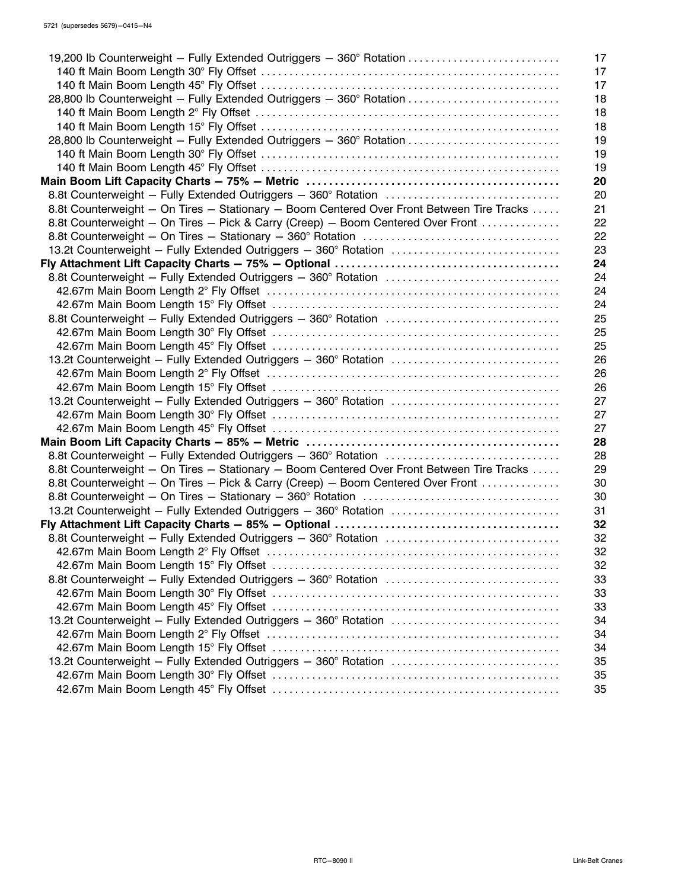| 19,200 lb Counterweight - Fully Extended Outriggers - 360° Rotation                       | 17 |
|-------------------------------------------------------------------------------------------|----|
|                                                                                           | 17 |
|                                                                                           | 17 |
| 28,800 lb Counterweight - Fully Extended Outriggers - 360° Rotation                       | 18 |
|                                                                                           | 18 |
|                                                                                           | 18 |
| 28,800 lb Counterweight - Fully Extended Outriggers - 360° Rotation                       | 19 |
|                                                                                           | 19 |
|                                                                                           | 19 |
|                                                                                           | 20 |
|                                                                                           | 20 |
| 8.8t Counterweight - On Tires - Stationary - Boom Centered Over Front Between Tire Tracks | 21 |
| 8.8t Counterweight - On Tires - Pick & Carry (Creep) - Boom Centered Over Front           | 22 |
|                                                                                           | 22 |
| 13.2t Counterweight - Fully Extended Outriggers - 360° Rotation                           | 23 |
|                                                                                           | 24 |
|                                                                                           | 24 |
|                                                                                           | 24 |
|                                                                                           | 24 |
|                                                                                           | 25 |
|                                                                                           | 25 |
|                                                                                           | 25 |
| 13.2t Counterweight - Fully Extended Outriggers - 360° Rotation                           | 26 |
|                                                                                           | 26 |
|                                                                                           | 26 |
| 13.2t Counterweight - Fully Extended Outriggers - 360° Rotation                           | 27 |
|                                                                                           | 27 |
|                                                                                           | 27 |
|                                                                                           | 28 |
|                                                                                           | 28 |
| 8.8t Counterweight - On Tires - Stationary - Boom Centered Over Front Between Tire Tracks | 29 |
| 8.8t Counterweight - On Tires - Pick & Carry (Creep) - Boom Centered Over Front           | 30 |
|                                                                                           | 30 |
| 13.2t Counterweight - Fully Extended Outriggers - 360° Rotation                           | 31 |
|                                                                                           | 32 |
|                                                                                           | 32 |
|                                                                                           | 32 |
|                                                                                           | 32 |
|                                                                                           | 33 |
|                                                                                           | 33 |
|                                                                                           | 33 |
| 13.2t Counterweight - Fully Extended Outriggers - 360° Rotation                           | 34 |
|                                                                                           | 34 |
|                                                                                           | 34 |
|                                                                                           | 35 |
|                                                                                           | 35 |
|                                                                                           | 35 |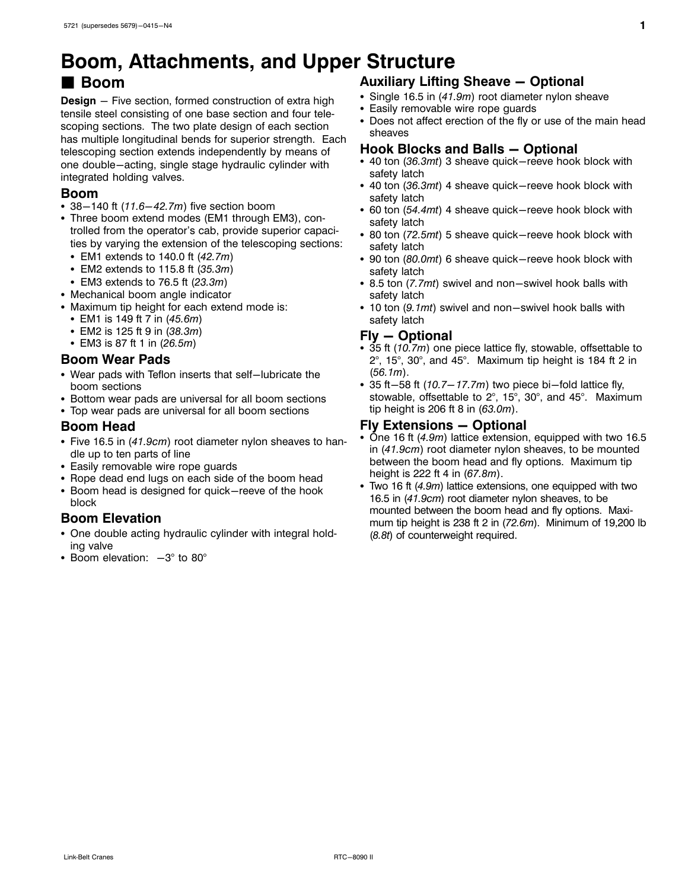## <span id="page-4-0"></span>**Boom, Attachments, and Upper Structure**

#### - **Boom**

**Design** - Five section, formed construction of extra high tensile steel consisting of one base section and four telescoping sections. The two plate design of each section has multiple longitudinal bends for superior strength. Each telescoping section extends independently by means of one double-acting, single stage hydraulic cylinder with integrated holding valves.

#### **Boom**

- 38–140 ft (*11.6–42.7m*) five section boom<br>• Three boom extend modes (FM1 through I
- Three boom extend modes (EM1 through EM3), controlled from the operator's cab, provide superior capacities by varying the extension of the telescoping sections:
	- EM1 extends to 140.0 ft (*42.7m*)
	- EM2 extends to 115.8 ft (*35.3m*)
	- EM3 extends to 76.5 ft (*23.3m*)
- Mechanical boom angle indicator
- Maximum tip height for each extend mode is:
	- EM1 is 149 ft 7 in (*45.6m*)
	- EM2 is 125 ft 9 in (*38.3m*)
	- EM3 is 87 ft 1 in (*26.5m*)

#### **Boom Wear Pads**

- Wear pads with Teflon inserts that self-lubricate the boom sections
- Bottom wear pads are universal for all boom sections
- Top wear pads are universal for all boom sections

#### **Boom Head**

- Five 16.5 in (*41.9cm*) root diameter nylon sheaves to handle up to ten parts of line
- Easily removable wire rope guards
- Rope dead end lugs on each side of the boom head
- Boom head is designed for quick-reeve of the hook block

#### **Boom Elevation**

- One double acting hydraulic cylinder with integral holding valve
- $\bullet$  Boom elevation:  $-3^{\circ}$  to 80°

#### **Auxiliary Lifting Sheave - Optional**

- Single 16.5 in (41.9*m*) root diameter nylon sheave<br>• Easily removable wire rone quards
- $\bullet$ Easily removable wire rope guards
- Does not affect erection of the fly or use of the main head sheaves

#### **Hook Blocks and Balls - Optional**

- 40 ton (*36.3mt*) 3 sheave quick-reeve hook block with safety latch
- 40 ton (*36.3mt*) 4 sheave quick-reeve hook block with safety latch
- 60 ton (54.4mt) 4 sheave quick-reeve hook block with<br>safety latch safety latch
- 80 ton (*72.5mt*) 5 sheave quick-reeve hook block with safety latch
- 90 ton (*80.0mt*) 6 sheave quick-reeve hook block with safety latch
- 8.5 ton (*7.7mt*) swivel and non-swivel hook balls with safety latch
- 10 ton (9.1mt) swivel and non-swivel hook balls with safety latch safety latch

#### **Fly - Optional**

- 35 ft (*10.7m*) one piece lattice fly, stowable, offsettable to<br>2° 15° 30° and 45° Maximum tip height is 184 ft 2 in 2°, 15°, 30°, and 45°. Maximum tip height is 184 ft 2 in
- (*56.1m*). 35 ft-58 ft (*10.7-17.7m*) two piece bi-fold lattice fly, stowable, offsettable to 2°, 15°, 30°, and 45°. Maximum tip height is 206 ft 8 in (*63.0m*).

#### **Fly Extensions - Optional**

- One 16 ft (*4.9m*) lattice extension, equipped with two 16.5<br>in (41.9cm) root diameter nylon sheaves to be mounted in (*41.9cm*) root diameter nylon sheaves, to be mounted between the boom head and fly options. Maximum tip height is 222 ft 4 in (*67.8m*).
- - Two 16 ft (*4.9m*) lattice extensions, one equipped with two 16.5 in (*41.9cm*) root diameter nylon sheaves, to be mounted between the boom head and fly options. Maximum tip height is 238 ft 2 in (*72.6m*). Minimum of 19,200 lb (*8.8t*) of counterweight required.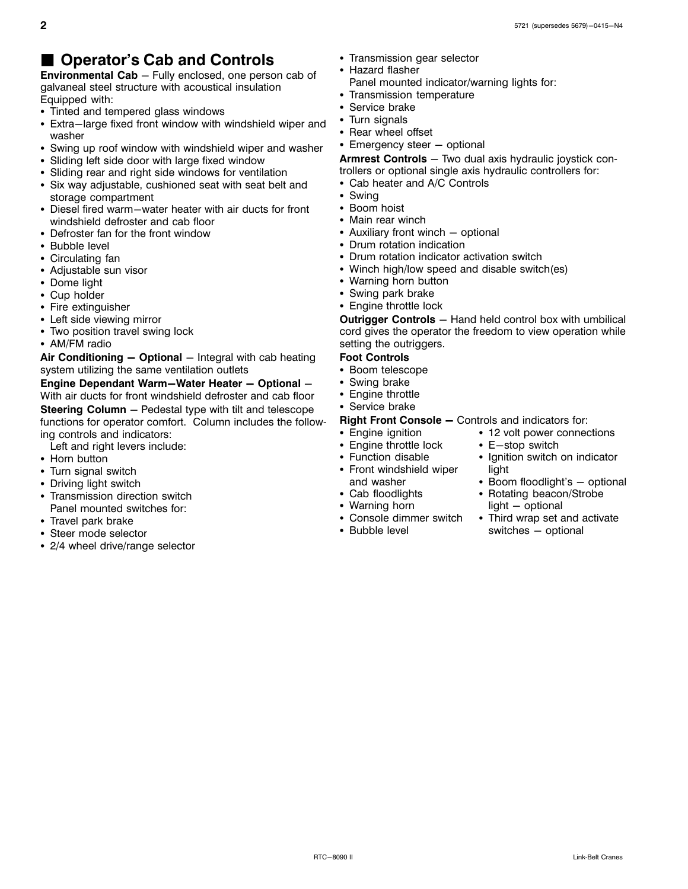#### <span id="page-5-0"></span>■ Operator's Cab and Controls

**Environmental Cab** - Fully enclosed, one person cab of galvaneal steel structure with acoustical insulation Equipped with:

- Tinted and tempered glass windows
- Extra-large fixed front window with windshield wiper and washer
- Swing up roof window with windshield wiper and washer
- Sliding left side door with large fixed window
- Sliding rear and right side windows for ventilation
- Six way adjustable, cushioned seat with seat belt and storage compartment
- Diesel fired warm-water heater with air ducts for front windshield defroster and cab floor
- Defroster fan for the front window
- Bubble level
- Circulating fan
- Adjustable sun visor
- Dome light
- Cup holder
- Fire extinguisher
- Left side viewing mirror
- Two position travel swing lock
- AM/FM radio

Air Conditioning - Optional - Integral with cab heating system utilizing the same ventilation outlets

**Engine Dependant Warm-Water Heater - Optional -**With air ducts for front windshield defroster and cab floor **Steering Column** - Pedestal type with tilt and telescope functions for operator comfort. Column includes the following controls and indicators:

Left and right levers include:

- Horn button
- Turn signal switch
- Driving light switch
- Transmission direction switch Panel mounted switches for:
- Travel park brake
- Steer mode selector
- 2/4 wheel drive/range selector
- Transmission gear selector
- Hazard flasher
- Panel mounted indicator/warning lights for:
- Transmission temperature
- Service brake
- Turn signals
- Rear wheel offset
- Emergency steer optional

**Armrest Controls** - Two dual axis hydraulic joystick controllers or optional single axis hydraulic controllers for:

- Cab heater and A/C Controls
- Swing
- Boom hoist
- Main rear winch
- Auxiliary front winch optional
- Drum rotation indication
- Drum rotation indicator activation switch
- Winch high/low speed and disable switch(es)
- Warning horn button
- Swing park brake
- Engine throttle lock

**Outrigger Controls** - Hand held control box with umbilical cord gives the operator the freedom to view operation while setting the outriggers.

#### **Foot Controls**

- Boom telescope
- Swing brake
- Engine throttle
- Service brake
- **Right Front Console Controls and indicators for:**
- Engine ignition •
- Engine throttle lock •
- Function disable •
- Front windshield wiper light and washer
- Cab floodlights •
- 
- Console dimmer switch •
- Bubble level
- 12 volt power connections
- E-stop switch
- Ignition switch on indicator
- Boom floodlight's optional
- Rotating beacon/Strobe • Warning horn light - optional
	- Third wrap set and activate  $switches - optional$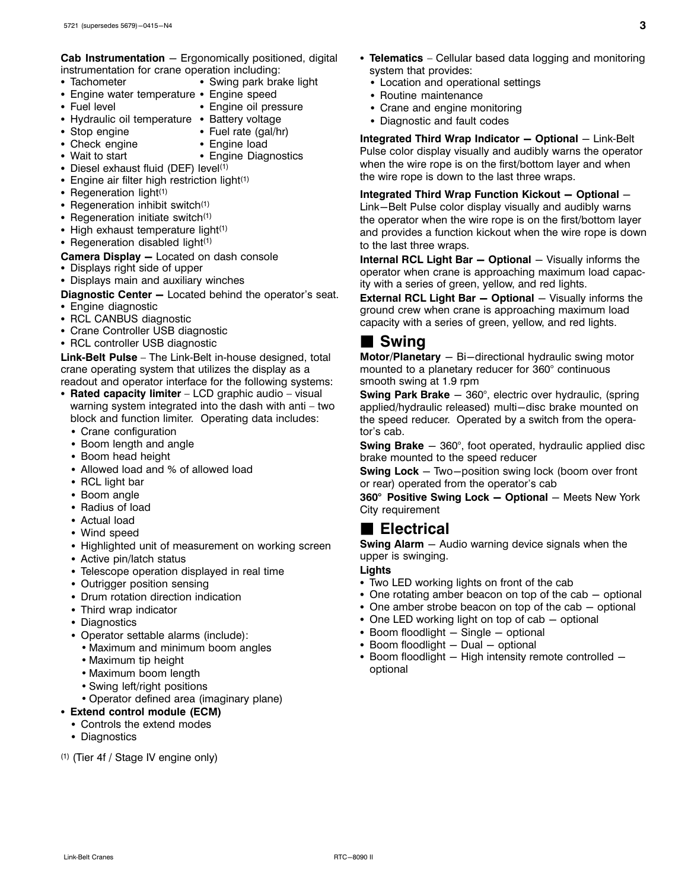<span id="page-6-0"></span>**Cab Instrumentation** - Ergonomically positioned, digital instrumentation for crane operation including:

- Tachometer **-**
- Swing park brake light • Engine water temperature • Engine speed
- Fuel level • Engine oil pressure
- Hydraulic oil temperature Battery voltage
- Stop engine •
	- Fuel rate (gal/hr)
- Check engine • Engine load
- Wait to start
	- Engine Diagnostics
- Diesel exhaust fluid (DEF) level<sup>(1)</sup> • Engine air filter high restriction light<sup>(1)</sup>
- · Regeneration light(1)
- Regeneration inhibit switch<sup>(1)</sup>
- Regeneration initiate switch<sup>(1)</sup>
- High exhaust temperature light<sup>(1)</sup>
- Regeneration disabled light(1)
- **Camera Display Located on dash console**
- Displays right side of upper
- Displays main and auxiliary winches
- **Diagnostic Center Located behind the operator's seat.**
- Engine diagnostic
- RCL CANBUS diagnostic
- Crane Controller USB diagnostic
- RCL controller USB diagnostic

**Link-Belt Pulse** – The Link-Belt in-house designed, total crane operating system that utilizes the display as a readout and operator interface for the following systems:

- **Rated capacity limiter** LCD graphic audio visual warning system integrated into the dash with anti – two block and function limiter. Operating data includes:
	- Crane configuration
	- Boom length and angle
	- Boom head height
	- Allowed load and % of allowed load
	- RCL light bar
	- Boom angle
	- Radius of load
	- Actual load
	- Wind speed
	- Highlighted unit of measurement on working screen
	- Active pin/latch status
	- Telescope operation displayed in real time
	- Outrigger position sensing
	- Drum rotation direction indication
	- Third wrap indicator
	- Diagnostics
	- Operator settable alarms (include):
		- Maximum and minimum boom angles
		- Maximum tip height
		- Maximum boom length
		- Swing left/right positions
		- Operator defined area (imaginary plane)
- **Extend control module (ECM)**
	- Controls the extend modes
	- Diagnostics

(1) (Tier 4f / Stage IV engine only)

- **Telematics** Cellular based data logging and monitoring system that provides:
	- Location and operational settings
	- Routine maintenance
	- Crane and engine monitoring
	- Diagnostic and fault codes

**Integrated Third Wrap Indicator - Optional** - Link-Belt Pulse color display visually and audibly warns the operator when the wire rope is on the first/bottom layer and when the wire rope is down to the last three wraps.

#### **Integrated Third Wrap Function Kickout - Optional -**

Link-Belt Pulse color display visually and audibly warns the operator when the wire rope is on the first/bottom layer and provides a function kickout when the wire rope is down to the last three wraps.

**Internal RCL Light Bar - Optional** - Visually informs the operator when crane is approaching maximum load capacity with a series of green, yellow, and red lights.

**External RCL Light Bar - Optional** - Visually informs the ground crew when crane is approaching maximum load capacity with a series of green, yellow, and red lights.

#### ■ Swing

**Motor/Planetary** - Bi-directional hydraulic swing motor mounted to a planetary reducer for 360° continuous smooth swing at 1.9 rpm

**Swing Park Brake** - 360°, electric over hydraulic, (spring applied/hydraulic released) multi-disc brake mounted on the speed reducer. Operated by a switch from the operator's cab.

**Swing Brake** – 360°, foot operated, hydraulic applied disc brake mounted to the speed reducer

**Swing Lock** – Two-position swing lock (boom over front or rear) operated from the operator's cab

**360° Positive Swing Lock - Optional** - Meets New York City requirement

#### - **Electrical**

**Swing Alarm** - Audio warning device signals when the upper is swinging.

- **Lights**
- Two LED working lights on front of the cab
- One rotating amber beacon on top of the cab optional
- One amber strobe beacon on top of the cab optional
- One LED working light on top of cab optional
- Boom floodlight Single optional
- Boom floodlight Dual optional
- Boom floodlight High intensity remote controlled optional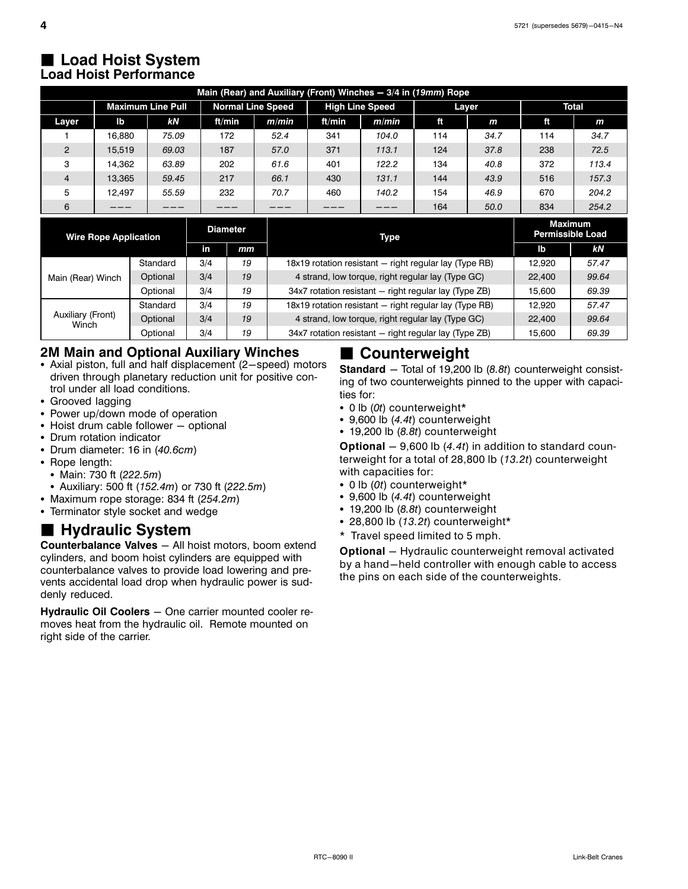#### <span id="page-7-0"></span>- **Load Hoist System Load Hoist Performance**

|                | Main (Rear) and Auxiliary (Front) Winches $-3/4$ in (19mm) Rope |           |                          |       |                        |       |     |              |                                     |              |  |  |  |  |  |
|----------------|-----------------------------------------------------------------|-----------|--------------------------|-------|------------------------|-------|-----|--------------|-------------------------------------|--------------|--|--|--|--|--|
|                | <b>Maximum Line Pull</b>                                        |           | <b>Normal Line Speed</b> |       | <b>High Line Speed</b> |       |     | Layer        | <b>Total</b>                        |              |  |  |  |  |  |
| Laver          | lb                                                              | <b>kN</b> | ft/min                   | m/min | ft/min                 | m/min | ft  | $\mathbf{m}$ | ft                                  | $\mathbf{m}$ |  |  |  |  |  |
|                | 16.880                                                          | 75.09     | 172                      | 52.4  | 341                    | 104.0 | 114 | 34.7         | 114                                 | 34.7         |  |  |  |  |  |
| $\mathcal{P}$  | 15.519                                                          | 69.03     | 187                      | 57.0  | 371                    | 113.1 | 124 | 37.8         | 238                                 | 72.5         |  |  |  |  |  |
| 3              | 14.362                                                          | 63.89     | 202                      | 61.6  | 401                    | 122.2 | 134 | 40.8         | 372                                 | 113.4        |  |  |  |  |  |
| $\overline{4}$ | 13.365                                                          | 59.45     | 217                      | 66.1  | 430                    | 131.1 | 144 | 43.9         | 516                                 | 157.3        |  |  |  |  |  |
| 5              | 12.497                                                          | 55.59     | 232                      | 70.7  | 460                    | 140.2 | 154 | 46.9         | 670                                 | 204.2        |  |  |  |  |  |
| 6              |                                                                 |           |                          |       |                        |       | 164 | 50.0         | 834                                 | 254.2        |  |  |  |  |  |
| $\mathbf{v}$   |                                                                 |           | <b>Diameter</b>          |       |                        | ŀ     |     |              | <b>Maximum</b><br>Darmiccihla I nad |              |  |  |  |  |  |

| <b>Wire Rope Application</b> |          |     | <b>Diameter</b> | <b>Type</b>                                            | MANINI<br><b>Permissible Load</b> |       |  |
|------------------------------|----------|-----|-----------------|--------------------------------------------------------|-----------------------------------|-------|--|
|                              |          | in  | mm              |                                                        | Ib                                | kΝ    |  |
|                              | Standard | 3/4 | 19              | 18x19 rotation resistant - right regular lay (Type RB) | 12.920                            | 57.47 |  |
| Main (Rear) Winch            | Optional | 3/4 | 19              | 4 strand, low torque, right regular lay (Type GC)      | 22,400                            | 99.64 |  |
|                              | Optional | 3/4 | 19              | 34x7 rotation resistant - right regular lay (Type ZB)  | 15,600                            | 69.39 |  |
|                              | Standard | 3/4 | 19              | 18x19 rotation resistant - right regular lay (Type RB) | 12.920                            | 57.47 |  |
| Auxiliary (Front)<br>Winch   | Optional | 3/4 | 19              | 4 strand, low torque, right regular lay (Type GC)      | 22,400                            | 99.64 |  |
|                              | Optional | 3/4 | 19              | 34x7 rotation resistant - right regular lay (Type ZB)  | 15,600                            | 69.39 |  |

#### **2M Main and Optional Auxiliary Winches**

- -Axial piston, full and half displacement (2-speed) motors driven through planetary reduction unit for positive control under all load conditions.
- Grooved lagging
- Power up/down mode of operation
- Hoist drum cable follower optional
- Drum rotation indicator
- Drum diameter: 16 in (*40.6cm*)
- Rope length:
- Main: 730 ft (*222.5m*)
- Auxiliary: 500 ft (*152.4m*) or 730 ft (*222.5m*)
- Maximum rope storage: 834 ft (*254.2m*)
- Terminator style socket and wedge

#### $\blacksquare$  **Hydraulic System**

**Counterbalance Valves** - All hoist motors, boom extend cylinders, and boom hoist cylinders are equipped with counterbalance valves to provide load lowering and prevents accidental load drop when hydraulic power is suddenly reduced.

Hydraulic Oil Coolers - One carrier mounted cooler removes heat from the hydraulic oil. Remote mounted on right side of the carrier.

#### $\blacksquare$  Counterweight

**Standard** - Total of 19,200 lb (8.8t) counterweight consisting of two counterweights pinned to the upper with capacities for:

- **•** 0 lb (0t) counterweight\*<br>• 9 600 lb (4 4t) counterwe
- **•** 9,600 lb (4.4t) counterweight<br>• 19.200 lb (8.8t) counterweight
- 19,200 lb (*8.8t*) counterweight

**Optional** - 9,600 lb (*4.4t*) in addition to standard counterweight for a total of 28,800 lb (*13.2t*) counterweight with capacities for:

- 0 lb (*0t*) counterweight\*
- **•** 9,600 lb (4.4t) counterweight<br>• 19.200 lb (8.8t) counterweight
- 19,200 lb (*8.8t*) counterweight
- 28,800 lb (*13.2t*) counterweight\*
- \* Travel speed limited to 5 mph.

**Optional** - Hydraulic counterweight removal activated by a hand-held controller with enough cable to access the pins on each side of the counterweights.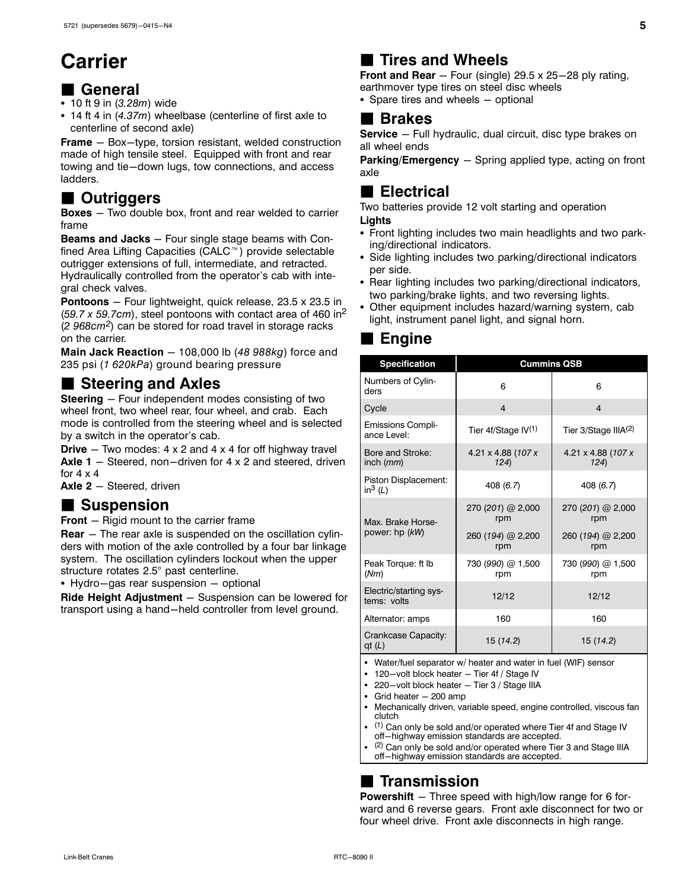### <span id="page-8-0"></span>**Carrier**

## General<br>• 10 ft 9 in (3.28)

10 ft 9 in (*3.28m*) wide

• 14 ft 4 in (4.37*m*) wheelbase (centerline of first axle to<br>centerline of second axle) centerline of second axle)

**Frame** - Box-type, torsion resistant, welded construction made of high tensile steel. Equipped with front and rear towing and tie-down lugs, tow connections, and access ladders.

### $\blacksquare$  Outriggers

**Boxes** – Two double box, front and rear welded to carrier frame

**Beams and Jacks** - Four single stage beams with Confined Area Lifting Capacities (CALC<sup>™</sup>) provide selectable outrigger extensions of full, intermediate, and retracted. Hydraulically controlled from the operator's cab with integral check valves.

**Pontoons** – Four lightweight, quick release, 23.5 x 23.5 in (*59.7 x 59.7cm*), steel pontoons with contact area of 460 in2 (*2 968cm2*) can be stored for road travel in storage racks on the carrier.

**Main Jack Reaction** - 108,000 lb (48 988kg) force and 235 psi (*1 620kPa*) ground bearing pressure

#### **E** Steering and Axles

**Steering** – Four independent modes consisting of two wheel front, two wheel rear, four wheel, and crab. Each mode is controlled from the steering wheel and is selected by a switch in the operator's cab.

**Drive** – Two modes: 4 x 2 and 4 x 4 for off highway travel **Axle 1**  $-$  Steered, non $-$ driven for 4 x 2 and steered, driven for  $4 \times 4$ 

Axle 2 - Steered, driven

#### $\blacksquare$  Suspension

**Front** – Rigid mount to the carrier frame

**Rear** - The rear axle is suspended on the oscillation cylinders with motion of the axle controlled by a four bar linkage system. The oscillation cylinders lockout when the upper structure rotates 2.5° past centerline.

• Hydro-gas rear suspension - optional

**Ride Height Adjustment** - Suspension can be lowered for transport using a hand-held controller from level ground.

#### **Tires and Wheels**

**Front and Rear** - Four (single) 29.5 x 25-28 ply rating, earthmover type tires on steel disc wheels

• Spare tires and wheels - optional

#### - **Brakes**

**Service** – Full hydraulic, dual circuit, disc type brakes on all wheel ends

Parking/Emergency - Spring applied type, acting on front axle

#### - **Electrical**

Two batteries provide 12 volt starting and operation **Lights**

- Front lighting includes two main headlights and two parking/directional indicators.
- Side lighting includes two parking/directional indicators per side.
- Rear lighting includes two parking/directional indicators, two parking/brake lights, and two reversing lights.
- Other equipment includes hazard/warning system, cab light, instrument panel light, and signal horn.

#### **Engine**

| Specification                                 | <b>Cummins QSB</b>         |                            |  |  |
|-----------------------------------------------|----------------------------|----------------------------|--|--|
| Numbers of Cylin-<br>ders                     | 6                          | 6                          |  |  |
| Cycle                                         | $\overline{\mathbf{A}}$    | $\overline{4}$             |  |  |
| <b>Emissions Compli-</b><br>ance Level:       | Tier 4f/Stage IV(1)        | Tier $3$ /Stage IIIA $(2)$ |  |  |
| Bore and Stroke:<br>inch $(mm)$               | 4.21 x 4.88 (107 x<br>124) | 4.21 x 4.88 (107 x<br>124) |  |  |
| Piston Displacement:<br>in <sup>3</sup> $(L)$ | 408 (6.7)                  | 408 (6.7)                  |  |  |
| Max. Brake Horse-                             | 270 (201) @ 2,000<br>rpm   | 270 (201) @ 2,000<br>rpm   |  |  |
| power: hp (kW)                                | 260 (194) @ 2,200<br>rpm   | 260 (194) @ 2,200<br>rpm   |  |  |
| Peak Torque: ft Ib<br>(Mm)                    | 730 (990) @ 1,500<br>rpm   | 730 (990) @ 1,500<br>rpm   |  |  |
| Electric/starting sys-<br>tems: volts         | 12/12                      | 12/12                      |  |  |
| Alternator: amps                              | 160                        | 160                        |  |  |
| Crankcase Capacity:<br>qt $(L)$               | 15 (14.2)                  | 15 (14.2)                  |  |  |

- Water/fuel separator w/ heater and water in fuel (WIF) sensor

- 120-volt block heater Tier 4f / Stage IV
- 220-volt block heater Tier 3 / Stage IIIA
- Grid heater 200 amp
- Mechanically driven, variable speed, engine controlled, viscous fan clutch
- (1) Can only be sold and/or operated where Tier 4f and Stage IV off-highway emission standards are accepted.
- - (2) Can only be sold and/or operated where Tier 3 and Stage IIIA off-highway emission standards are accepted.

#### - **Transmission**

**Powershift** - Three speed with high/low range for 6 forward and 6 reverse gears. Front axle disconnect for two or four wheel drive. Front axle disconnects in high range.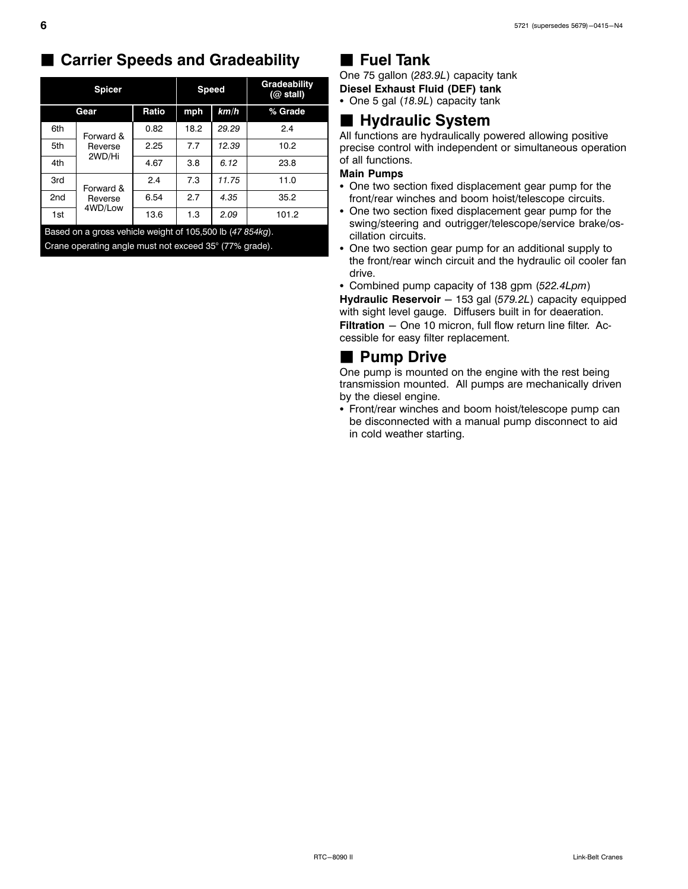#### <span id="page-9-0"></span>■ Carrier Speeds and Gradeability

|                 | <b>Spicer</b>                                             |       | <b>Speed</b> |       | Gradeability<br>(@ stall) |  |  |
|-----------------|-----------------------------------------------------------|-------|--------------|-------|---------------------------|--|--|
|                 | Gear                                                      | Ratio | mph          | km/h  | % Grade                   |  |  |
| 6th             | Forward &<br>Reverse                                      | 0.82  | 18.2         | 29.29 | 2.4                       |  |  |
| 5th             |                                                           | 2.25  | 7.7          | 12.39 | 10.2                      |  |  |
| 4th             | 2WD/Hi                                                    | 4.67  |              | 6.12  | 23.8                      |  |  |
| 3rd             | Forward &                                                 | 2.4   | 7.3          | 11.75 | 11.0                      |  |  |
| 2 <sub>nd</sub> | Reverse                                                   | 6.54  | 2.7          | 4.35  | 35.2                      |  |  |
| 1st             | 4WD/Low                                                   | 13.6  | 1.3          | 2.09  | 101.2                     |  |  |
|                 | Based on a gross vehicle weight of 105,500 lb (47 854kg). |       |              |       |                           |  |  |
|                 | Crane operating angle must not exceed 35° (77% grade).    |       |              |       |                           |  |  |

#### - **Fuel Tank**

One 75 gallon (*283.9L*) capacity tank

- **Diesel Exhaust Fluid (DEF) tank**
- One 5 gal (18.9L) capacity tank

#### - **Hydraulic System**

All functions are hydraulically powered allowing positive precise control with independent or simultaneous operation of all functions.

#### **Main Pumps**

- One two section fixed displacement gear pump for the front/rear winches and boom hoist/telescope circuits.
- One two section fixed displacement gear pump for the swing/steering and outrigger/telescope/service brake/oscillation circuits.
- - One two section gear pump for an additional supply to the front/rear winch circuit and the hydraulic oil cooler fan drive.
- Combined pump capacity of 138 gpm (*522.4Lpm*)

**Hydraulic Reservoir** - 153 gal (579.2L) capacity equipped with sight level gauge. Diffusers built in for deaeration. **Filtration** - One 10 micron, full flow return line filter. Accessible for easy filter replacement.

#### **Pump Drive**

One pump is mounted on the engine with the rest being transmission mounted. All pumps are mechanically driven by the diesel engine.

- Front/rear winches and boom hoist/telescope pump can be disconnected with a manual pump disconnect to aid in cold weather starting.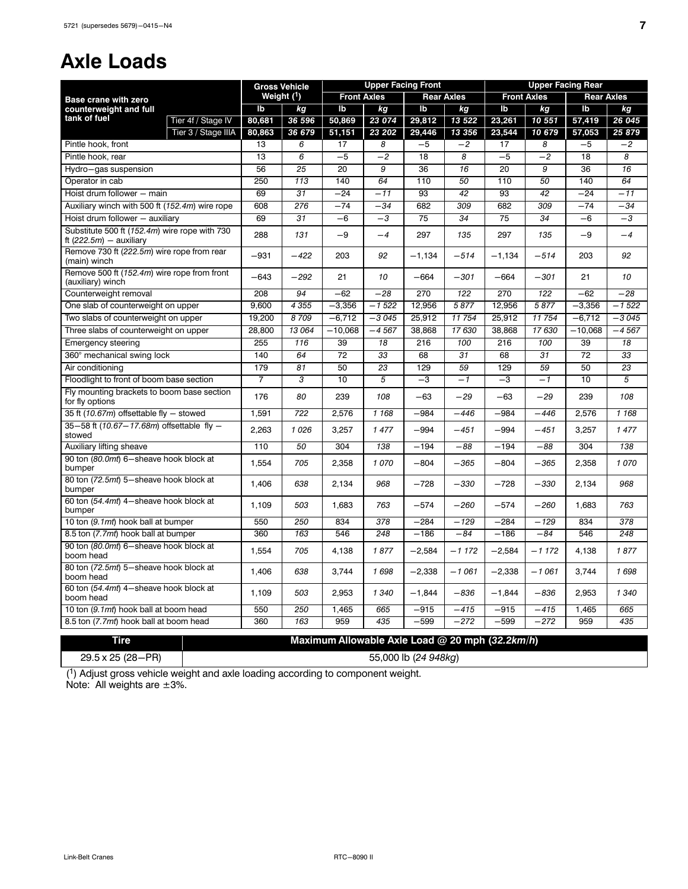### <span id="page-10-0"></span>**Axle Loads**

|                                                                            |                     |                  | <b>Gross Vehicle</b> |                                                 | <b>Upper Facing Front</b> |                      |                          | <b>Upper Facing Rear</b> |                    |                   |                 |
|----------------------------------------------------------------------------|---------------------|------------------|----------------------|-------------------------------------------------|---------------------------|----------------------|--------------------------|--------------------------|--------------------|-------------------|-----------------|
| <b>Base crane with zero</b>                                                |                     | Weight $(1)$     |                      | <b>Front Axles</b>                              |                           |                      | <b>Rear Axles</b>        |                          | <b>Front Axles</b> | <b>Rear Axles</b> |                 |
| counterweight and full                                                     |                     | lb               | kg                   | lb                                              | kq                        | lb                   | kg                       | lb                       | kg                 | lb                | kg              |
| tank of fuel                                                               | Tier 4f / Stage IV  | 80,681           | 36 596               | 50,869                                          | 23 074                    | 29,812               | 13 522                   | 23,261                   | 10 551             | 57,419            | 26 045          |
|                                                                            | Tier 3 / Stage IIIA | 80.863           | 36 679               | 51,151                                          | 23 202                    | 29,446               | 13 356                   | 23,544                   | 10 679             | 57,053            | 25 879          |
| Pintle hook, front                                                         |                     | 13               | 6                    | 17                                              | 8                         | $-5$                 | $-2$                     | 17                       | 8                  | $-5$              | $-2$            |
| Pintle hook, rear                                                          |                     | $\overline{13}$  | 6                    | $-5$                                            | $-2$                      | $\overline{18}$      | $\overline{\mathcal{S}}$ | $-5$                     | $-2$               | $\overline{18}$   | 8               |
| Hydro-gas suspension                                                       |                     | 56               | 25                   | $\overline{20}$                                 | $\overline{g}$            | $\overline{36}$      | $\overline{16}$          | $\overline{20}$          | $\overline{g}$     | $\overline{36}$   | 16              |
| Operator in cab                                                            |                     | 250              | $\overline{113}$     | 140                                             | 64                        | 110                  | 50                       | 110                      | 50                 | 140               | 64              |
| Hoist drum follower - main                                                 |                     | 69               | $\overline{31}$      | $-24$                                           | $-11$                     | $\overline{93}$      | 42                       | 93                       | $\overline{42}$    | $-24$             | $-11$           |
| Auxiliary winch with 500 ft (152.4m) wire rope                             |                     | 608              | 276                  | $-74$                                           | $-34$                     | 682                  | 309                      | 682                      | 309                | $-74$             | $-34$           |
| Hoist drum follower - auxiliary                                            |                     | 69               | 31                   | $-6$                                            | $-3$                      | 75                   | 34                       | 75                       | 34                 | $-6$              | $-3$            |
| Substitute 500 ft (152.4m) wire rope with 730<br>ft $(222.5m)$ - auxiliary | 288                 | 131              | $-9$                 | $-4$                                            | 297                       | 135                  | 297                      | 135                      | $-9$               | $-4$              |                 |
| Remove 730 ft (222.5m) wire rope from rear<br>(main) winch                 |                     | $-931$           | $-422$               | 203                                             | 92                        | $-1,134$             | $-514$                   | $-1,134$                 | $-514$             | 203               | 92              |
| Remove 500 ft (152.4m) wire rope from front<br>(auxiliary) winch           | $-643$              | $-292$           | 21                   | 10                                              | $-664$                    | $-301$               | $-664$                   | $-301$                   | 21                 | 10                |                 |
| Counterweight removal                                                      |                     | 208              | 94                   | $-62$                                           | $-28$                     | 270                  | 122                      | 270                      | 122                | $-62$             | $-28$           |
| One slab of counterweight on upper                                         |                     | 9,600            | 4 3 5 5              | $-3,356$                                        | $-1522$                   | 12,956               | 5877                     | 12,956                   | 5877               | $-3,356$          | $-1522$         |
| Two slabs of counterweight on upper                                        | 19,200              | 8709             | $-6,712$             | $-3045$                                         | 25.912                    | 11754                | 25,912                   | 11754                    | $-6,712$           | $-3045$           |                 |
| Three slabs of counterweight on upper                                      | 28,800              | 13 064           | $-10,068$            | $-4567$                                         | 38,868                    | 17630                | 38,868                   | 17 630                   | $-10,068$          | $-4567$           |                 |
| <b>Emergency steering</b>                                                  | 255                 | $\overline{116}$ | 39                   | $\overline{18}$                                 | $\overline{216}$          | 100                  | $\overline{216}$         | 100                      | 39                 | $\overline{18}$   |                 |
| 360° mechanical swing lock                                                 |                     | 140              | 64                   | $\overline{72}$                                 | 33                        | 68                   | $\overline{31}$          | 68                       | $\overline{31}$    | $\overline{72}$   | $\overline{33}$ |
| Air conditioning                                                           |                     | 179              | 81                   | 50                                              | 23                        | 129                  | 59                       | 129                      | 59                 | 50                | 23              |
| Floodlight to front of boom base section                                   |                     | $\overline{7}$   | 3                    | $\overline{10}$                                 | 5                         | $^{-3}$              | $-1$                     | $-3$                     | $-1$               | 10                | 5               |
| Fly mounting brackets to boom base section<br>for fly options              |                     | 176              | 80                   | 239                                             | 108                       | $-63$                | -29                      | -63                      | $-29$              | 239               | 108             |
| 35 ft (10.67m) offsettable fly - stowed                                    |                     | 1,591            | $\overline{722}$     | 2,576                                           | 1 1 6 8                   | $-984$               | $-446$                   | $-984$                   | $-446$             | 2,576             | 1 1 6 8         |
| 35-58 ft (10.67-17.68m) offsettable fly -<br>stowed                        |                     | 2,263            | 1026                 | 3,257                                           | 1477                      | $-994$               | $-451$                   | $-994$                   | $-451$             | 3,257             | 1477            |
| Auxiliary lifting sheave                                                   |                     | 110              | 50                   | 304                                             | 138                       | $-194$               | $-88$                    | $-194$                   | $-88$              | 304               | 138             |
| 90 ton (80.0mt) 6-sheave hook block at<br>bumper                           |                     | 1,554            | 705                  | 2,358                                           | 1070                      | $-804$               | -365                     | $-804$                   | $-365$             | 2,358             | 1070            |
| 80 ton (72.5mt) 5-sheave hook block at<br>bumper                           |                     | 1,406            | 638                  | 2,134                                           | 968                       | $-728$               | -330                     | $-728$                   | $-330$             | 2,134             | 968             |
| 60 ton (54.4mt) 4-sheave hook block at<br>bumper                           |                     | 1,109            | 503                  | 1,683                                           | 763                       | $-574$               | $-260$                   | $-574$                   | $-260$             | 1,683             | 763             |
| 10 ton (9.1mt) hook ball at bumper                                         |                     | 550              | 250                  | 834                                             | 378                       | $-284$               | $-129$                   | $-284$                   | $-129$             | 834               | 378             |
| 8.5 ton (7.7mt) hook ball at bumper                                        |                     | 360              | 163                  | 546                                             | 248                       | $-186$               | $-84$                    | $-186$                   | $-84$              | 546               | 248             |
| 90 ton (80.0mt) 6-sheave hook block at<br>boom head                        |                     | 1,554            | 705                  | 4,138                                           | 1877                      | $-2,584$             | $-1172$                  | $-2,584$                 | $-1172$            | 4,138             | 1877            |
| 80 ton (72.5mt) 5-sheave hook block at<br>boom head                        |                     | 1,406            | 638                  | 3,744                                           | 1698                      | $-2,338$             | $-1061$                  | $-2,338$                 | $-1061$            | 3,744             | 1698            |
| 60 ton (54.4mt) 4-sheave hook block at<br>boom head                        |                     | 1,109            | 503                  | 2,953                                           | 1340                      | $-1.844$             | -836                     | $-1.844$                 | $-836$             | 2,953             | 1340            |
| 10 ton (9.1mt) hook ball at boom head                                      |                     | 550              | 250                  | 1,465                                           | 665                       | $-915$               | $-415$                   | $-915$                   | $-415$             | 1,465             | 665             |
| 8.5 ton (7.7mt) hook ball at boom head                                     |                     | 360              | 163                  | 959                                             | 435                       | $-599$               | $-272$                   | $-599$                   | $-272$             | 959               | 435             |
| <b>Tire</b>                                                                |                     |                  |                      | Maximum Allowable Axle Load @ 20 mph (32.2km/h) |                           |                      |                          |                          |                    |                   |                 |
|                                                                            |                     |                  |                      |                                                 |                           |                      |                          |                          |                    |                   |                 |
| 29.5 x 25 (28-PR)                                                          |                     |                  |                      |                                                 |                           | 55,000 lb (24 948kg) |                          |                          |                    |                   |                 |

|  | . . | ℩⊏<br>╱ | ററ<br>. . | ۱) |
|--|-----|---------|-----------|----|

29.5 x 25 (28-PR) 55,000 lb (*24 948kg*) (1) Adjust gross vehicle weight and axle loading according to component weight.

Note: All weights are  $\pm 3\%$ .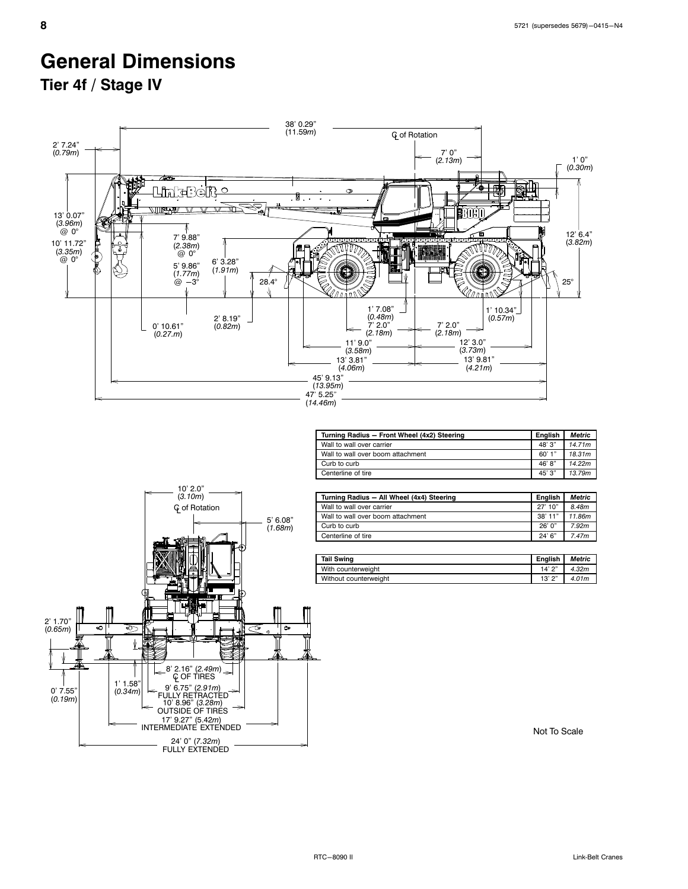### <span id="page-11-0"></span>**General Dimensions**

**Tier 4f / Stage IV**

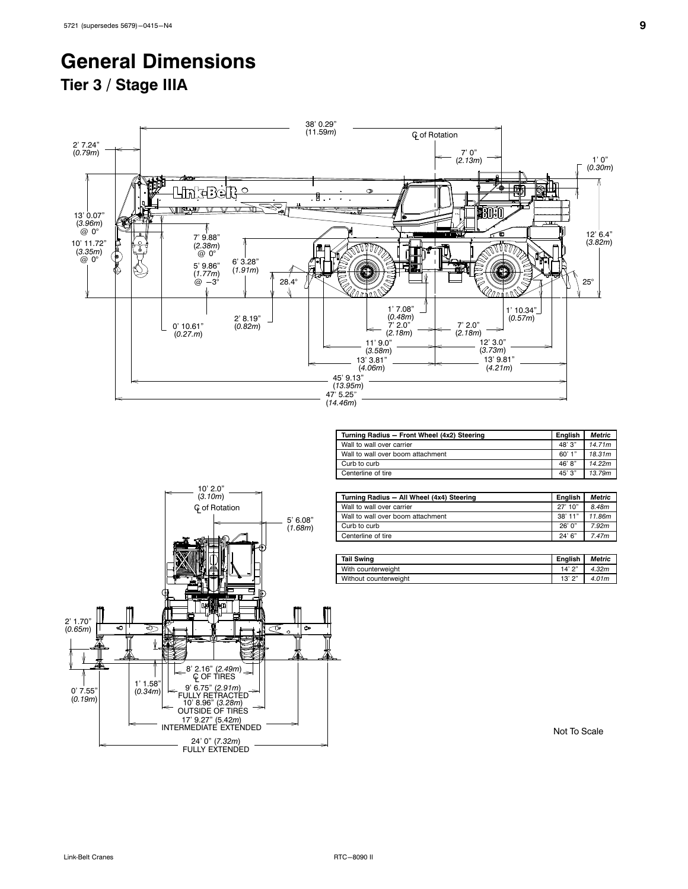### <span id="page-12-0"></span>**General Dimensions Tier 3 / Stage IIIA**

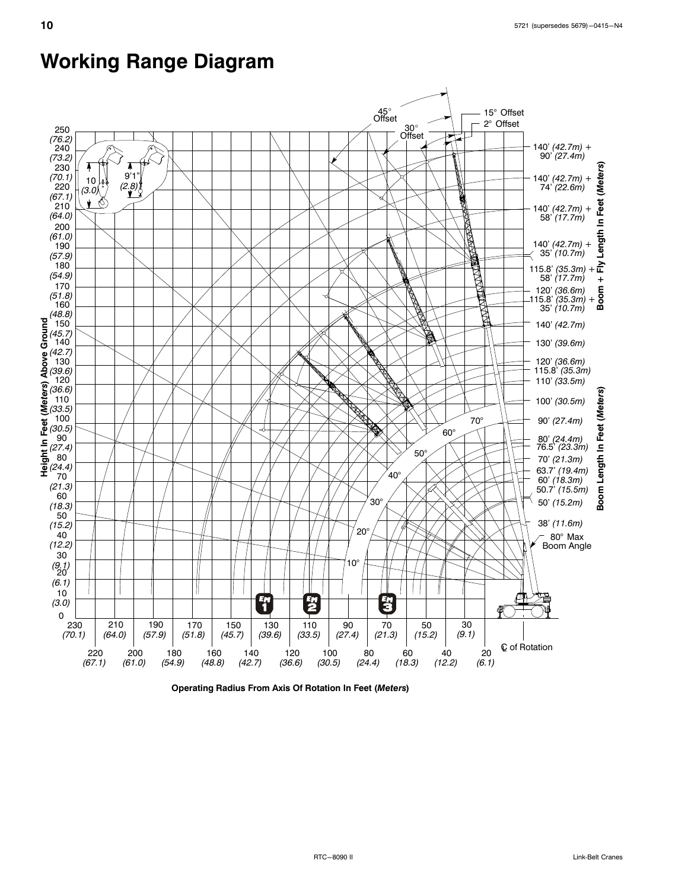



**Operating Radius From Axis Of Rotation In Feet (***Meters***)**

<span id="page-13-0"></span>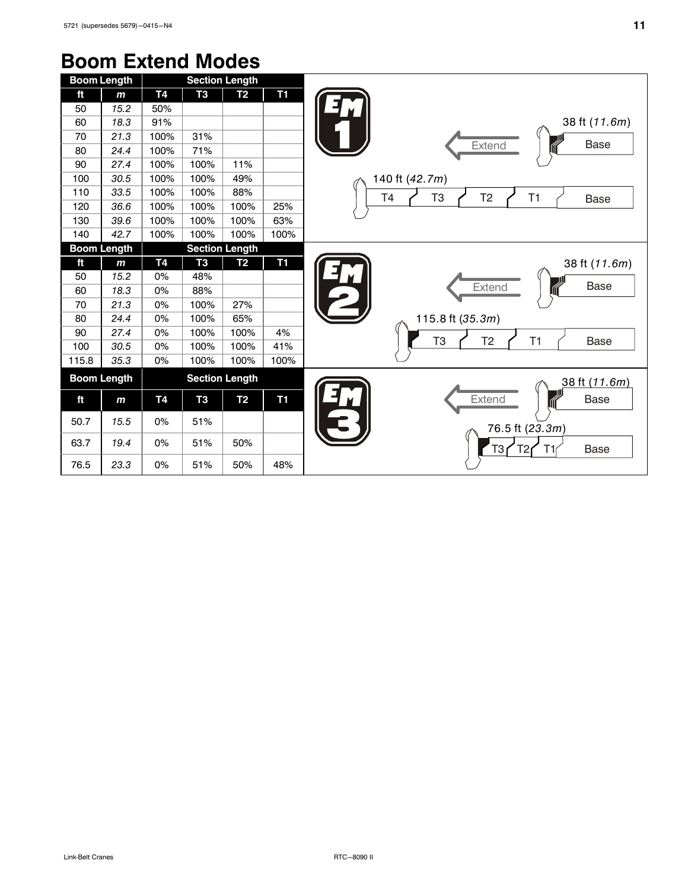### <span id="page-14-0"></span>**Boom Extend Modes**

|       | <b>Boom Length</b> |                | <b>Section Length</b> |                       |           |                                                 |
|-------|--------------------|----------------|-----------------------|-----------------------|-----------|-------------------------------------------------|
| ft    | $\mathsf{m}$       | T4             | T <sub>3</sub>        | T <sub>2</sub>        | <b>T1</b> |                                                 |
| 50    | 15.2               | 50%            |                       |                       |           |                                                 |
| 60    | 18.3               | 91%            |                       |                       |           | 38 ft (11.6m)                                   |
| 70    | 21.3               | 100%           | 31%                   |                       |           | <b>Base</b>                                     |
| 80    | 24.4               | 100%           | 71%                   |                       |           | Extend                                          |
| 90    | 27.4               | 100%           | 100%                  | 11%                   |           |                                                 |
| 100   | 30.5               | 100%           | 100%                  | 49%                   |           | 140 ft (42.7m)                                  |
| 110   | 33.5               | 100%           | 100%                  | 88%                   |           | T3<br>T <sub>2</sub><br>T1<br>T4<br><b>Base</b> |
| 120   | 36.6               | 100%           | 100%                  | 100%                  | 25%       |                                                 |
| 130   | 39.6               | 100%           | 100%                  | 100%                  | 63%       |                                                 |
| 140   | 42.7               | 100%           | 100%                  | 100%                  | 100%      |                                                 |
|       | <b>Boom Length</b> |                |                       | <b>Section Length</b> |           |                                                 |
| ft    | $\mathbf{m}$       | T <sub>4</sub> | T <sub>3</sub>        | T <sub>2</sub>        | <b>T1</b> | 38 ft (11.6m)                                   |
| 50    | 15.2               | 0%             | 48%                   |                       |           | <b>Base</b>                                     |
| 60    | 18.3               | $0\%$          | 88%                   |                       |           | Extend                                          |
| 70    | 21.3               | 0%             | 100%                  | 27%                   |           |                                                 |
| 80    | 24.4               | 0%             | 100%                  | 65%                   |           | 115.8 ft (35.3m)                                |
| 90    | 27.4               | 0%             | 100%                  | 100%                  | 4%        | T3<br>T <sub>2</sub><br>T1<br><b>Base</b>       |
| 100   | 30.5               | 0%             | 100%                  | 100%                  | 41%       |                                                 |
| 115.8 | 35.3               | 0%             | 100%                  | 100%                  | 100%      |                                                 |
|       | <b>Boom Length</b> |                |                       | <b>Section Length</b> |           | 38 ft (11.6m)                                   |
| ft    | $\mathbf{m}$       | T4             | T <sub>3</sub>        | <b>T2</b>             | <b>T1</b> | Extend<br>Base                                  |
| 50.7  | 15.5               | 0%             | 51%                   |                       |           | 76.5 ft (23.3m)                                 |
| 63.7  | 19.4               | $0\%$          | 51%                   | 50%                   |           | T3<br>Base<br>T1<br>T2                          |
| 76.5  | 23.3               | 0%             | 51%                   | 50%                   | 48%       |                                                 |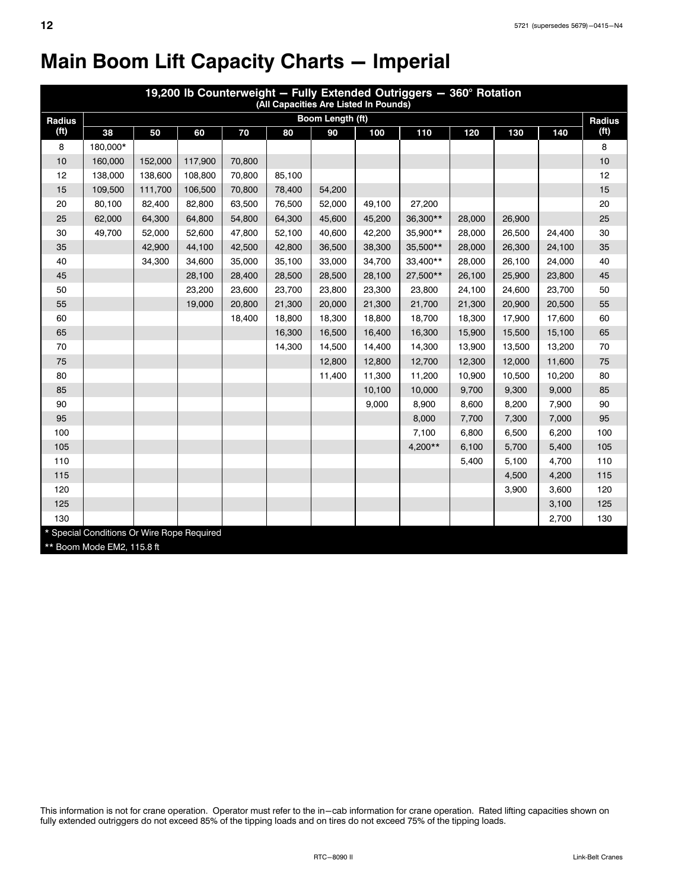|                   |                                            |         |         |        | (All Capacities Are Listed In Pounds) |                  |        | 19,200 lb Counterweight $-$ Fully Extended Outriggers $-$ 360 $\degree$ Rotation |        |        |        |                   |
|-------------------|--------------------------------------------|---------|---------|--------|---------------------------------------|------------------|--------|----------------------------------------------------------------------------------|--------|--------|--------|-------------------|
| <b>Radius</b>     |                                            |         |         |        |                                       | Boom Length (ft) |        |                                                                                  |        |        |        | <b>Radius</b>     |
| (f <sup>t</sup> ) | 38                                         | 50      | 60      | 70     | 80                                    | 90               | 100    | 110                                                                              | 120    | 130    | 140    | (f <sup>t</sup> ) |
| 8                 | 180,000*                                   |         |         |        |                                       |                  |        |                                                                                  |        |        |        | 8                 |
| 10                | 160,000                                    | 152,000 | 117,900 | 70,800 |                                       |                  |        |                                                                                  |        |        |        | 10                |
| 12                | 138,000                                    | 138,600 | 108,800 | 70,800 | 85,100                                |                  |        |                                                                                  |        |        |        | 12                |
| 15                | 109,500                                    | 111,700 | 106,500 | 70,800 | 78,400                                | 54,200           |        |                                                                                  |        |        |        | 15                |
| 20                | 80,100                                     | 82,400  | 82,800  | 63,500 | 76,500                                | 52,000           | 49,100 | 27,200                                                                           |        |        |        | 20                |
| 25                | 62,000                                     | 64,300  | 64,800  | 54,800 | 64,300                                | 45,600           | 45,200 | 36,300**                                                                         | 28,000 | 26,900 |        | 25                |
| 30                | 49,700                                     | 52,000  | 52,600  | 47,800 | 52,100                                | 40,600           | 42,200 | 35,900**                                                                         | 28,000 | 26,500 | 24,400 | 30                |
| 35                |                                            | 42,900  | 44,100  | 42,500 | 42,800                                | 36,500           | 38,300 | 35,500**                                                                         | 28,000 | 26,300 | 24,100 | 35                |
| 40                |                                            | 34,300  | 34,600  | 35,000 | 35,100                                | 33,000           | 34,700 | 33,400**                                                                         | 28,000 | 26,100 | 24,000 | 40                |
| 45                |                                            |         | 28,100  | 28,400 | 28,500                                | 28,500           | 28,100 | 27,500**                                                                         | 26,100 | 25,900 | 23,800 | 45                |
| 50                |                                            |         | 23,200  | 23,600 | 23,700                                | 23,800           | 23,300 | 23,800                                                                           | 24,100 | 24,600 | 23,700 | 50                |
| 55                |                                            |         | 19,000  | 20,800 | 21,300                                | 20,000           | 21,300 | 21,700                                                                           | 21,300 | 20,900 | 20,500 | 55                |
| 60                |                                            |         |         | 18,400 | 18,800                                | 18,300           | 18,800 | 18,700                                                                           | 18,300 | 17,900 | 17,600 | 60                |
| 65                |                                            |         |         |        | 16,300                                | 16,500           | 16,400 | 16,300                                                                           | 15,900 | 15,500 | 15,100 | 65                |
| 70                |                                            |         |         |        | 14,300                                | 14,500           | 14,400 | 14,300                                                                           | 13,900 | 13,500 | 13,200 | 70                |
| 75                |                                            |         |         |        |                                       | 12,800           | 12,800 | 12,700                                                                           | 12,300 | 12,000 | 11,600 | 75                |
| 80                |                                            |         |         |        |                                       | 11,400           | 11,300 | 11,200                                                                           | 10,900 | 10,500 | 10,200 | 80                |
| 85                |                                            |         |         |        |                                       |                  | 10,100 | 10,000                                                                           | 9,700  | 9,300  | 9,000  | 85                |
| 90                |                                            |         |         |        |                                       |                  | 9,000  | 8,900                                                                            | 8,600  | 8,200  | 7,900  | 90                |
| 95                |                                            |         |         |        |                                       |                  |        | 8,000                                                                            | 7,700  | 7,300  | 7,000  | 95                |
| 100               |                                            |         |         |        |                                       |                  |        | 7,100                                                                            | 6,800  | 6,500  | 6,200  | 100               |
| 105               |                                            |         |         |        |                                       |                  |        | 4,200**                                                                          | 6,100  | 5,700  | 5,400  | 105               |
| 110               |                                            |         |         |        |                                       |                  |        |                                                                                  | 5,400  | 5,100  | 4,700  | 110               |
| 115               |                                            |         |         |        |                                       |                  |        |                                                                                  |        | 4,500  | 4,200  | 115               |
| 120               |                                            |         |         |        |                                       |                  |        |                                                                                  |        | 3,900  | 3,600  | 120               |
| 125               |                                            |         |         |        |                                       |                  |        |                                                                                  |        |        | 3,100  | 125               |
| 130               |                                            |         |         |        |                                       |                  |        |                                                                                  |        |        | 2,700  | 130               |
|                   | * Special Conditions Or Wire Rope Required |         |         |        |                                       |                  |        |                                                                                  |        |        |        |                   |

### <span id="page-15-0"></span>**Main Boom Lift Capacity Charts - Imperial**

\*\* Boom Mode EM2, 115.8 ft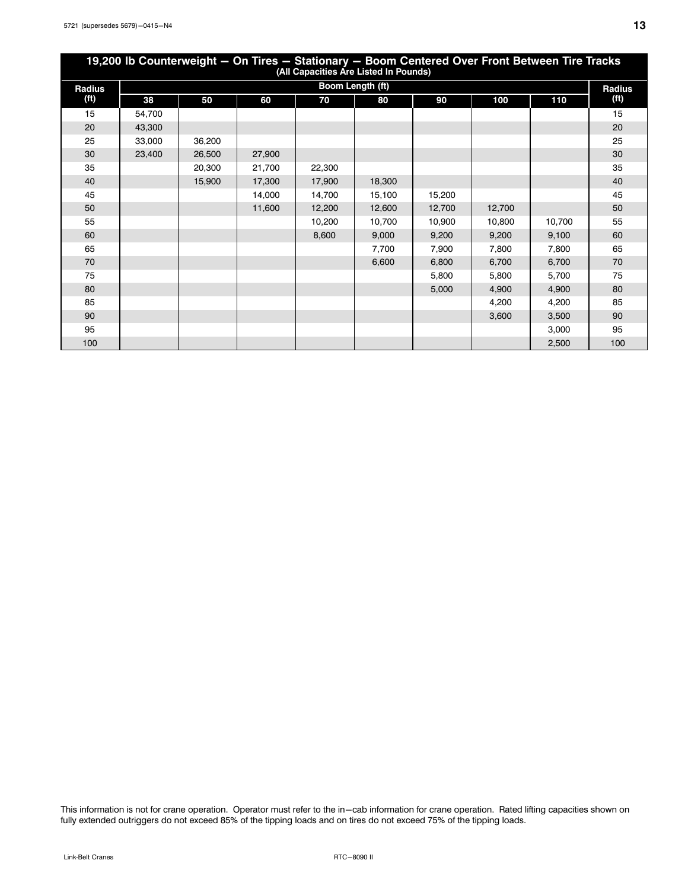<span id="page-16-0"></span>

| 19,200 lb Counterweight - On Tires - Stationary - Boom Centered Over Front Between Tire Tracks<br>(All Capacities Are Listed In Pounds) |        |        |        |        |                  |        |        |        |                   |  |  |  |  |
|-----------------------------------------------------------------------------------------------------------------------------------------|--------|--------|--------|--------|------------------|--------|--------|--------|-------------------|--|--|--|--|
| Radius                                                                                                                                  |        |        |        |        | Boom Length (ft) |        |        |        | <b>Radius</b>     |  |  |  |  |
| (f <sup>t</sup> )                                                                                                                       | 38     | 50     | 60     | 70     | 80               | 90     | 100    | 110    | (f <sup>t</sup> ) |  |  |  |  |
| 15                                                                                                                                      | 54,700 |        |        |        |                  |        |        |        | 15                |  |  |  |  |
| 20                                                                                                                                      | 43,300 |        |        |        |                  |        |        |        | 20                |  |  |  |  |
| 25                                                                                                                                      | 33,000 | 36,200 |        |        |                  |        |        |        | 25                |  |  |  |  |
| 30                                                                                                                                      | 23,400 | 26,500 | 27,900 |        |                  |        |        |        | 30                |  |  |  |  |
| 35                                                                                                                                      |        | 20,300 | 21,700 | 22,300 |                  |        |        |        | 35                |  |  |  |  |
| 40                                                                                                                                      |        | 15,900 | 17,300 | 17,900 | 18,300           |        |        |        | 40                |  |  |  |  |
| 45                                                                                                                                      |        |        | 14,000 | 14,700 | 15,100           | 15,200 |        |        | 45                |  |  |  |  |
| 50                                                                                                                                      |        |        | 11,600 | 12,200 | 12,600           | 12,700 | 12,700 |        | 50                |  |  |  |  |
| 55                                                                                                                                      |        |        |        | 10,200 | 10.700           | 10,900 | 10,800 | 10,700 | 55                |  |  |  |  |
| 60                                                                                                                                      |        |        |        | 8,600  | 9,000            | 9,200  | 9,200  | 9,100  | 60                |  |  |  |  |
| 65                                                                                                                                      |        |        |        |        | 7,700            | 7,900  | 7,800  | 7,800  | 65                |  |  |  |  |
| 70                                                                                                                                      |        |        |        |        | 6,600            | 6,800  | 6,700  | 6,700  | 70                |  |  |  |  |
| 75                                                                                                                                      |        |        |        |        |                  | 5,800  | 5,800  | 5,700  | 75                |  |  |  |  |
| 80                                                                                                                                      |        |        |        |        |                  | 5,000  | 4,900  | 4,900  | 80                |  |  |  |  |
| 85                                                                                                                                      |        |        |        |        |                  |        | 4,200  | 4,200  | 85                |  |  |  |  |
| 90                                                                                                                                      |        |        |        |        |                  |        | 3,600  | 3,500  | 90                |  |  |  |  |
| 95                                                                                                                                      |        |        |        |        |                  |        |        | 3,000  | 95                |  |  |  |  |
| 100                                                                                                                                     |        |        |        |        |                  |        |        | 2,500  | 100               |  |  |  |  |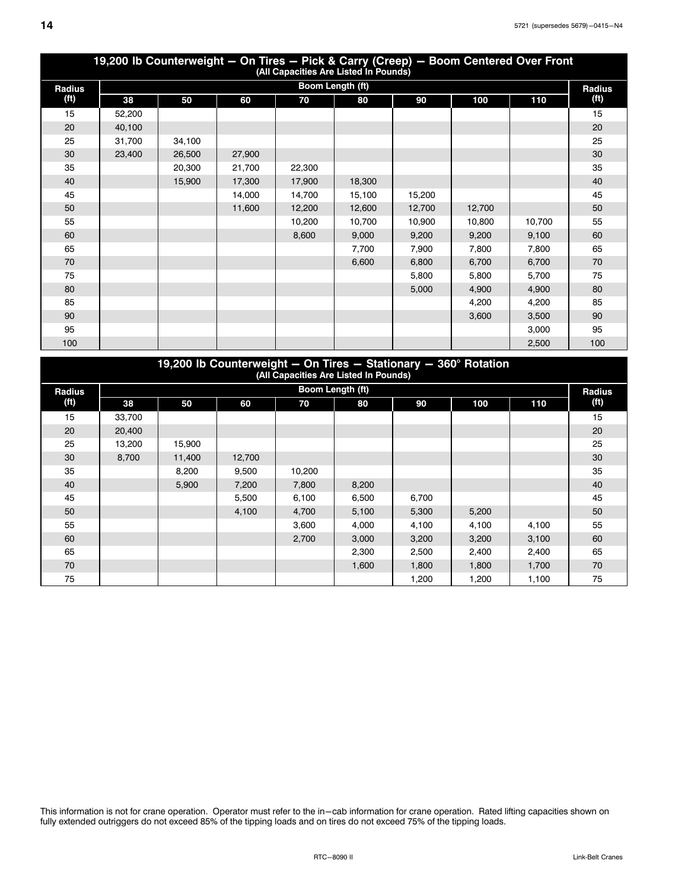<span id="page-17-0"></span>

| 19,200 lb Counterweight - On Tires - Pick & Carry (Creep) - Boom Centered Over Front<br>(All Capacities Are Listed In Pounds) |        |        |        |        |                  |        |        |        |                   |  |  |  |  |
|-------------------------------------------------------------------------------------------------------------------------------|--------|--------|--------|--------|------------------|--------|--------|--------|-------------------|--|--|--|--|
| <b>Radius</b>                                                                                                                 |        |        |        |        | Boom Length (ft) |        |        |        | <b>Radius</b>     |  |  |  |  |
| (f <sup>t</sup> )                                                                                                             | 38     | 50     | 60     | 70     | 80               | 90     | 100    | 110    | (f <sup>t</sup> ) |  |  |  |  |
| 15                                                                                                                            | 52,200 |        |        |        |                  |        |        |        | 15                |  |  |  |  |
| 20                                                                                                                            | 40,100 |        |        |        |                  |        |        |        | 20                |  |  |  |  |
| 25                                                                                                                            | 31.700 | 34,100 |        |        |                  |        |        |        | 25                |  |  |  |  |
| 30                                                                                                                            | 23,400 | 26,500 | 27,900 |        |                  |        |        |        | 30                |  |  |  |  |
| 35                                                                                                                            |        | 20,300 | 21,700 | 22,300 |                  |        |        |        | 35                |  |  |  |  |
| 40                                                                                                                            |        | 15,900 | 17,300 | 17,900 | 18,300           |        |        |        | 40                |  |  |  |  |
| 45                                                                                                                            |        |        | 14,000 | 14,700 | 15,100           | 15,200 |        |        | 45                |  |  |  |  |
| 50                                                                                                                            |        |        | 11,600 | 12,200 | 12,600           | 12,700 | 12,700 |        | 50                |  |  |  |  |
| 55                                                                                                                            |        |        |        | 10,200 | 10,700           | 10,900 | 10,800 | 10,700 | 55                |  |  |  |  |
| 60                                                                                                                            |        |        |        | 8,600  | 9,000            | 9,200  | 9,200  | 9,100  | 60                |  |  |  |  |
| 65                                                                                                                            |        |        |        |        | 7,700            | 7,900  | 7,800  | 7,800  | 65                |  |  |  |  |
| 70                                                                                                                            |        |        |        |        | 6,600            | 6,800  | 6,700  | 6,700  | 70                |  |  |  |  |
| 75                                                                                                                            |        |        |        |        |                  | 5,800  | 5,800  | 5,700  | 75                |  |  |  |  |
| 80                                                                                                                            |        |        |        |        |                  | 5,000  | 4,900  | 4,900  | 80                |  |  |  |  |
| 85                                                                                                                            |        |        |        |        |                  |        | 4,200  | 4,200  | 85                |  |  |  |  |
| 90                                                                                                                            |        |        |        |        |                  |        | 3,600  | 3,500  | 90                |  |  |  |  |
| 95                                                                                                                            |        |        |        |        |                  |        |        | 3,000  | 95                |  |  |  |  |
| 100                                                                                                                           |        |        |        |        |                  |        |        | 2,500  | 100               |  |  |  |  |

| 19,200 lb Counterweight - On Tires - Stationary - 360° Rotation<br>(All Capacities Are Listed In Pounds) |        |        |        |        |                  |       |       |       |                   |  |  |  |
|----------------------------------------------------------------------------------------------------------|--------|--------|--------|--------|------------------|-------|-------|-------|-------------------|--|--|--|
| <b>Radius</b>                                                                                            |        |        |        |        | Boom Length (ft) |       |       |       | <b>Radius</b>     |  |  |  |
| (f <sup>t</sup> )                                                                                        | 38     | 50     | 60     | 70     | 80               | 90    | 100   | 110   | (f <sup>t</sup> ) |  |  |  |
| 15                                                                                                       | 33,700 |        |        |        |                  |       |       |       | 15                |  |  |  |
| 20                                                                                                       | 20,400 |        |        |        |                  |       |       |       | 20                |  |  |  |
| 25                                                                                                       | 13,200 | 15,900 |        |        |                  |       |       |       | 25                |  |  |  |
| 30                                                                                                       | 8.700  | 11,400 | 12,700 |        |                  |       |       |       | 30                |  |  |  |
| 35                                                                                                       |        | 8,200  | 9,500  | 10,200 |                  |       |       |       | 35                |  |  |  |
| 40                                                                                                       |        | 5,900  | 7,200  | 7,800  | 8,200            |       |       |       | 40                |  |  |  |
| 45                                                                                                       |        |        | 5,500  | 6,100  | 6,500            | 6,700 |       |       | 45                |  |  |  |
| 50                                                                                                       |        |        | 4,100  | 4,700  | 5,100            | 5,300 | 5,200 |       | 50                |  |  |  |
| 55                                                                                                       |        |        |        | 3,600  | 4,000            | 4,100 | 4,100 | 4,100 | 55                |  |  |  |
| 60                                                                                                       |        |        |        | 2,700  | 3,000            | 3,200 | 3,200 | 3,100 | 60                |  |  |  |
| 65                                                                                                       |        |        |        |        | 2,300            | 2,500 | 2,400 | 2,400 | 65                |  |  |  |
| 70                                                                                                       |        |        |        |        | 1,600            | 1,800 | 1,800 | 1,700 | 70                |  |  |  |
| 75                                                                                                       |        |        |        |        |                  | 1,200 | 1.200 | 1.100 | 75                |  |  |  |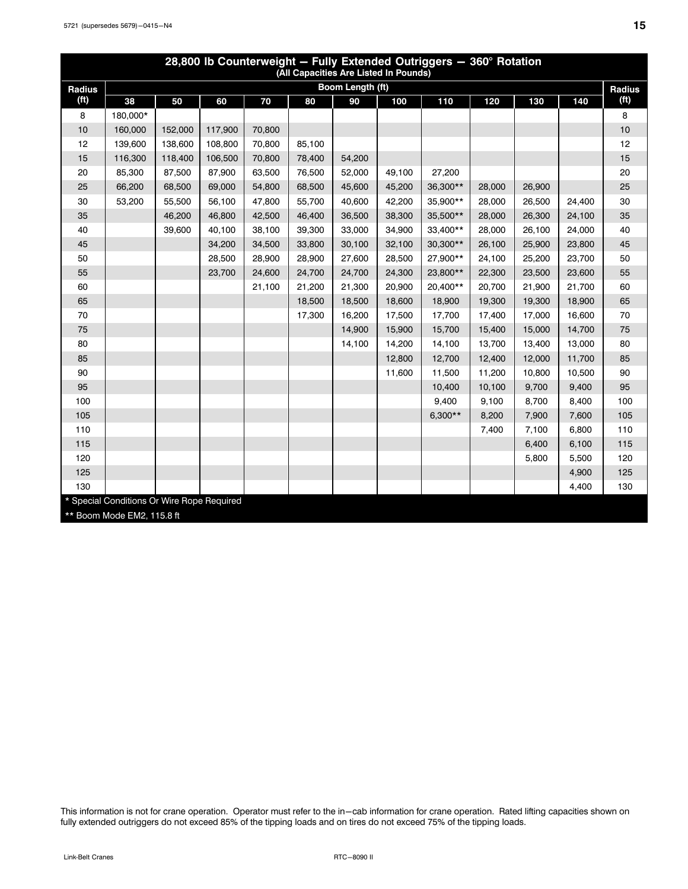<span id="page-18-0"></span>

| 28,800 lb Counterweight - Fully Extended Outriggers - 360° Rotation<br>(All Capacities Are Listed In Pounds) |                                            |         |         |        |        |                  |        |          |        |        |        |                   |
|--------------------------------------------------------------------------------------------------------------|--------------------------------------------|---------|---------|--------|--------|------------------|--------|----------|--------|--------|--------|-------------------|
| Radius                                                                                                       |                                            |         |         |        |        | Boom Length (ft) |        |          |        |        |        | Radius            |
| (f <sup>t</sup> )                                                                                            | 38                                         | 50      | 60      | 70     | 80     | 90               | 100    | 110      | 120    | 130    | 140    | (f <sup>t</sup> ) |
| 8                                                                                                            | 180,000*                                   |         |         |        |        |                  |        |          |        |        |        | 8                 |
| 10                                                                                                           | 160,000                                    | 152,000 | 117,900 | 70,800 |        |                  |        |          |        |        |        | 10                |
| 12                                                                                                           | 139,600                                    | 138,600 | 108,800 | 70,800 | 85,100 |                  |        |          |        |        |        | 12                |
| 15                                                                                                           | 116,300                                    | 118,400 | 106,500 | 70,800 | 78,400 | 54,200           |        |          |        |        |        | 15                |
| 20                                                                                                           | 85,300                                     | 87,500  | 87,900  | 63,500 | 76,500 | 52,000           | 49,100 | 27,200   |        |        |        | 20                |
| 25                                                                                                           | 66,200                                     | 68,500  | 69,000  | 54,800 | 68,500 | 45,600           | 45,200 | 36,300** | 28,000 | 26,900 |        | 25                |
| 30                                                                                                           | 53,200                                     | 55,500  | 56,100  | 47,800 | 55,700 | 40,600           | 42,200 | 35,900** | 28,000 | 26,500 | 24,400 | 30                |
| 35                                                                                                           |                                            | 46,200  | 46,800  | 42,500 | 46,400 | 36,500           | 38,300 | 35,500** | 28,000 | 26,300 | 24,100 | 35                |
| 40                                                                                                           |                                            | 39,600  | 40,100  | 38,100 | 39,300 | 33,000           | 34,900 | 33.400** | 28,000 | 26,100 | 24,000 | 40                |
| 45                                                                                                           |                                            |         | 34,200  | 34,500 | 33,800 | 30,100           | 32,100 | 30,300** | 26,100 | 25,900 | 23,800 | 45                |
| 50                                                                                                           |                                            |         | 28,500  | 28,900 | 28,900 | 27,600           | 28,500 | 27,900** | 24,100 | 25,200 | 23,700 | 50                |
| 55                                                                                                           |                                            |         | 23,700  | 24,600 | 24,700 | 24,700           | 24,300 | 23,800** | 22,300 | 23,500 | 23,600 | 55                |
| 60                                                                                                           |                                            |         |         | 21,100 | 21,200 | 21,300           | 20,900 | 20,400** | 20,700 | 21,900 | 21,700 | 60                |
| 65                                                                                                           |                                            |         |         |        | 18,500 | 18,500           | 18,600 | 18,900   | 19,300 | 19,300 | 18,900 | 65                |
| 70                                                                                                           |                                            |         |         |        | 17,300 | 16,200           | 17,500 | 17,700   | 17,400 | 17,000 | 16,600 | 70                |
| 75                                                                                                           |                                            |         |         |        |        | 14,900           | 15,900 | 15,700   | 15,400 | 15,000 | 14,700 | 75                |
| 80                                                                                                           |                                            |         |         |        |        | 14,100           | 14,200 | 14,100   | 13,700 | 13,400 | 13,000 | 80                |
| 85                                                                                                           |                                            |         |         |        |        |                  | 12,800 | 12,700   | 12,400 | 12,000 | 11,700 | 85                |
| 90                                                                                                           |                                            |         |         |        |        |                  | 11,600 | 11,500   | 11,200 | 10,800 | 10,500 | 90                |
| 95                                                                                                           |                                            |         |         |        |        |                  |        | 10,400   | 10,100 | 9,700  | 9,400  | 95                |
| 100                                                                                                          |                                            |         |         |        |        |                  |        | 9,400    | 9,100  | 8,700  | 8,400  | 100               |
| 105                                                                                                          |                                            |         |         |        |        |                  |        | 6,300**  | 8,200  | 7,900  | 7,600  | 105               |
| 110                                                                                                          |                                            |         |         |        |        |                  |        |          | 7,400  | 7,100  | 6,800  | 110               |
| 115                                                                                                          |                                            |         |         |        |        |                  |        |          |        | 6,400  | 6,100  | 115               |
| 120                                                                                                          |                                            |         |         |        |        |                  |        |          |        | 5,800  | 5,500  | 120               |
| 125                                                                                                          |                                            |         |         |        |        |                  |        |          |        |        | 4,900  | 125               |
| 130                                                                                                          |                                            |         |         |        |        |                  |        |          |        |        | 4,400  | 130               |
|                                                                                                              | * Special Conditions Or Wire Rope Required |         |         |        |        |                  |        |          |        |        |        |                   |
|                                                                                                              | ** Boom Mode EM2, 115.8 ft                 |         |         |        |        |                  |        |          |        |        |        |                   |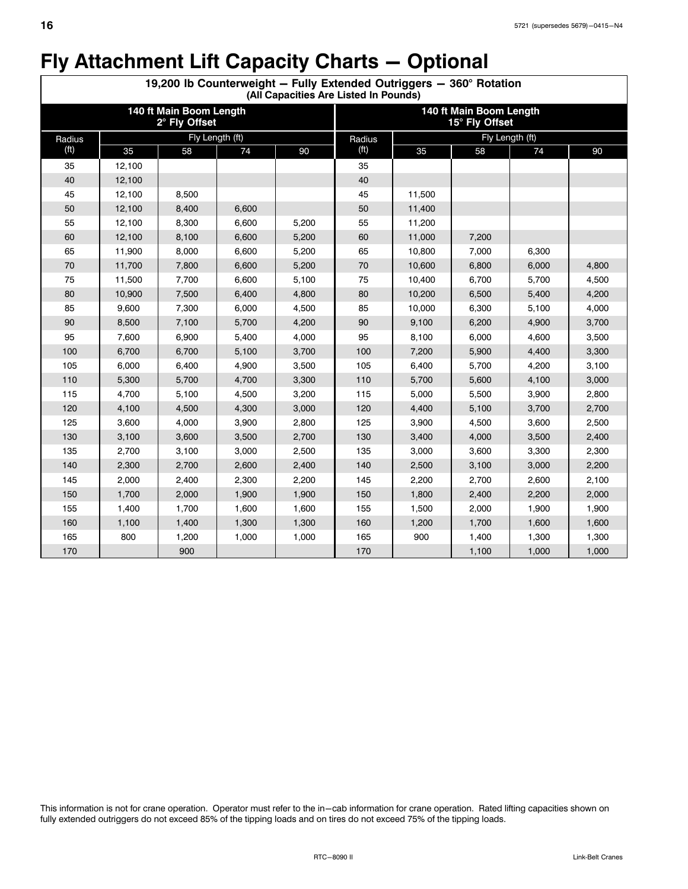### <span id="page-19-0"></span>**Fly Attachment Lift Capacity Charts - Optional**

|                   |        |                                          |                 | ly Attachment Lift Capacity Charts - Optional                                                                |                                           |        |       |                 |       |  |  |  |  |
|-------------------|--------|------------------------------------------|-----------------|--------------------------------------------------------------------------------------------------------------|-------------------------------------------|--------|-------|-----------------|-------|--|--|--|--|
|                   |        |                                          |                 | 19,200 lb Counterweight - Fully Extended Outriggers - 360° Rotation<br>(All Capacities Are Listed In Pounds) |                                           |        |       |                 |       |  |  |  |  |
|                   |        | 140 ft Main Boom Length<br>2° Fly Offset |                 |                                                                                                              | 140 ft Main Boom Length<br>15° Fly Offset |        |       |                 |       |  |  |  |  |
| Radius            |        |                                          | Fly Length (ft) |                                                                                                              | Radius                                    |        |       | Fly Length (ft) |       |  |  |  |  |
| (f <sup>t</sup> ) | 35     | 58                                       | 74              | 90                                                                                                           | (f <sup>t</sup> )                         | 35     | 58    | 74              | 90    |  |  |  |  |
| 35                | 12,100 |                                          |                 |                                                                                                              | 35                                        |        |       |                 |       |  |  |  |  |
| 40                | 12,100 |                                          |                 |                                                                                                              | 40                                        |        |       |                 |       |  |  |  |  |
| 45                | 12,100 | 8,500                                    |                 |                                                                                                              | 45                                        | 11,500 |       |                 |       |  |  |  |  |
| 50                | 12,100 | 8,400                                    | 6,600           |                                                                                                              | 50                                        | 11,400 |       |                 |       |  |  |  |  |
| 55                | 12,100 | 8,300                                    | 6,600           | 5,200                                                                                                        | 55                                        | 11,200 |       |                 |       |  |  |  |  |
| 60                | 12,100 | 8,100                                    | 6,600           | 5,200                                                                                                        | 60                                        | 11,000 | 7,200 |                 |       |  |  |  |  |
| 65                | 11.900 | 8,000                                    | 6.600           | 5,200                                                                                                        | 65                                        | 10,800 | 7,000 | 6,300           |       |  |  |  |  |
| 70                | 11,700 | 7,800                                    | 6,600           | 5,200                                                                                                        | 70                                        | 10,600 | 6,800 | 6,000           | 4,800 |  |  |  |  |
| 75                | 11,500 | 7,700                                    | 6,600           | 5,100                                                                                                        | 75                                        | 10,400 | 6,700 | 5,700           | 4,500 |  |  |  |  |
| 80                | 10,900 | 7,500                                    | 6,400           | 4,800                                                                                                        | 80                                        | 10,200 | 6,500 | 5,400           | 4,200 |  |  |  |  |
| 85                | 9,600  | 7,300                                    | 6,000           | 4,500                                                                                                        | 85                                        | 10,000 | 6,300 | 5,100           | 4,000 |  |  |  |  |
| 90                | 8,500  | 7,100                                    | 5,700           | 4,200                                                                                                        | 90                                        | 9,100  | 6,200 | 4,900           | 3,700 |  |  |  |  |
| 95                | 7,600  | 6,900                                    | 5,400           | 4,000                                                                                                        | 95                                        | 8,100  | 6,000 | 4,600           | 3,500 |  |  |  |  |
| 100               | 6,700  | 6,700                                    | 5,100           | 3,700                                                                                                        | 100                                       | 7,200  | 5,900 | 4,400           | 3,300 |  |  |  |  |
| 105               | 6,000  | 6,400                                    | 4,900           | 3,500                                                                                                        | 105                                       | 6,400  | 5,700 | 4,200           | 3,100 |  |  |  |  |
| 110               | 5,300  | 5,700                                    | 4,700           | 3,300                                                                                                        | 110                                       | 5,700  | 5,600 | 4,100           | 3,000 |  |  |  |  |
| 115               | 4,700  | 5,100                                    | 4,500           | 3,200                                                                                                        | 115                                       | 5,000  | 5,500 | 3,900           | 2,800 |  |  |  |  |
| 120               | 4,100  | 4,500                                    | 4,300           | 3,000                                                                                                        | 120                                       | 4,400  | 5,100 | 3,700           | 2,700 |  |  |  |  |
| 125               | 3,600  | 4,000                                    | 3,900           | 2,800                                                                                                        | 125                                       | 3,900  | 4,500 | 3,600           | 2,500 |  |  |  |  |
| 130               | 3,100  | 3,600                                    | 3,500           | 2,700                                                                                                        | 130                                       | 3,400  | 4,000 | 3,500           | 2,400 |  |  |  |  |
| 135               | 2,700  | 3,100                                    | 3,000           | 2,500                                                                                                        | 135                                       | 3,000  | 3,600 | 3,300           | 2,300 |  |  |  |  |
| 140               | 2,300  | 2,700                                    | 2,600           | 2,400                                                                                                        | 140                                       | 2,500  | 3,100 | 3,000           | 2,200 |  |  |  |  |
| 145               | 2,000  | 2,400                                    | 2,300           | 2,200                                                                                                        | 145                                       | 2,200  | 2,700 | 2,600           | 2,100 |  |  |  |  |

150 | 1,700 | 2,000 | 1,900 | 1,900 | 150 | 1,800 | 2,400 | 2,200 | 2,000 155 | 1,400 | 1,700 | 1,600 | 1,600 | 155 | 1,500 | 2,000 | 1,900 | 1,900 160 | 1,100 | 1,400 | 1,300 | 1,300 | 160 | 1,200 | 1,700 | 1,600 | 1,600 165 | 800 | 1,200 | 1,000 | 1,000 | 165 | 900 | 1,400 | 1,300 | 1,300 170 | | 900 | | | 170 | | 1,100 | 1,000 | 1,000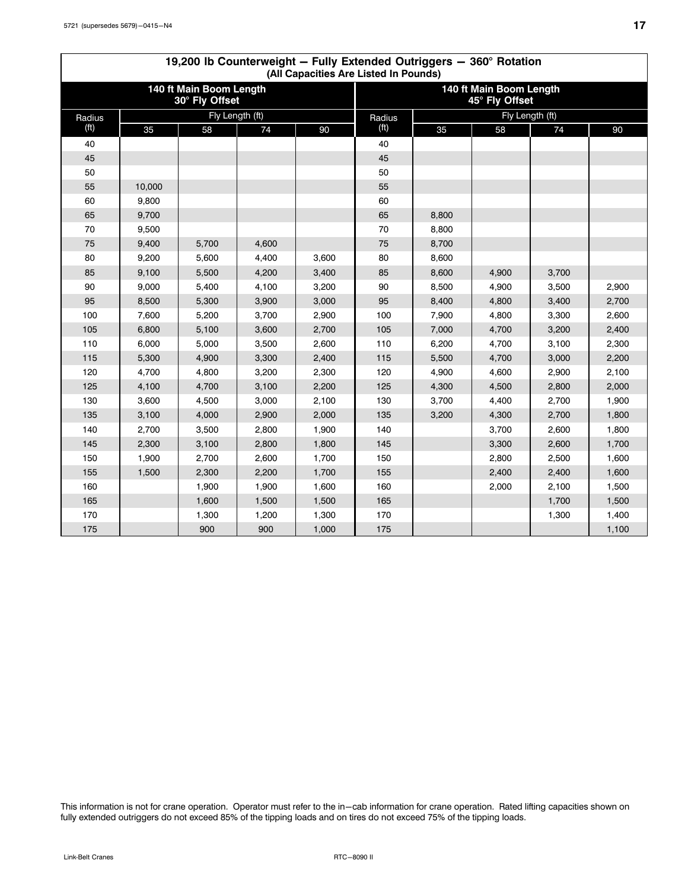<span id="page-20-0"></span>

|                   | 19,200 lb Counterweight - Fully Extended Outriggers - 360° Rotation<br>(All Capacities Are Listed In Pounds) |                                           |       |       |                   |       |                                           |       |       |  |  |  |  |
|-------------------|--------------------------------------------------------------------------------------------------------------|-------------------------------------------|-------|-------|-------------------|-------|-------------------------------------------|-------|-------|--|--|--|--|
|                   |                                                                                                              | 140 ft Main Boom Length<br>30° Fly Offset |       |       |                   |       | 140 ft Main Boom Length<br>45° Fly Offset |       |       |  |  |  |  |
| Radius            |                                                                                                              | Fly Length (ft)                           |       |       | Radius            |       | Fly Length (ft)                           |       |       |  |  |  |  |
| (f <sup>t</sup> ) | 35                                                                                                           | 58                                        | 74    | 90    | (f <sup>t</sup> ) | 35    | 58                                        | 74    | 90    |  |  |  |  |
| 40                |                                                                                                              |                                           |       |       | 40                |       |                                           |       |       |  |  |  |  |
| 45                |                                                                                                              |                                           |       |       | 45                |       |                                           |       |       |  |  |  |  |
| 50                |                                                                                                              |                                           |       |       | 50                |       |                                           |       |       |  |  |  |  |
| 55                | 10,000                                                                                                       |                                           |       |       | 55                |       |                                           |       |       |  |  |  |  |
| 60                | 9,800                                                                                                        |                                           |       |       | 60                |       |                                           |       |       |  |  |  |  |
| 65                | 9,700                                                                                                        |                                           |       |       | 65                | 8,800 |                                           |       |       |  |  |  |  |
| 70                | 9,500                                                                                                        |                                           |       |       | 70                | 8,800 |                                           |       |       |  |  |  |  |
| 75                | 9,400                                                                                                        | 5,700                                     | 4,600 |       | 75                | 8,700 |                                           |       |       |  |  |  |  |
| 80                | 9,200                                                                                                        | 5,600                                     | 4,400 | 3,600 | 80                | 8,600 |                                           |       |       |  |  |  |  |
| 85                | 9,100                                                                                                        | 5,500                                     | 4,200 | 3,400 | 85                | 8,600 | 4,900                                     | 3,700 |       |  |  |  |  |
| 90                | 9,000                                                                                                        | 5,400                                     | 4,100 | 3,200 | 90                | 8,500 | 4,900                                     | 3,500 | 2,900 |  |  |  |  |
| 95                | 8,500                                                                                                        | 5,300                                     | 3,900 | 3,000 | 95                | 8,400 | 4,800                                     | 3,400 | 2,700 |  |  |  |  |
| 100               | 7,600                                                                                                        | 5,200                                     | 3,700 | 2,900 | 100               | 7,900 | 4,800                                     | 3,300 | 2,600 |  |  |  |  |
| 105               | 6,800                                                                                                        | 5,100                                     | 3,600 | 2,700 | 105               | 7,000 | 4,700                                     | 3,200 | 2,400 |  |  |  |  |
| 110               | 6,000                                                                                                        | 5,000                                     | 3,500 | 2,600 | 110               | 6,200 | 4,700                                     | 3,100 | 2,300 |  |  |  |  |
| 115               | 5,300                                                                                                        | 4,900                                     | 3,300 | 2,400 | 115               | 5,500 | 4,700                                     | 3,000 | 2,200 |  |  |  |  |
| 120               | 4,700                                                                                                        | 4,800                                     | 3,200 | 2,300 | 120               | 4,900 | 4,600                                     | 2,900 | 2,100 |  |  |  |  |
| 125               | 4,100                                                                                                        | 4,700                                     | 3,100 | 2,200 | 125               | 4,300 | 4,500                                     | 2,800 | 2,000 |  |  |  |  |
| 130               | 3,600                                                                                                        | 4,500                                     | 3,000 | 2,100 | 130               | 3,700 | 4,400                                     | 2,700 | 1,900 |  |  |  |  |
| 135               | 3,100                                                                                                        | 4,000                                     | 2,900 | 2,000 | 135               | 3,200 | 4,300                                     | 2,700 | 1,800 |  |  |  |  |
| 140               | 2,700                                                                                                        | 3,500                                     | 2,800 | 1,900 | 140               |       | 3,700                                     | 2,600 | 1,800 |  |  |  |  |
| 145               | 2,300                                                                                                        | 3,100                                     | 2,800 | 1,800 | 145               |       | 3,300                                     | 2,600 | 1,700 |  |  |  |  |
| 150               | 1,900                                                                                                        | 2,700                                     | 2,600 | 1,700 | 150               |       | 2,800                                     | 2,500 | 1,600 |  |  |  |  |
| 155               | 1,500                                                                                                        | 2,300                                     | 2,200 | 1,700 | 155               |       | 2,400                                     | 2,400 | 1,600 |  |  |  |  |
| 160               |                                                                                                              | 1,900                                     | 1,900 | 1,600 | 160               |       | 2,000                                     | 2,100 | 1,500 |  |  |  |  |
| 165               |                                                                                                              | 1,600                                     | 1,500 | 1,500 | 165               |       |                                           | 1,700 | 1,500 |  |  |  |  |
| 170               |                                                                                                              | 1,300                                     | 1,200 | 1,300 | 170               |       |                                           | 1,300 | 1,400 |  |  |  |  |
| 175               |                                                                                                              | 900                                       | 900   | 1,000 | 175               |       |                                           |       | 1,100 |  |  |  |  |

### **19,200 lb Counterweight - Fully Extended Outriggers - 360° Rotation**

This information is not for crane operation. Operator must refer to the in-cab information for crane operation. Rated lifting capacities shown on fully extended outriggers do not exceed 85% of the tipping loads and on tires do not exceed 75% of the tipping loads.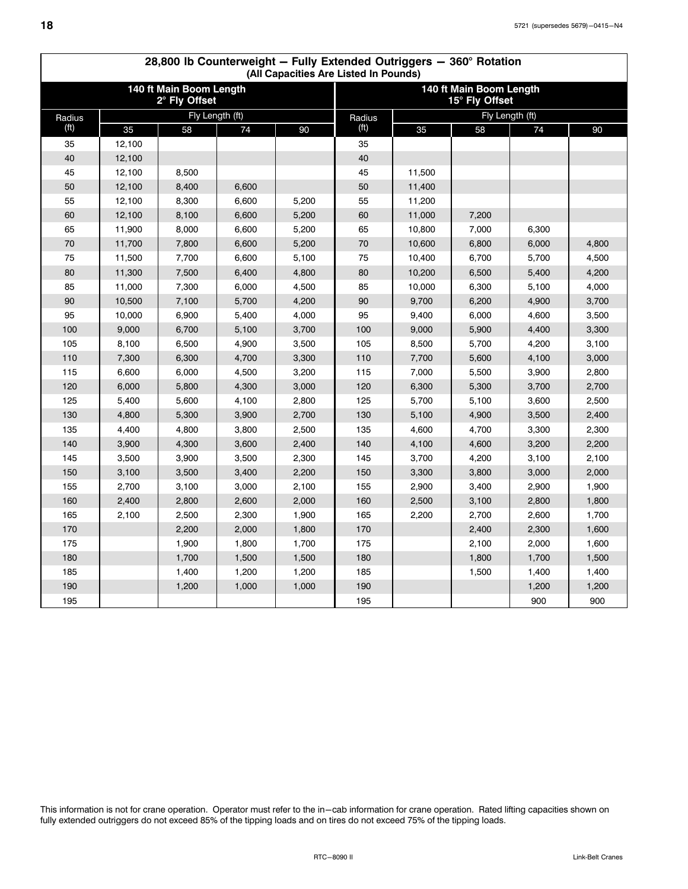Ē

|                   |        |                                          |       | 28,800 lb Counterweight – Fully Extended Outriggers – 360° Rotation<br>(All Capacities Are Listed In Pounds) |                   |        |                                           |       |       |
|-------------------|--------|------------------------------------------|-------|--------------------------------------------------------------------------------------------------------------|-------------------|--------|-------------------------------------------|-------|-------|
|                   |        | 140 ft Main Boom Length<br>2° Fly Offset |       |                                                                                                              |                   |        | 140 ft Main Boom Length<br>15° Fly Offset |       |       |
| Radius            |        | Fly Length (ft)                          |       |                                                                                                              | Radius            |        | Fly Length (ft)                           |       |       |
| (f <sup>t</sup> ) | 35     | 58                                       | 74    | 90                                                                                                           | (f <sup>t</sup> ) | 35     | 58                                        | 74    | 90    |
| 35                | 12,100 |                                          |       |                                                                                                              | 35                |        |                                           |       |       |
| 40                | 12,100 |                                          |       |                                                                                                              | 40                |        |                                           |       |       |
| 45                | 12,100 | 8,500                                    |       |                                                                                                              | 45                | 11,500 |                                           |       |       |
| 50                | 12,100 | 8,400                                    | 6,600 |                                                                                                              | 50                | 11,400 |                                           |       |       |
| 55                | 12,100 | 8,300                                    | 6,600 | 5,200                                                                                                        | 55                | 11,200 |                                           |       |       |
| 60                | 12,100 | 8,100                                    | 6,600 | 5,200                                                                                                        | 60                | 11,000 | 7,200                                     |       |       |
| 65                | 11,900 | 8,000                                    | 6,600 | 5,200                                                                                                        | 65                | 10,800 | 7,000                                     | 6,300 |       |
| 70                | 11,700 | 7,800                                    | 6,600 | 5,200                                                                                                        | 70                | 10,600 | 6,800                                     | 6,000 | 4,800 |
| 75                | 11,500 | 7,700                                    | 6,600 | 5,100                                                                                                        | 75                | 10,400 | 6,700                                     | 5,700 | 4,500 |
| 80                | 11,300 | 7,500                                    | 6,400 | 4,800                                                                                                        | 80                | 10,200 | 6,500                                     | 5,400 | 4,200 |
| 85                | 11,000 | 7,300                                    | 6,000 | 4,500                                                                                                        | 85                | 10,000 | 6,300                                     | 5,100 | 4,000 |
| 90                | 10,500 | 7,100                                    | 5,700 | 4,200                                                                                                        | 90                | 9,700  | 6,200                                     | 4,900 | 3,700 |
| 95                | 10,000 | 6,900                                    | 5,400 | 4,000                                                                                                        | 95                | 9,400  | 6,000                                     | 4,600 | 3,500 |
| 100               | 9,000  | 6,700                                    | 5,100 | 3,700                                                                                                        | 100               | 9,000  | 5,900                                     | 4,400 | 3,300 |
| 105               | 8,100  | 6,500                                    | 4,900 | 3,500                                                                                                        | 105               | 8,500  | 5,700                                     | 4,200 | 3,100 |
| 110               | 7,300  | 6,300                                    | 4,700 | 3,300                                                                                                        | 110               | 7,700  | 5,600                                     | 4,100 | 3,000 |
| 115               | 6,600  | 6,000                                    | 4,500 | 3,200                                                                                                        | 115               | 7,000  | 5,500                                     | 3,900 | 2,800 |
| 120               | 6,000  | 5,800                                    | 4,300 | 3,000                                                                                                        | 120               | 6,300  | 5,300                                     | 3,700 | 2,700 |
| 125               | 5,400  | 5,600                                    | 4,100 | 2,800                                                                                                        | 125               | 5,700  | 5,100                                     | 3,600 | 2,500 |
| 130               | 4,800  | 5,300                                    | 3,900 | 2,700                                                                                                        | 130               | 5,100  | 4,900                                     | 3,500 | 2,400 |
| 135               | 4,400  | 4,800                                    | 3,800 | 2,500                                                                                                        | 135               | 4,600  | 4,700                                     | 3,300 | 2,300 |
| 140               | 3,900  | 4,300                                    | 3,600 | 2,400                                                                                                        | 140               | 4,100  | 4,600                                     | 3,200 | 2,200 |
| 145               | 3,500  | 3,900                                    | 3,500 | 2,300                                                                                                        | 145               | 3,700  | 4,200                                     | 3,100 | 2,100 |
| 150               | 3,100  | 3,500                                    | 3,400 | 2,200                                                                                                        | 150               | 3,300  | 3,800                                     | 3,000 | 2,000 |
| 155               | 2,700  | 3,100                                    | 3,000 | 2,100                                                                                                        | 155               | 2,900  | 3,400                                     | 2,900 | 1,900 |
| 160               | 2,400  | 2,800                                    | 2,600 | 2,000                                                                                                        | 160               | 2,500  | 3,100                                     | 2,800 | 1,800 |
| 165               | 2,100  | 2,500                                    | 2,300 | 1,900                                                                                                        | 165               | 2,200  | 2,700                                     | 2,600 | 1,700 |
| 170               |        | 2,200                                    | 2,000 | 1,800                                                                                                        | 170               |        | 2,400                                     | 2,300 | 1,600 |
| 175               |        | 1,900                                    | 1,800 | 1,700                                                                                                        | 175               |        | 2,100                                     | 2,000 | 1,600 |
| 180               |        | 1,700                                    | 1,500 | 1,500                                                                                                        | 180               |        | 1,800                                     | 1,700 | 1,500 |
| 185               |        | 1,400                                    | 1,200 | 1,200                                                                                                        | 185               |        | 1,500                                     | 1,400 | 1,400 |
| 190               |        | 1,200                                    | 1,000 | 1,000                                                                                                        | 190               |        |                                           | 1,200 | 1,200 |
| 195               |        |                                          |       |                                                                                                              | 195               |        |                                           | 900   | 900   |

### 28,800 lb Counterweight -- Fully Extended Outriggers -- 360° Rotation

This information is not for crane operation. Operator must refer to the in-cab information for crane operation. Rated lifting capacities shown on fully extended outriggers do not exceed 85% of the tipping loads and on tires do not exceed 75% of the tipping loads.

<span id="page-21-0"></span> $\mathsf{r}$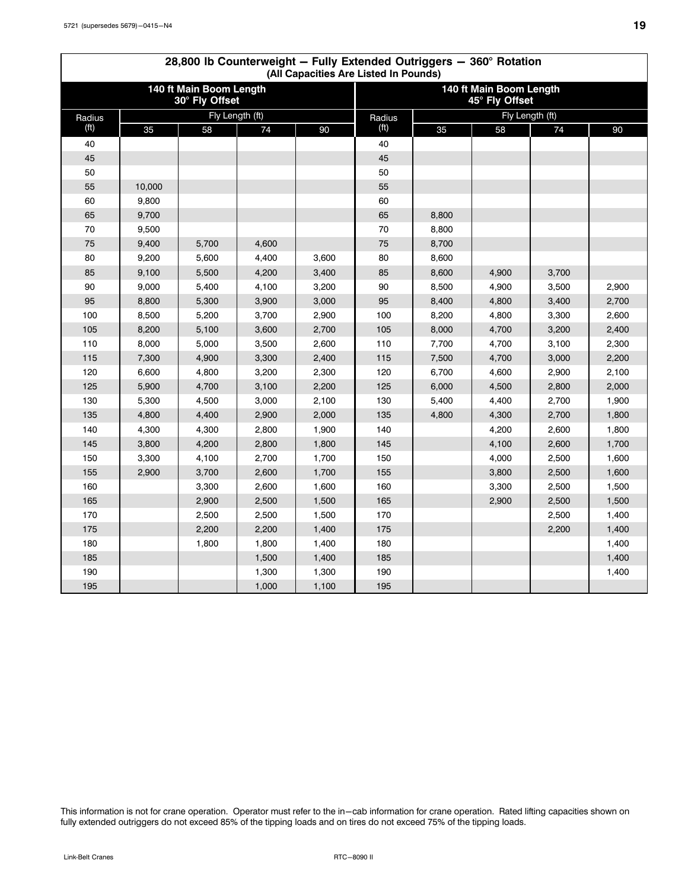<span id="page-22-0"></span>Г

|                   | 20,000 ib Counterweight – Funy Extended Outriggers – 300 Notation<br>(All Capacities Are Listed In Pounds) |                                           |       |       |                   |       |                                           |                 |       |  |  |  |  |
|-------------------|------------------------------------------------------------------------------------------------------------|-------------------------------------------|-------|-------|-------------------|-------|-------------------------------------------|-----------------|-------|--|--|--|--|
|                   |                                                                                                            | 140 ft Main Boom Length<br>30° Fly Offset |       |       |                   |       | 140 ft Main Boom Length<br>45° Fly Offset |                 |       |  |  |  |  |
| Radius            |                                                                                                            | Fly Length (ft)                           |       |       | Radius            |       |                                           | Fly Length (ft) |       |  |  |  |  |
| (f <sup>t</sup> ) | 35                                                                                                         | 58                                        | 74    | 90    | (f <sup>t</sup> ) | 35    | 58                                        | 74              | 90    |  |  |  |  |
| 40                |                                                                                                            |                                           |       |       | 40                |       |                                           |                 |       |  |  |  |  |
| 45                |                                                                                                            |                                           |       |       | 45                |       |                                           |                 |       |  |  |  |  |
| 50                |                                                                                                            |                                           |       |       | 50                |       |                                           |                 |       |  |  |  |  |
| 55                | 10,000                                                                                                     |                                           |       |       | 55                |       |                                           |                 |       |  |  |  |  |
| 60                | 9,800                                                                                                      |                                           |       |       | 60                |       |                                           |                 |       |  |  |  |  |
| 65                | 9,700                                                                                                      |                                           |       |       | 65                | 8,800 |                                           |                 |       |  |  |  |  |
| 70                | 9,500                                                                                                      |                                           |       |       | 70                | 8,800 |                                           |                 |       |  |  |  |  |
| 75                | 9,400                                                                                                      | 5,700                                     | 4,600 |       | 75                | 8,700 |                                           |                 |       |  |  |  |  |
| 80                | 9,200                                                                                                      | 5,600                                     | 4,400 | 3,600 | 80                | 8,600 |                                           |                 |       |  |  |  |  |
| 85                | 9,100                                                                                                      | 5,500                                     | 4,200 | 3,400 | 85                | 8,600 | 4,900                                     | 3,700           |       |  |  |  |  |
| 90                | 9,000                                                                                                      | 5,400                                     | 4,100 | 3,200 | 90                | 8,500 | 4,900                                     | 3,500           | 2,900 |  |  |  |  |
| 95                | 8,800                                                                                                      | 5,300                                     | 3,900 | 3,000 | 95                | 8,400 | 4,800                                     | 3,400           | 2,700 |  |  |  |  |
| 100               | 8,500                                                                                                      | 5,200                                     | 3,700 | 2,900 | 100               | 8,200 | 4,800                                     | 3,300           | 2,600 |  |  |  |  |
| 105               | 8,200                                                                                                      | 5,100                                     | 3,600 | 2,700 | 105               | 8,000 | 4,700                                     | 3,200           | 2,400 |  |  |  |  |
| 110               | 8,000                                                                                                      | 5,000                                     | 3,500 | 2,600 | 110               | 7,700 | 4,700                                     | 3,100           | 2,300 |  |  |  |  |
| 115               | 7,300                                                                                                      | 4,900                                     | 3,300 | 2,400 | 115               | 7,500 | 4,700                                     | 3,000           | 2,200 |  |  |  |  |
| 120               | 6,600                                                                                                      | 4,800                                     | 3,200 | 2,300 | 120               | 6,700 | 4,600                                     | 2,900           | 2,100 |  |  |  |  |
| 125               | 5,900                                                                                                      | 4,700                                     | 3,100 | 2,200 | 125               | 6,000 | 4,500                                     | 2,800           | 2,000 |  |  |  |  |
| 130               | 5,300                                                                                                      | 4,500                                     | 3,000 | 2,100 | 130               | 5,400 | 4,400                                     | 2,700           | 1,900 |  |  |  |  |
| 135               | 4,800                                                                                                      | 4,400                                     | 2,900 | 2,000 | 135               | 4,800 | 4,300                                     | 2,700           | 1,800 |  |  |  |  |
| 140               | 4,300                                                                                                      | 4,300                                     | 2,800 | 1,900 | 140               |       | 4,200                                     | 2,600           | 1,800 |  |  |  |  |
| 145               | 3,800                                                                                                      | 4,200                                     | 2,800 | 1,800 | 145               |       | 4,100                                     | 2,600           | 1,700 |  |  |  |  |
| 150               | 3,300                                                                                                      | 4,100                                     | 2,700 | 1,700 | 150               |       | 4,000                                     | 2,500           | 1,600 |  |  |  |  |
| 155               | 2,900                                                                                                      | 3,700                                     | 2,600 | 1,700 | 155               |       | 3,800                                     | 2,500           | 1,600 |  |  |  |  |
| 160               |                                                                                                            | 3,300                                     | 2,600 | 1,600 | 160               |       | 3,300                                     | 2,500           | 1,500 |  |  |  |  |
| 165               |                                                                                                            | 2,900                                     | 2,500 | 1,500 | 165               |       | 2,900                                     | 2,500           | 1,500 |  |  |  |  |
| 170               |                                                                                                            | 2,500                                     | 2,500 | 1,500 | 170               |       |                                           | 2,500           | 1,400 |  |  |  |  |
| 175               |                                                                                                            | 2,200                                     | 2,200 | 1,400 | 175               |       |                                           | 2,200           | 1,400 |  |  |  |  |
| 180               |                                                                                                            | 1,800                                     | 1,800 | 1,400 | 180               |       |                                           |                 | 1,400 |  |  |  |  |
| 185               |                                                                                                            |                                           | 1,500 | 1,400 | 185               |       |                                           |                 | 1,400 |  |  |  |  |
| 190               |                                                                                                            |                                           | 1,300 | 1,300 | 190               |       |                                           |                 | 1,400 |  |  |  |  |
| 195               |                                                                                                            |                                           | 1,000 | 1,100 | 195               |       |                                           |                 |       |  |  |  |  |

### **28,800 lb Counterweight - Fully Extended Outriggers - 360° Rotation**

This information is not for crane operation. Operator must refer to the in-cab information for crane operation. Rated lifting capacities shown on fully extended outriggers do not exceed 85% of the tipping loads and on tires do not exceed 75% of the tipping loads.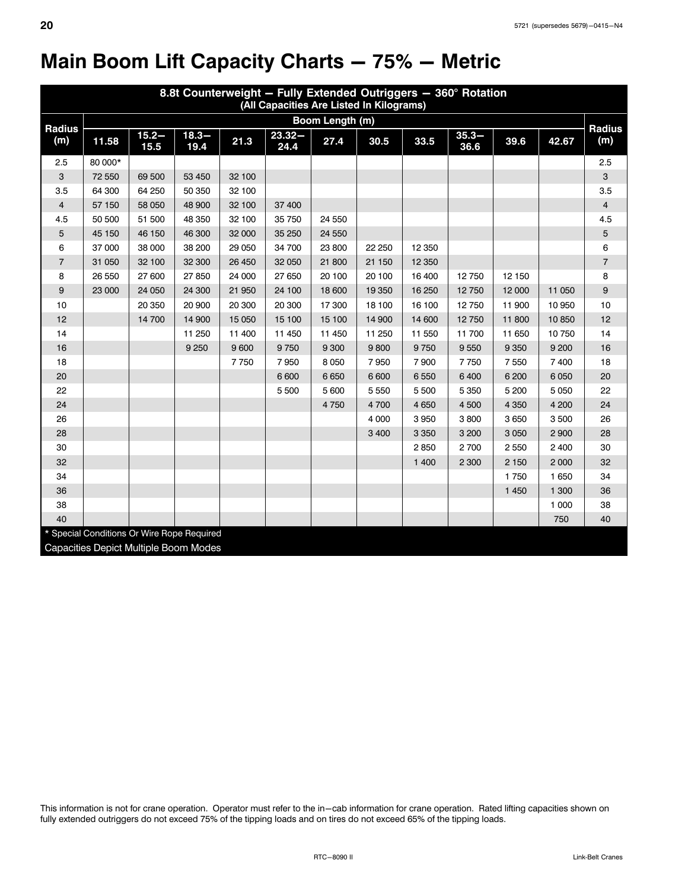<span id="page-23-0"></span>

|  |  |  | Main Boom Lift Capacity Charts - 75% - Metric |  |  |
|--|--|--|-----------------------------------------------|--|--|
|--|--|--|-----------------------------------------------|--|--|

|                      | 8.8t Counterweight - Fully Extended Outriggers - 360° Rotation<br>(All Capacities Are Listed In Kilograms) |                                            |                  |         |                   |                 |         |         |                  |         |         |                |
|----------------------|------------------------------------------------------------------------------------------------------------|--------------------------------------------|------------------|---------|-------------------|-----------------|---------|---------|------------------|---------|---------|----------------|
|                      |                                                                                                            |                                            |                  |         |                   | Boom Length (m) |         |         |                  |         |         |                |
| <b>Radius</b><br>(m) | 11.58                                                                                                      | $15.2 -$<br>15.5                           | $18.3 -$<br>19.4 | 21.3    | $23.32 -$<br>24.4 | 27.4            | 30.5    | 33.5    | $35.3 -$<br>36.6 | 39.6    | 42.67   | Radius<br>(m)  |
| 2.5                  | 80 000*                                                                                                    |                                            |                  |         |                   |                 |         |         |                  |         |         | 2.5            |
| 3                    | 72 550                                                                                                     | 69 500                                     | 53 450           | 32 100  |                   |                 |         |         |                  |         |         | 3              |
| 3.5                  | 64 300                                                                                                     | 64 250                                     | 50 350           | 32 100  |                   |                 |         |         |                  |         |         | 3.5            |
| $\overline{4}$       | 57 150                                                                                                     | 58 050                                     | 48 900           | 32 100  | 37 400            |                 |         |         |                  |         |         | $\overline{4}$ |
| 4.5                  | 50 500                                                                                                     | 51 500                                     | 48 350           | 32 100  | 35 750            | 24 550          |         |         |                  |         |         | 4.5            |
| 5                    | 45 150                                                                                                     | 46 150                                     | 46 300           | 32 000  | 35 250            | 24 550          |         |         |                  |         |         | 5              |
| 6                    | 37 000                                                                                                     | 38 000                                     | 38 200           | 29 050  | 34 700            | 23 800          | 22 250  | 12 350  |                  |         |         | 6              |
| $\overline{7}$       | 31 050                                                                                                     | 32 100                                     | 32 300           | 26 450  | 32 050            | 21 800          | 21 150  | 12 3 50 |                  |         |         | $\overline{7}$ |
| 8                    | 26 550                                                                                                     | 27 600                                     | 27 850           | 24 000  | 27 650            | 20 100          | 20 100  | 16 400  | 12750            | 12 150  |         | 8              |
| 9                    | 23 000                                                                                                     | 24 050                                     | 24 300           | 21 950  | 24 100            | 18 600          | 19 350  | 16 250  | 12750            | 12 000  | 11 050  | 9              |
| 10                   |                                                                                                            | 20 350                                     | 20 900           | 20 300  | 20 300            | 17 300          | 18 100  | 16 100  | 12750            | 11 900  | 10 950  | 10             |
| 12                   |                                                                                                            | 14 700                                     | 14 900           | 15 0 50 | 15 100            | 15 100          | 14 900  | 14 600  | 12750            | 11 800  | 10850   | 12             |
| 14                   |                                                                                                            |                                            | 11 250           | 11 400  | 11 450            | 11 450          | 11 250  | 11 550  | 11 700           | 11 650  | 10750   | 14             |
| 16                   |                                                                                                            |                                            | 9 2 5 0          | 9600    | 9750              | 9 3 0 0         | 9800    | 9750    | 9 5 5 0          | 9 3 5 0 | 9 200   | 16             |
| 18                   |                                                                                                            |                                            |                  | 7750    | 7950              | 8 0 5 0         | 7950    | 7900    | 7750             | 7550    | 7 400   | 18             |
| 20                   |                                                                                                            |                                            |                  |         | 6 600             | 6650            | 6 600   | 6550    | 6 4 0 0          | 6 200   | 6 0 5 0 | 20             |
| 22                   |                                                                                                            |                                            |                  |         | 5 500             | 5 600           | 5 5 5 0 | 5 500   | 5 3 5 0          | 5 200   | 5 0 5 0 | 22             |
| 24                   |                                                                                                            |                                            |                  |         |                   | 4750            | 4700    | 4 6 5 0 | 4 500            | 4 3 5 0 | 4 200   | 24             |
| 26                   |                                                                                                            |                                            |                  |         |                   |                 | 4 0 0 0 | 3950    | 3800             | 3650    | 3500    | 26             |
| 28                   |                                                                                                            |                                            |                  |         |                   |                 | 3 4 0 0 | 3 3 5 0 | 3 200            | 3 0 5 0 | 2 9 0 0 | 28             |
| 30                   |                                                                                                            |                                            |                  |         |                   |                 |         | 2850    | 2700             | 2550    | 2 4 0 0 | 30             |
| 32                   |                                                                                                            |                                            |                  |         |                   |                 |         | 1 400   | 2 3 0 0          | 2 1 5 0 | 2 0 0 0 | 32             |
| 34                   |                                                                                                            |                                            |                  |         |                   |                 |         |         |                  | 1750    | 1 650   | 34             |
| 36                   |                                                                                                            |                                            |                  |         |                   |                 |         |         |                  | 1 4 5 0 | 1 300   | 36             |
| 38                   |                                                                                                            |                                            |                  |         |                   |                 |         |         |                  |         | 1 0 0 0 | 38             |
| 40                   |                                                                                                            |                                            |                  |         |                   |                 |         |         |                  |         | 750     | 40             |
|                      |                                                                                                            | * Special Conditions Or Wire Rope Required |                  |         |                   |                 |         |         |                  |         |         |                |
|                      | Capacities Depict Multiple Boom Modes                                                                      |                                            |                  |         |                   |                 |         |         |                  |         |         |                |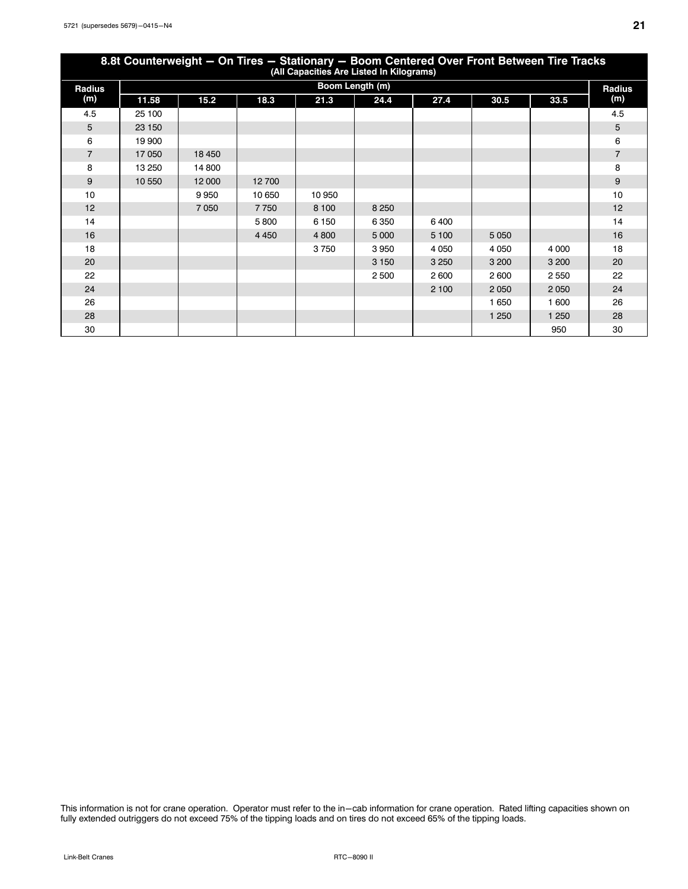<span id="page-24-0"></span>

| 8.8t Counterweight - On Tires - Stationary - Boom Centered Over Front Between Tire Tracks<br>(All Capacities Are Listed In Kilograms) |        |         |         |         |                 |         |         |         |                |  |  |
|---------------------------------------------------------------------------------------------------------------------------------------|--------|---------|---------|---------|-----------------|---------|---------|---------|----------------|--|--|
| <b>Radius</b>                                                                                                                         |        |         |         |         | Boom Length (m) |         |         |         | <b>Radius</b>  |  |  |
| (m)                                                                                                                                   | 11.58  | 15.2    | 18.3    | 21.3    | 24.4            | 27.4    | 30.5    | 33.5    | (m)            |  |  |
| 4.5                                                                                                                                   | 25 100 |         |         |         |                 |         |         |         | 4.5            |  |  |
| 5                                                                                                                                     | 23 150 |         |         |         |                 |         |         |         | 5              |  |  |
| 6                                                                                                                                     | 19 900 |         |         |         |                 |         |         |         | 6              |  |  |
| $\overline{7}$                                                                                                                        | 17 050 | 18 450  |         |         |                 |         |         |         | $\overline{7}$ |  |  |
| 8                                                                                                                                     | 13 250 | 14 800  |         |         |                 |         |         |         | 8              |  |  |
| 9                                                                                                                                     | 10 550 | 12 000  | 12700   |         |                 |         |         |         | 9              |  |  |
| 10                                                                                                                                    |        | 9950    | 10 650  | 10 950  |                 |         |         |         | 10             |  |  |
| 12                                                                                                                                    |        | 7 0 5 0 | 7750    | 8 100   | 8 2 5 0         |         |         |         | 12             |  |  |
| 14                                                                                                                                    |        |         | 5800    | 6 1 5 0 | 6 3 5 0         | 6400    |         |         | 14             |  |  |
| 16                                                                                                                                    |        |         | 4 4 5 0 | 4 800   | 5 0 0 0         | 5 1 0 0 | 5 0 5 0 |         | 16             |  |  |
| 18                                                                                                                                    |        |         |         | 3750    | 3950            | 4 0 5 0 | 4 0 5 0 | 4 0 0 0 | 18             |  |  |
| 20                                                                                                                                    |        |         |         |         | 3 1 5 0         | 3 2 5 0 | 3 2 0 0 | 3 200   | 20             |  |  |
| 22                                                                                                                                    |        |         |         |         | 2 500           | 2600    | 2600    | 2 5 5 0 | 22             |  |  |
| 24                                                                                                                                    |        |         |         |         |                 | 2 100   | 2050    | 2 0 5 0 | 24             |  |  |
| 26                                                                                                                                    |        |         |         |         |                 |         | 1 650   | 1 600   | 26             |  |  |
| 28                                                                                                                                    |        |         |         |         |                 |         | 1 2 5 0 | 1 250   | 28             |  |  |
| 30                                                                                                                                    |        |         |         |         |                 |         |         | 950     | 30             |  |  |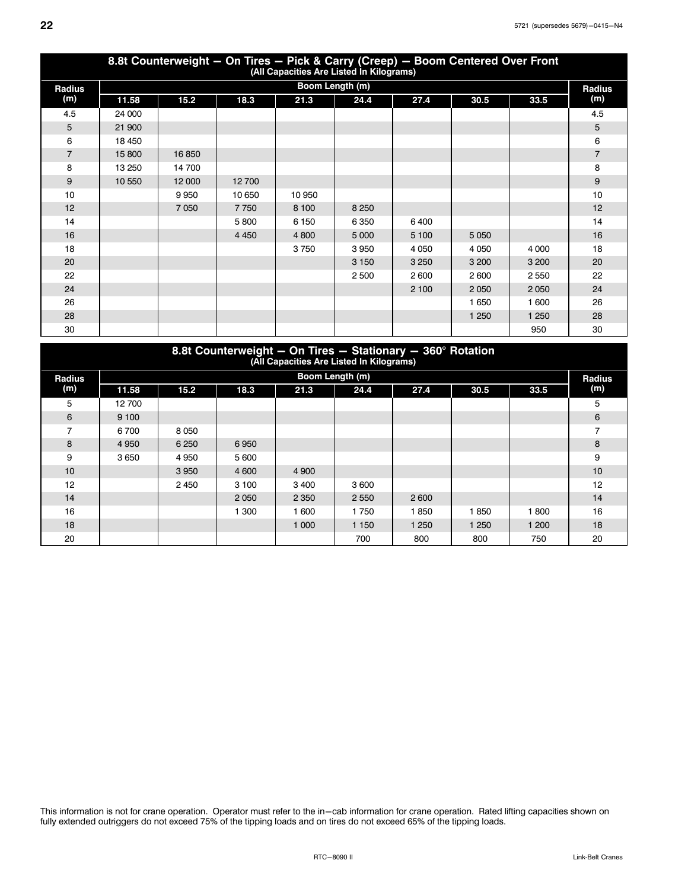<span id="page-25-0"></span>

| 8.8t Counterweight - On Tires - Pick & Carry (Creep) - Boom Centered Over Front<br>(All Capacities Are Listed In Kilograms) |        |         |         |         |                 |         |         |         |                |  |  |  |
|-----------------------------------------------------------------------------------------------------------------------------|--------|---------|---------|---------|-----------------|---------|---------|---------|----------------|--|--|--|
| <b>Radius</b>                                                                                                               |        |         |         |         | Boom Length (m) |         |         |         | Radius         |  |  |  |
| (m)                                                                                                                         | 11.58  | 15.2    | 18.3    | 21.3    | 24.4            | 27.4    | 30.5    | 33.5    | (m)            |  |  |  |
| 4.5                                                                                                                         | 24 000 |         |         |         |                 |         |         |         | 4.5            |  |  |  |
| 5                                                                                                                           | 21 900 |         |         |         |                 |         |         |         | 5              |  |  |  |
| 6                                                                                                                           | 18 450 |         |         |         |                 |         |         |         | 6              |  |  |  |
| $\overline{7}$                                                                                                              | 15 800 | 16850   |         |         |                 |         |         |         | $\overline{7}$ |  |  |  |
| 8                                                                                                                           | 13 250 | 14 700  |         |         |                 |         |         |         | 8              |  |  |  |
| 9                                                                                                                           | 10 550 | 12 000  | 12700   |         |                 |         |         |         | 9              |  |  |  |
| 10                                                                                                                          |        | 9950    | 10 650  | 10 950  |                 |         |         |         | 10             |  |  |  |
| 12                                                                                                                          |        | 7 0 5 0 | 7750    | 8 100   | 8 2 5 0         |         |         |         | 12             |  |  |  |
| 14                                                                                                                          |        |         | 5800    | 6 1 5 0 | 6 3 5 0         | 6400    |         |         | 14             |  |  |  |
| 16                                                                                                                          |        |         | 4 4 5 0 | 4 800   | 5 0 0 0         | 5 100   | 5 0 5 0 |         | 16             |  |  |  |
| 18                                                                                                                          |        |         |         | 3750    | 3950            | 4 0 5 0 | 4 0 5 0 | 4 0 0 0 | 18             |  |  |  |
| 20                                                                                                                          |        |         |         |         | 3 1 5 0         | 3 2 5 0 | 3 2 0 0 | 3 200   | 20             |  |  |  |
| 22                                                                                                                          |        |         |         |         | 2 500           | 2600    | 2600    | 2 5 5 0 | 22             |  |  |  |
| 24                                                                                                                          |        |         |         |         |                 | 2 100   | 2 0 5 0 | 2050    | 24             |  |  |  |
| 26                                                                                                                          |        |         |         |         |                 |         | 1 650   | 1 600   | 26             |  |  |  |
| 28                                                                                                                          |        |         |         |         |                 |         | 1 2 5 0 | 1 2 5 0 | 28             |  |  |  |
| 30                                                                                                                          |        |         |         |         |                 |         |         | 950     | 30             |  |  |  |

| 8.8t Counterweight - On Tires - Stationary - 360° Rotation<br>(All Capacities Are Listed In Kilograms) |         |         |       |         |                 |       |       |       |        |  |  |  |
|--------------------------------------------------------------------------------------------------------|---------|---------|-------|---------|-----------------|-------|-------|-------|--------|--|--|--|
| <b>Radius</b>                                                                                          |         |         |       |         | Boom Length (m) |       |       |       | Radius |  |  |  |
| (m)                                                                                                    | 11.58   | 15.2    | 18.3  | 21.3    | 24.4            | 27.4  | 30.5  | 33.5  | (m)    |  |  |  |
| 5                                                                                                      | 12 700  |         |       |         |                 |       |       |       | 5      |  |  |  |
| 6                                                                                                      | 9 100   |         |       |         |                 |       |       |       | 6      |  |  |  |
| 7                                                                                                      | 6700    | 8 0 5 0 |       |         |                 |       |       |       |        |  |  |  |
| 8                                                                                                      | 4 9 5 0 | 6 2 5 0 | 6950  |         |                 |       |       |       | 8      |  |  |  |
| 9                                                                                                      | 3650    | 4 9 5 0 | 5 600 |         |                 |       |       |       | 9      |  |  |  |
| 10                                                                                                     |         | 3 9 5 0 | 4 600 | 4 9 0 0 |                 |       |       |       | 10     |  |  |  |
| $12 \overline{ }$                                                                                      |         | 2 4 5 0 | 3 100 | 3 4 0 0 | 3600            |       |       |       | 12     |  |  |  |
| 14                                                                                                     |         |         | 2050  | 2 3 5 0 | 2 5 5 0         | 2600  |       |       | 14     |  |  |  |
| 16                                                                                                     |         |         | 1 300 | 1 600   | 1750            | 1850  | 1850  | 1800  | 16     |  |  |  |
| 18                                                                                                     |         |         |       | 1 0 0 0 | 1 1 5 0         | 1 250 | 1 250 | 1 200 | 18     |  |  |  |
| 20                                                                                                     |         |         |       |         | 700             | 800   | 800   | 750   | 20     |  |  |  |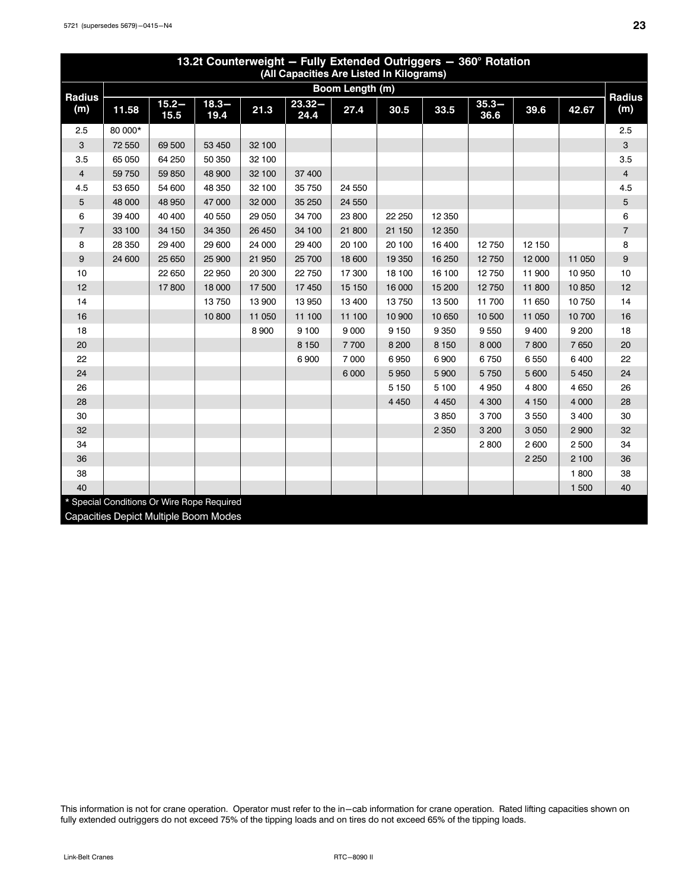<span id="page-26-0"></span>

| 13.2t Counterweight - Fully Extended Outriggers - 360° Rotation<br>(All Capacities Are Listed In Kilograms) |         |                                            |                  |        |                   |                 |         |         |                  |         |         |                         |
|-------------------------------------------------------------------------------------------------------------|---------|--------------------------------------------|------------------|--------|-------------------|-----------------|---------|---------|------------------|---------|---------|-------------------------|
|                                                                                                             |         |                                            |                  |        |                   | Boom Length (m) |         |         |                  |         |         |                         |
| <b>Radius</b><br>(m)                                                                                        | 11.58   | $15.2 -$<br>15.5                           | $18.3 -$<br>19.4 | 21.3   | $23.32 -$<br>24.4 | 27.4            | 30.5    | 33.5    | $35.3 -$<br>36.6 | 39.6    | 42.67   | <b>Radius</b><br>(m)    |
| 2.5                                                                                                         | 80 000* |                                            |                  |        |                   |                 |         |         |                  |         |         | 2.5                     |
| 3                                                                                                           | 72 550  | 69 500                                     | 53 450           | 32 100 |                   |                 |         |         |                  |         |         | 3                       |
| 3.5                                                                                                         | 65 050  | 64 250                                     | 50 350           | 32 100 |                   |                 |         |         |                  |         |         | 3.5                     |
| 4                                                                                                           | 59 750  | 59 850                                     | 48 900           | 32 100 | 37 400            |                 |         |         |                  |         |         | $\overline{\mathbf{4}}$ |
| 4.5                                                                                                         | 53 650  | 54 600                                     | 48 350           | 32 100 | 35 750            | 24 550          |         |         |                  |         |         | 4.5                     |
| 5                                                                                                           | 48 000  | 48 950                                     | 47 000           | 32 000 | 35 250            | 24 550          |         |         |                  |         |         | 5                       |
| 6                                                                                                           | 39 400  | 40 400                                     | 40 550           | 29 050 | 34 700            | 23 800          | 22 250  | 12 350  |                  |         |         | 6                       |
| $\overline{7}$                                                                                              | 33 100  | 34 150                                     | 34 350           | 26 450 | 34 100            | 21 800          | 21 150  | 12 350  |                  |         |         | $\overline{7}$          |
| 8                                                                                                           | 28 350  | 29 400                                     | 29 600           | 24 000 | 29 400            | 20 100          | 20 100  | 16 400  | 12750            | 12 150  |         | 8                       |
| 9                                                                                                           | 24 600  | 25 650                                     | 25 900           | 21 950 | 25 700            | 18 600          | 19 350  | 16 250  | 12750            | 12 000  | 11 050  | 9                       |
| 10                                                                                                          |         | 22 650                                     | 22 950           | 20 300 | 22750             | 17 300          | 18 100  | 16 100  | 12750            | 11 900  | 10 950  | 10                      |
| 12                                                                                                          |         | 17800                                      | 18 000           | 17 500 | 17 450            | 15 150          | 16 000  | 15 200  | 12750            | 11 800  | 10850   | 12                      |
| 14                                                                                                          |         |                                            | 13750            | 13 900 | 13 950            | 13 400          | 13750   | 13 500  | 11700            | 11 650  | 10750   | 14                      |
| 16                                                                                                          |         |                                            | 10 800           | 11 050 | 11 100            | 11 100          | 10 900  | 10 650  | 10 500           | 11 050  | 10700   | 16                      |
| 18                                                                                                          |         |                                            |                  | 8900   | 9 100             | 9 0 0 0         | 9 1 5 0 | 9 3 5 0 | 9550             | 9400    | 9 200   | 18                      |
| 20                                                                                                          |         |                                            |                  |        | 8 1 5 0           | 7700            | 8 2 0 0 | 8 1 5 0 | 8 0 0 0          | 7800    | 7650    | 20                      |
| 22                                                                                                          |         |                                            |                  |        | 6900              | 7 0 0 0         | 6950    | 6900    | 6750             | 6550    | 6400    | 22                      |
| 24                                                                                                          |         |                                            |                  |        |                   | 6 0 0 0         | 5 9 5 0 | 5 9 0 0 | 5750             | 5 600   | 5 4 5 0 | 24                      |
| 26                                                                                                          |         |                                            |                  |        |                   |                 | 5 1 5 0 | 5 100   | 4 9 5 0          | 4800    | 4 6 5 0 | 26                      |
| 28                                                                                                          |         |                                            |                  |        |                   |                 | 4 4 5 0 | 4 4 5 0 | 4 300            | 4 1 5 0 | 4 0 0 0 | 28                      |
| 30                                                                                                          |         |                                            |                  |        |                   |                 |         | 3850    | 3700             | 3550    | 3 4 0 0 | 30                      |
| 32                                                                                                          |         |                                            |                  |        |                   |                 |         | 2 3 5 0 | 3 200            | 3 0 5 0 | 2 9 0 0 | 32                      |
| 34                                                                                                          |         |                                            |                  |        |                   |                 |         |         | 2800             | 2600    | 2 500   | 34                      |
| 36                                                                                                          |         |                                            |                  |        |                   |                 |         |         |                  | 2 2 5 0 | 2 100   | 36                      |
| 38                                                                                                          |         |                                            |                  |        |                   |                 |         |         |                  |         | 1800    | 38                      |
| 40                                                                                                          |         |                                            |                  |        |                   |                 |         |         |                  |         | 1 500   | 40                      |
|                                                                                                             |         | * Special Conditions Or Wire Rope Required |                  |        |                   |                 |         |         |                  |         |         |                         |
|                                                                                                             |         | Capacities Depict Multiple Boom Modes      |                  |        |                   |                 |         |         |                  |         |         |                         |

Capacities Depict Multiple Boom Modes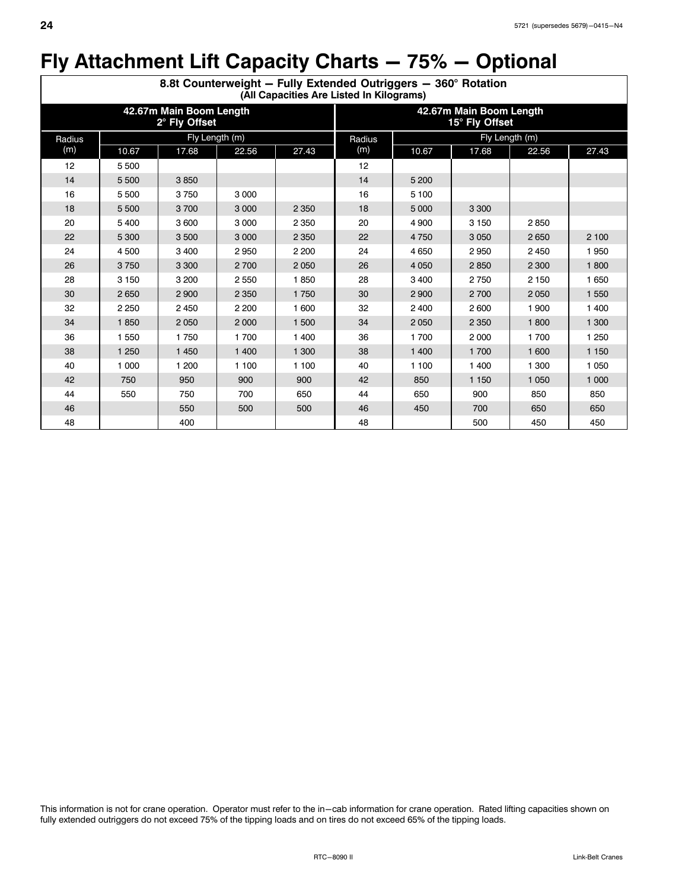### <span id="page-27-0"></span>**Fly Attachment Lift Capacity Charts - 75% - Optional**

|        | 8.8t Counterweight - Fully Extended Outriggers - 360° Rotation<br>(All Capacities Are Listed In Kilograms) |                                          |         |         |        |         |                                           |         |         |  |  |  |  |  |
|--------|------------------------------------------------------------------------------------------------------------|------------------------------------------|---------|---------|--------|---------|-------------------------------------------|---------|---------|--|--|--|--|--|
|        |                                                                                                            | 42.67m Main Boom Length<br>2° Fly Offset |         |         |        |         | 42.67m Main Boom Length<br>15° Fly Offset |         |         |  |  |  |  |  |
| Radius |                                                                                                            | Fly Length (m)                           |         |         | Radius |         | Fly Length (m)                            |         |         |  |  |  |  |  |
| (m)    | 10.67                                                                                                      | 17.68                                    | 22.56   | 27.43   | (m)    | 10.67   | 17.68                                     | 22.56   | 27.43   |  |  |  |  |  |
| 12     | 5 500                                                                                                      |                                          |         |         | 12     |         |                                           |         |         |  |  |  |  |  |
| 14     | 5 500                                                                                                      | 3850                                     |         |         | 14     | 5 200   |                                           |         |         |  |  |  |  |  |
| 16     | 5 500                                                                                                      | 3750                                     | 3 0 0 0 |         | 16     | 5 100   |                                           |         |         |  |  |  |  |  |
| 18     | 5 500                                                                                                      | 3700                                     | 3 0 0 0 | 2 3 5 0 | 18     | 5 0 0 0 | 3 3 0 0                                   |         |         |  |  |  |  |  |
| 20     | 5400                                                                                                       | 3600                                     | 3 0 0 0 | 2 3 5 0 | 20     | 4 9 0 0 | 3 1 5 0                                   | 2850    |         |  |  |  |  |  |
| 22     | 5 300                                                                                                      | 3500                                     | 3 0 0 0 | 2 3 5 0 | 22     | 4750    | 3 0 5 0                                   | 2650    | 2 100   |  |  |  |  |  |
| 24     | 4 500                                                                                                      | 3 4 0 0                                  | 2950    | 2 2 0 0 | 24     | 4650    | 2950                                      | 2 4 5 0 | 1950    |  |  |  |  |  |
| 26     | 3750                                                                                                       | 3 3 0 0                                  | 2700    | 2 0 5 0 | 26     | 4 0 5 0 | 2850                                      | 2 3 0 0 | 1800    |  |  |  |  |  |
| 28     | 3 1 5 0                                                                                                    | 3 200                                    | 2550    | 1850    | 28     | 3 4 0 0 | 2750                                      | 2 1 5 0 | 1 650   |  |  |  |  |  |
| 30     | 2650                                                                                                       | 2 9 0 0                                  | 2 3 5 0 | 1750    | 30     | 2900    | 2700                                      | 2 0 5 0 | 1 550   |  |  |  |  |  |
| 32     | 2 2 5 0                                                                                                    | 2 4 5 0                                  | 2 2 0 0 | 1 600   | 32     | 2 4 0 0 | 2600                                      | 1 900   | 1 400   |  |  |  |  |  |
| 34     | 1850                                                                                                       | 2 0 5 0                                  | 2000    | 1 500   | 34     | 2050    | 2 3 5 0                                   | 1800    | 1 300   |  |  |  |  |  |
| 36     | 1550                                                                                                       | 1750                                     | 1700    | 1 400   | 36     | 1700    | 2 0 0 0                                   | 1700    | 1 250   |  |  |  |  |  |
| 38     | 1 2 5 0                                                                                                    | 1 450                                    | 1 400   | 1 300   | 38     | 1 400   | 1 700                                     | 1 600   | 1 1 5 0 |  |  |  |  |  |
| 40     | 1 0 0 0                                                                                                    | 1 200                                    | 1 100   | 1 100   | 40     | 1 100   | 1 400                                     | 1 300   | 1 0 5 0 |  |  |  |  |  |
| 42     | 750                                                                                                        | 950                                      | 900     | 900     | 42     | 850     | 1 1 5 0                                   | 1 0 5 0 | 1 000   |  |  |  |  |  |
| 44     | 550                                                                                                        | 750                                      | 700     | 650     | 44     | 650     | 900                                       | 850     | 850     |  |  |  |  |  |
| 46     |                                                                                                            | 550                                      | 500     | 500     | 46     | 450     | 700                                       | 650     | 650     |  |  |  |  |  |
| 48     |                                                                                                            | 400                                      |         |         | 48     |         | 500                                       | 450     | 450     |  |  |  |  |  |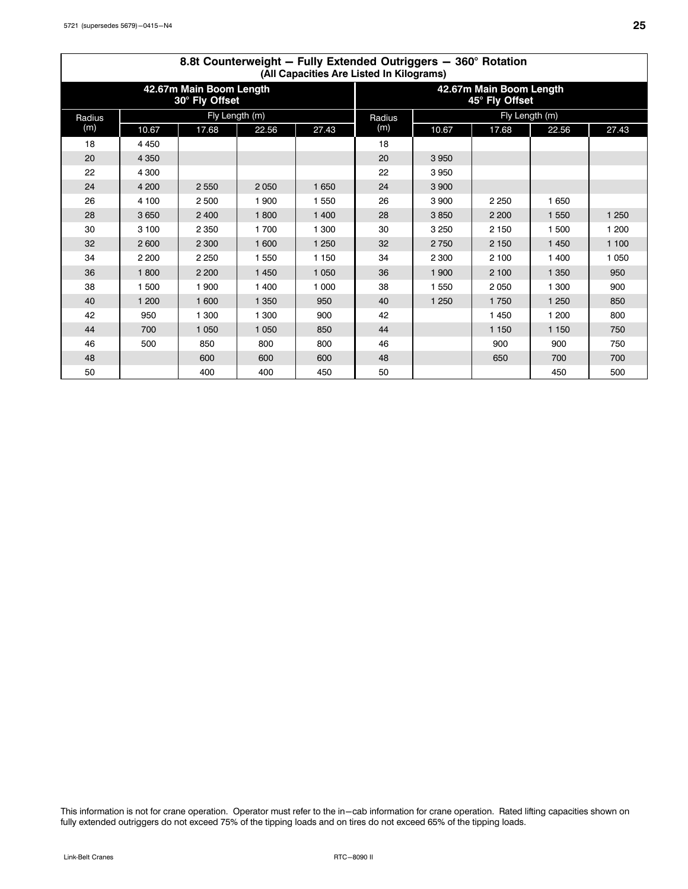ľ

<span id="page-28-0"></span>

|        | 8.8t Counterweight - Fully Extended Outriggers - 360° Rotation<br>(All Capacities Are Listed In Kilograms) |                                           |         |         |        |         |                                           |         |         |  |  |  |  |
|--------|------------------------------------------------------------------------------------------------------------|-------------------------------------------|---------|---------|--------|---------|-------------------------------------------|---------|---------|--|--|--|--|
|        |                                                                                                            | 42.67m Main Boom Length<br>30° Fly Offset |         |         |        |         | 42.67m Main Boom Length<br>45° Fly Offset |         |         |  |  |  |  |
| Radius |                                                                                                            | Fly Length (m)                            |         |         | Radius |         | Fly Length (m)                            |         |         |  |  |  |  |
| (m)    | 10.67                                                                                                      | 17.68                                     | 22.56   | 27.43   | (m)    | 10.67   | 17.68                                     | 22.56   | 27.43   |  |  |  |  |
| 18     | 4 4 5 0                                                                                                    |                                           |         |         | 18     |         |                                           |         |         |  |  |  |  |
| 20     | 4 3 5 0                                                                                                    |                                           |         |         | 20     | 3950    |                                           |         |         |  |  |  |  |
| 22     | 4 300                                                                                                      |                                           |         |         | 22     | 3950    |                                           |         |         |  |  |  |  |
| 24     | 4 200                                                                                                      | 2 5 5 0                                   | 2050    | 1 650   | 24     | 3 9 0 0 |                                           |         |         |  |  |  |  |
| 26     | 4 100                                                                                                      | 2 500                                     | 1 900   | 1 550   | 26     | 3900    | 2 2 5 0                                   | 1 650   |         |  |  |  |  |
| 28     | 3650                                                                                                       | 2 4 0 0                                   | 1800    | 1 400   | 28     | 3850    | 2 2 0 0                                   | 1 5 5 0 | 1 2 5 0 |  |  |  |  |
| 30     | 3 100                                                                                                      | 2 3 5 0                                   | 1700    | 1 300   | 30     | 3 2 5 0 | 2 1 5 0                                   | 1 500   | 1 200   |  |  |  |  |
| 32     | 2600                                                                                                       | 2 3 0 0                                   | 1 600   | 1 2 5 0 | 32     | 2750    | 2 1 5 0                                   | 1 4 5 0 | 1 100   |  |  |  |  |
| 34     | 2 2 0 0                                                                                                    | 2 2 5 0                                   | 1550    | 1 1 5 0 | 34     | 2 3 0 0 | 2 100                                     | 1 400   | 1 0 5 0 |  |  |  |  |
| 36     | 1800                                                                                                       | 2 2 0 0                                   | 1 4 5 0 | 1 0 5 0 | 36     | 1 900   | 2 100                                     | 1 3 5 0 | 950     |  |  |  |  |
| 38     | 1500                                                                                                       | 1 900                                     | 1 400   | 1 000   | 38     | 1550    | 2050                                      | 1 300   | 900     |  |  |  |  |
| 40     | 1 200                                                                                                      | 1 600                                     | 1 3 5 0 | 950     | 40     | 1 2 5 0 | 1750                                      | 1 250   | 850     |  |  |  |  |
| 42     | 950                                                                                                        | 1 300                                     | 1 300   | 900     | 42     |         | 1 450                                     | 1 200   | 800     |  |  |  |  |
| 44     | 700                                                                                                        | 1 0 5 0                                   | 1 0 5 0 | 850     | 44     |         | 1 1 5 0                                   | 1 1 5 0 | 750     |  |  |  |  |
| 46     | 500                                                                                                        | 850                                       | 800     | 800     | 46     |         | 900                                       | 900     | 750     |  |  |  |  |
| 48     |                                                                                                            | 600                                       | 600     | 600     | 48     |         | 650                                       | 700     | 700     |  |  |  |  |
| 50     |                                                                                                            | 400                                       | 400     | 450     | 50     |         |                                           | 450     | 500     |  |  |  |  |

## **8.8t Counterweight - Fully Extended Outriggers - 360° Rotation**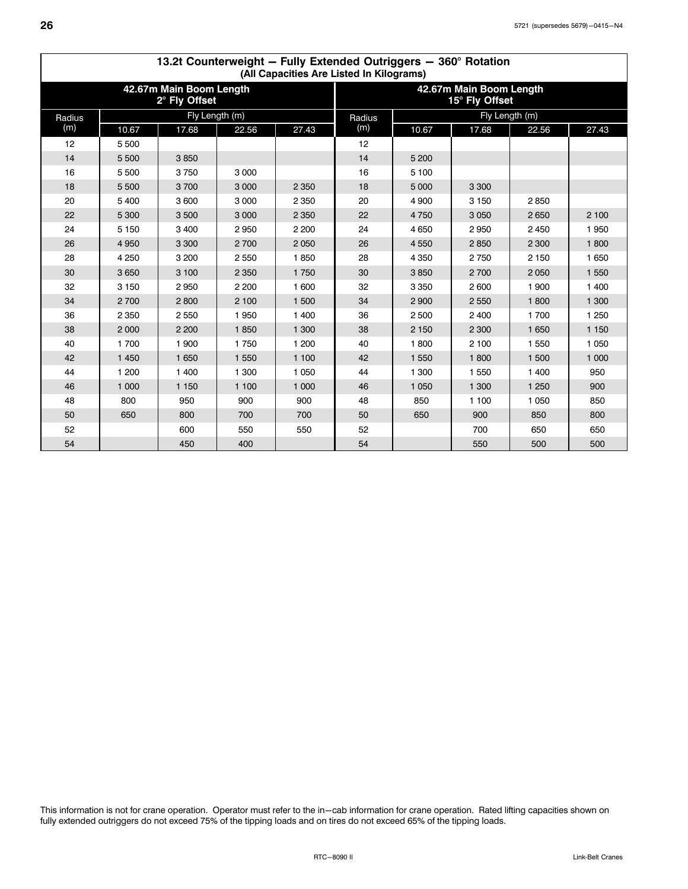|        | 13.2t Counterweight - Fully Extended Outriggers - 360° Rotation<br>(All Capacities Are Listed In Kilograms) |                                          |         |         |        |         |                                           |         |         |  |  |  |  |
|--------|-------------------------------------------------------------------------------------------------------------|------------------------------------------|---------|---------|--------|---------|-------------------------------------------|---------|---------|--|--|--|--|
|        |                                                                                                             | 42.67m Main Boom Length<br>2° Fly Offset |         |         |        |         | 42.67m Main Boom Length<br>15° Fly Offset |         |         |  |  |  |  |
| Radius |                                                                                                             | Fly Length (m)                           |         |         | Radius |         | Fly Length (m)                            |         |         |  |  |  |  |
| (m)    | 10.67                                                                                                       | 17.68                                    | 22.56   | 27.43   | (m)    | 10.67   | 17.68                                     | 22.56   | 27.43   |  |  |  |  |
| 12     | 5 500                                                                                                       |                                          |         |         | 12     |         |                                           |         |         |  |  |  |  |
| 14     | 5 500                                                                                                       | 3850                                     |         |         | 14     | 5 200   |                                           |         |         |  |  |  |  |
| 16     | 5 500                                                                                                       | 3750                                     | 3 0 0 0 |         | 16     | 5 100   |                                           |         |         |  |  |  |  |
| 18     | 5 500                                                                                                       | 3700                                     | 3 0 0 0 | 2 3 5 0 | 18     | 5 0 0 0 | 3 3 0 0                                   |         |         |  |  |  |  |
| 20     | 5400                                                                                                        | 3600                                     | 3 0 0 0 | 2 3 5 0 | 20     | 4 9 0 0 | 3 1 5 0                                   | 2850    |         |  |  |  |  |
| 22     | 5 300                                                                                                       | 3 500                                    | 3 0 0 0 | 2 3 5 0 | 22     | 4750    | 3 0 5 0                                   | 2650    | 2 100   |  |  |  |  |
| 24     | 5 1 5 0                                                                                                     | 3 4 0 0                                  | 2950    | 2 2 0 0 | 24     | 4650    | 2950                                      | 2 4 5 0 | 1950    |  |  |  |  |
| 26     | 4 9 5 0                                                                                                     | 3 3 0 0                                  | 2700    | 2 0 5 0 | 26     | 4550    | 2850                                      | 2 3 0 0 | 1800    |  |  |  |  |
| 28     | 4 2 5 0                                                                                                     | 3 200                                    | 2550    | 1850    | 28     | 4 3 5 0 | 2750                                      | 2 1 5 0 | 1 650   |  |  |  |  |
| 30     | 3650                                                                                                        | 3 100                                    | 2 3 5 0 | 1750    | 30     | 3850    | 2 700                                     | 2 0 5 0 | 1 5 5 0 |  |  |  |  |
| 32     | 3 1 5 0                                                                                                     | 2950                                     | 2 2 0 0 | 1 600   | 32     | 3 3 5 0 | 2600                                      | 1 900   | 1 400   |  |  |  |  |
| 34     | 2700                                                                                                        | 2800                                     | 2 100   | 1 500   | 34     | 2900    | 2 5 5 0                                   | 1800    | 1 300   |  |  |  |  |
| 36     | 2 3 5 0                                                                                                     | 2 5 5 0                                  | 1950    | 1 400   | 36     | 2500    | 2 4 0 0                                   | 1 700   | 1 2 5 0 |  |  |  |  |
| 38     | 2000                                                                                                        | 2 2 0 0                                  | 1850    | 1 300   | 38     | 2 1 5 0 | 2 3 0 0                                   | 1 6 5 0 | 1 1 5 0 |  |  |  |  |
| 40     | 1700                                                                                                        | 1 900                                    | 1750    | 1 200   | 40     | 1800    | 2 100                                     | 1 5 5 0 | 1 0 5 0 |  |  |  |  |
| 42     | 1 4 5 0                                                                                                     | 1 650                                    | 1 5 5 0 | 1 100   | 42     | 1 5 5 0 | 1800                                      | 1 500   | 1 0 0 0 |  |  |  |  |
| 44     | 1 200                                                                                                       | 1 400                                    | 1 300   | 1 0 5 0 | 44     | 1 300   | 1 5 5 0                                   | 1 400   | 950     |  |  |  |  |
| 46     | 1 0 0 0                                                                                                     | 1 1 5 0                                  | 1 100   | 1 0 0 0 | 46     | 1 0 5 0 | 1 300                                     | 1 2 5 0 | 900     |  |  |  |  |
| 48     | 800                                                                                                         | 950                                      | 900     | 900     | 48     | 850     | 1 100                                     | 1 0 5 0 | 850     |  |  |  |  |
| 50     | 650                                                                                                         | 800                                      | 700     | 700     | 50     | 650     | 900                                       | 850     | 800     |  |  |  |  |
| 52     |                                                                                                             | 600                                      | 550     | 550     | 52     |         | 700                                       | 650     | 650     |  |  |  |  |
| 54     |                                                                                                             | 450                                      | 400     |         | 54     |         | 550                                       | 500     | 500     |  |  |  |  |

### **13.2t Counterweight - Fully Extended Outriggers - 360° Rotation**

This information is not for crane operation. Operator must refer to the in-cab information for crane operation. Rated lifting capacities shown on fully extended outriggers do not exceed 75% of the tipping loads and on tires do not exceed 65% of the tipping loads.

<span id="page-29-0"></span> $\Gamma$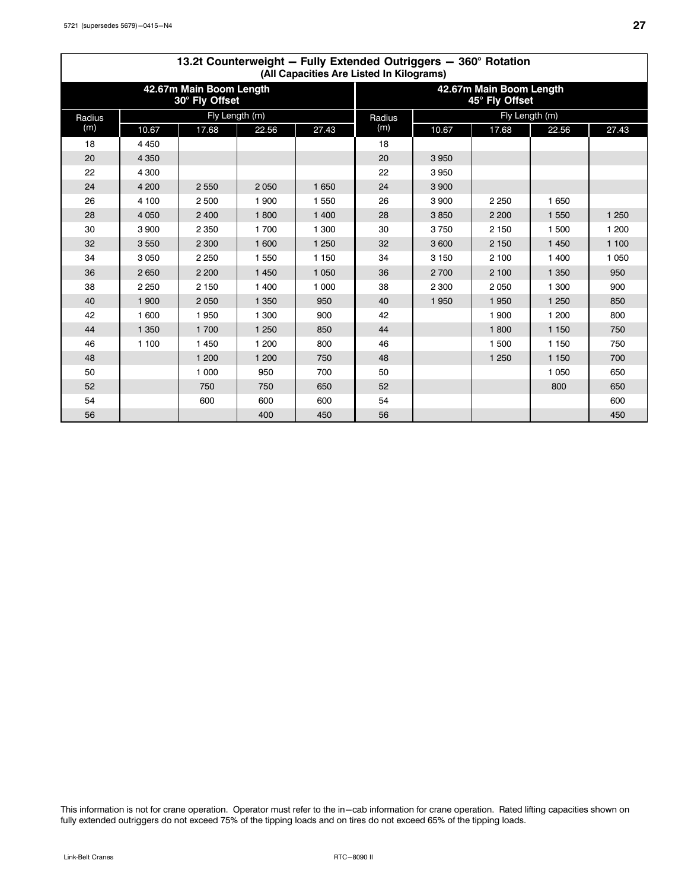Г

<span id="page-30-0"></span>

|        | 13.2t Counterweight - Fully Extended Outriggers - 360° Rotation<br>(All Capacities Are Listed In Kilograms) |                                           |         |         |        |         |                                           |         |         |  |  |  |  |
|--------|-------------------------------------------------------------------------------------------------------------|-------------------------------------------|---------|---------|--------|---------|-------------------------------------------|---------|---------|--|--|--|--|
|        |                                                                                                             | 42.67m Main Boom Length<br>30° Fly Offset |         |         |        |         | 42.67m Main Boom Length<br>45° Fly Offset |         |         |  |  |  |  |
| Radius |                                                                                                             | Fly Length (m)                            |         |         | Radius |         | Fly Length (m)                            |         |         |  |  |  |  |
| (m)    | 10.67                                                                                                       | 17.68                                     | 22.56   | 27.43   | (m)    | 10.67   | 17.68                                     | 22.56   | 27.43   |  |  |  |  |
| 18     | 4 4 5 0                                                                                                     |                                           |         |         | 18     |         |                                           |         |         |  |  |  |  |
| 20     | 4 3 5 0                                                                                                     |                                           |         |         | 20     | 3950    |                                           |         |         |  |  |  |  |
| 22     | 4 300                                                                                                       |                                           |         |         | 22     | 3950    |                                           |         |         |  |  |  |  |
| 24     | 4 200                                                                                                       | 2 5 5 0                                   | 2050    | 1 650   | 24     | 3 9 0 0 |                                           |         |         |  |  |  |  |
| 26     | 4 100                                                                                                       | 2 500                                     | 1 900   | 1 550   | 26     | 3 9 0 0 | 2 2 5 0                                   | 1 650   |         |  |  |  |  |
| 28     | 4 0 5 0                                                                                                     | 2 4 0 0                                   | 1800    | 1 400   | 28     | 3850    | 2 2 0 0                                   | 1 5 5 0 | 1 2 5 0 |  |  |  |  |
| 30     | 3 9 0 0                                                                                                     | 2 3 5 0                                   | 1700    | 1 300   | 30     | 3750    | 2 1 5 0                                   | 1 500   | 1 200   |  |  |  |  |
| 32     | 3550                                                                                                        | 2 3 0 0                                   | 1 600   | 1 2 5 0 | 32     | 3600    | 2 1 5 0                                   | 1 4 5 0 | 1 100   |  |  |  |  |
| 34     | 3050                                                                                                        | 2 2 5 0                                   | 1550    | 1 1 5 0 | 34     | 3 1 5 0 | 2 100                                     | 1 400   | 1 0 5 0 |  |  |  |  |
| 36     | 2650                                                                                                        | 2 2 0 0                                   | 1 4 5 0 | 1 0 5 0 | 36     | 2700    | 2 100                                     | 1 3 5 0 | 950     |  |  |  |  |
| 38     | 2 2 5 0                                                                                                     | 2 1 5 0                                   | 1 400   | 1 000   | 38     | 2 3 0 0 | 2 0 5 0                                   | 1 300   | 900     |  |  |  |  |
| 40     | 1 900                                                                                                       | 2 0 5 0                                   | 1 3 5 0 | 950     | 40     | 1950    | 1950                                      | 1 2 5 0 | 850     |  |  |  |  |
| 42     | 1600                                                                                                        | 1950                                      | 1 300   | 900     | 42     |         | 1 900                                     | 1 200   | 800     |  |  |  |  |
| 44     | 1 3 5 0                                                                                                     | 1 700                                     | 1 2 5 0 | 850     | 44     |         | 1800                                      | 1 1 5 0 | 750     |  |  |  |  |
| 46     | 1 100                                                                                                       | 1 4 5 0                                   | 1 200   | 800     | 46     |         | 1 500                                     | 1 1 5 0 | 750     |  |  |  |  |
| 48     |                                                                                                             | 1 200                                     | 1 200   | 750     | 48     |         | 1 2 5 0                                   | 1 1 5 0 | 700     |  |  |  |  |
| 50     |                                                                                                             | 1 000                                     | 950     | 700     | 50     |         |                                           | 1 0 5 0 | 650     |  |  |  |  |
| 52     |                                                                                                             | 750                                       | 750     | 650     | 52     |         |                                           | 800     | 650     |  |  |  |  |
| 54     |                                                                                                             | 600                                       | 600     | 600     | 54     |         |                                           |         | 600     |  |  |  |  |
| 56     |                                                                                                             |                                           | 400     | 450     | 56     |         |                                           |         | 450     |  |  |  |  |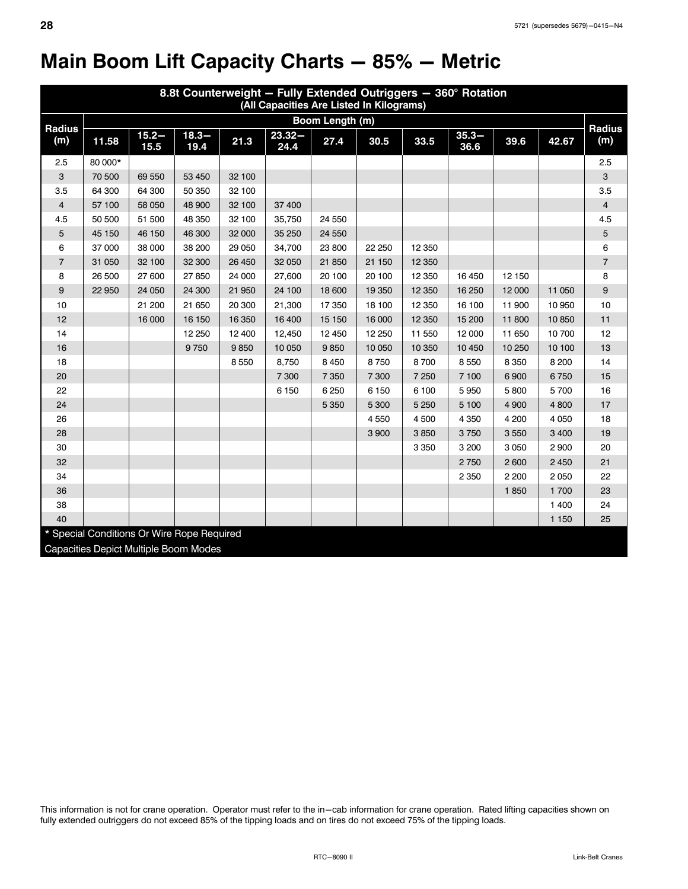<span id="page-31-0"></span>

|  | Main Boom Lift Capacity Charts - 85% - Metric |  |
|--|-----------------------------------------------|--|
|--|-----------------------------------------------|--|

|                      | 8.8t Counterweight - Fully Extended Outriggers - 360° Rotation<br>(All Capacities Are Listed In Kilograms) |                                              |                  |         |                   |                 |         |         |                  |         |         |                |
|----------------------|------------------------------------------------------------------------------------------------------------|----------------------------------------------|------------------|---------|-------------------|-----------------|---------|---------|------------------|---------|---------|----------------|
|                      |                                                                                                            |                                              |                  |         |                   | Boom Length (m) |         |         |                  |         |         |                |
| <b>Radius</b><br>(m) | 11.58                                                                                                      | $15.2 -$<br>15.5                             | $18.3 -$<br>19.4 | 21.3    | $23.32 -$<br>24.4 | 27.4            | 30.5    | 33.5    | $35.3 -$<br>36.6 | 39.6    | 42.67   | Radius<br>(m)  |
| 2.5                  | 80 000*                                                                                                    |                                              |                  |         |                   |                 |         |         |                  |         |         | 2.5            |
| 3                    | 70 500                                                                                                     | 69 550                                       | 53 450           | 32 100  |                   |                 |         |         |                  |         |         | 3              |
| 3.5                  | 64 300                                                                                                     | 64 300                                       | 50 350           | 32 100  |                   |                 |         |         |                  |         |         | 3.5            |
| $\overline{4}$       | 57 100                                                                                                     | 58 050                                       | 48 900           | 32 100  | 37 400            |                 |         |         |                  |         |         | $\overline{4}$ |
| 4.5                  | 50 500                                                                                                     | 51 500                                       | 48 350           | 32 100  | 35,750            | 24 550          |         |         |                  |         |         | 4.5            |
| 5                    | 45 150                                                                                                     | 46 150                                       | 46 300           | 32 000  | 35 250            | 24 550          |         |         |                  |         |         | 5              |
| 6                    | 37 000                                                                                                     | 38 000                                       | 38 200           | 29 050  | 34,700            | 23 800          | 22 250  | 12 3 50 |                  |         |         | 6              |
| $\overline{7}$       | 31 050                                                                                                     | 32 100                                       | 32 300           | 26 450  | 32 050            | 21 850          | 21 150  | 12 3 50 |                  |         |         | $\overline{7}$ |
| 8                    | 26 500                                                                                                     | 27 600                                       | 27850            | 24 000  | 27,600            | 20 100          | 20 100  | 12 3 50 | 16 450           | 12 150  |         | 8              |
| 9                    | 22 950                                                                                                     | 24 050                                       | 24 300           | 21 950  | 24 100            | 18 600          | 19 350  | 12 3 50 | 16 250           | 12 000  | 11 050  | 9              |
| 10                   |                                                                                                            | 21 200                                       | 21 650           | 20 300  | 21,300            | 17 350          | 18 100  | 12 350  | 16 100           | 11 900  | 10 950  | 10             |
| 12                   |                                                                                                            | 16 000                                       | 16 150           | 16 350  | 16 400            | 15 150          | 16 000  | 12 350  | 15 200           | 11 800  | 10850   | 11             |
| 14                   |                                                                                                            |                                              | 12 250           | 12 400  | 12,450            | 12 450          | 12 250  | 11 550  | 12 000           | 11 650  | 10700   | 12             |
| 16                   |                                                                                                            |                                              | 9750             | 9850    | 10 050            | 9850            | 10 050  | 10 350  | 10 450           | 10 250  | 10 100  | 13             |
| 18                   |                                                                                                            |                                              |                  | 8 5 5 0 | 8,750             | 8 4 5 0         | 8750    | 8700    | 8 5 5 0          | 8 3 5 0 | 8 2 0 0 | 14             |
| 20                   |                                                                                                            |                                              |                  |         | 7 300             | 7 3 5 0         | 7 300   | 7 2 5 0 | 7 100            | 6900    | 6750    | 15             |
| 22                   |                                                                                                            |                                              |                  |         | 6 1 5 0           | 6 2 5 0         | 6 1 5 0 | 6 100   | 5950             | 5800    | 5700    | 16             |
| 24                   |                                                                                                            |                                              |                  |         |                   | 5 3 5 0         | 5 300   | 5 2 5 0 | 5 100            | 4 9 0 0 | 4 800   | 17             |
| 26                   |                                                                                                            |                                              |                  |         |                   |                 | 4 5 5 0 | 4500    | 4 3 5 0          | 4 200   | 4 0 5 0 | 18             |
| 28                   |                                                                                                            |                                              |                  |         |                   |                 | 3 9 0 0 | 3850    | 3750             | 3550    | 3 4 0 0 | 19             |
| 30                   |                                                                                                            |                                              |                  |         |                   |                 |         | 3 3 5 0 | 3 200            | 3 0 5 0 | 2 9 0 0 | 20             |
| 32                   |                                                                                                            |                                              |                  |         |                   |                 |         |         | 2750             | 2600    | 2 4 5 0 | 21             |
| 34                   |                                                                                                            |                                              |                  |         |                   |                 |         |         | 2 3 5 0          | 2 2 0 0 | 2 0 5 0 | 22             |
| 36                   |                                                                                                            |                                              |                  |         |                   |                 |         |         |                  | 1850    | 1 700   | 23             |
| 38                   |                                                                                                            |                                              |                  |         |                   |                 |         |         |                  |         | 1 400   | 24             |
| 40                   |                                                                                                            |                                              |                  |         |                   |                 |         |         |                  |         | 1 1 5 0 | 25             |
|                      |                                                                                                            | * Special Conditions Or Wire Rope Required   |                  |         |                   |                 |         |         |                  |         |         |                |
|                      |                                                                                                            | <b>Capacities Depict Multiple Boom Modes</b> |                  |         |                   |                 |         |         |                  |         |         |                |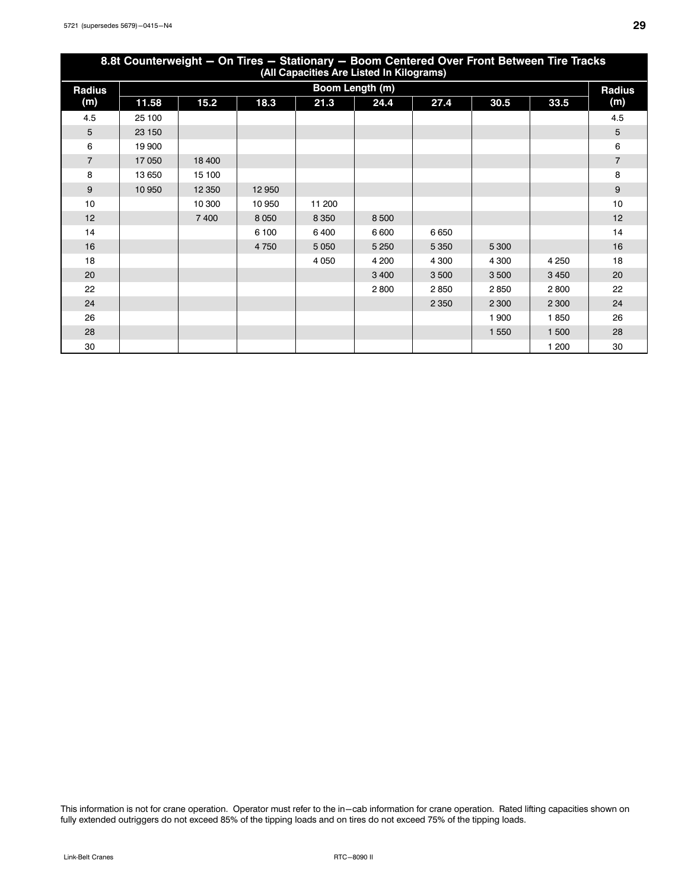<span id="page-32-0"></span>

| 8.8t Counterweight - On Tires - Stationary - Boom Centered Over Front Between Tire Tracks<br>(All Capacities Are Listed In Kilograms) |        |         |         |         |                 |         |         |         |                |  |  |  |
|---------------------------------------------------------------------------------------------------------------------------------------|--------|---------|---------|---------|-----------------|---------|---------|---------|----------------|--|--|--|
| Radius                                                                                                                                |        |         |         |         | Boom Length (m) |         |         |         | <b>Radius</b>  |  |  |  |
| (m)                                                                                                                                   | 11.58  | 15.2    | 18.3    | 21.3    | 24.4            | 27.4    | 30.5    | 33.5    | (m)            |  |  |  |
| 4.5                                                                                                                                   | 25 100 |         |         |         |                 |         |         |         | 4.5            |  |  |  |
| 5                                                                                                                                     | 23 150 |         |         |         |                 |         |         |         | 5              |  |  |  |
| 6                                                                                                                                     | 19 900 |         |         |         |                 |         |         |         | 6              |  |  |  |
| $\overline{7}$                                                                                                                        | 17 050 | 18 400  |         |         |                 |         |         |         | $\overline{7}$ |  |  |  |
| 8                                                                                                                                     | 13 650 | 15 100  |         |         |                 |         |         |         | 8              |  |  |  |
| 9                                                                                                                                     | 10 950 | 12 3 50 | 12 950  |         |                 |         |         |         | 9              |  |  |  |
| 10                                                                                                                                    |        | 10 300  | 10 950  | 11 200  |                 |         |         |         | 10             |  |  |  |
| 12                                                                                                                                    |        | 7 400   | 8 0 5 0 | 8 3 5 0 | 8 5 0 0         |         |         |         | 12             |  |  |  |
| 14                                                                                                                                    |        |         | 6 100   | 6400    | 6600            | 6650    |         |         | 14             |  |  |  |
| 16                                                                                                                                    |        |         | 4750    | 5 0 5 0 | 5 2 5 0         | 5 3 5 0 | 5 300   |         | 16             |  |  |  |
| 18                                                                                                                                    |        |         |         | 4 0 5 0 | 4 200           | 4 3 0 0 | 4 300   | 4 2 5 0 | 18             |  |  |  |
| 20                                                                                                                                    |        |         |         |         | 3 4 0 0         | 3500    | 3 500   | 3 4 5 0 | 20             |  |  |  |
| 22                                                                                                                                    |        |         |         |         | 2800            | 2850    | 2850    | 2800    | 22             |  |  |  |
| 24                                                                                                                                    |        |         |         |         |                 | 2 3 5 0 | 2 3 0 0 | 2 3 0 0 | 24             |  |  |  |
| 26                                                                                                                                    |        |         |         |         |                 |         | 1 900   | 1850    | 26             |  |  |  |
| 28                                                                                                                                    |        |         |         |         |                 |         | 1 5 5 0 | 1 500   | 28             |  |  |  |
| 30                                                                                                                                    |        |         |         |         |                 |         |         | 1 200   | 30             |  |  |  |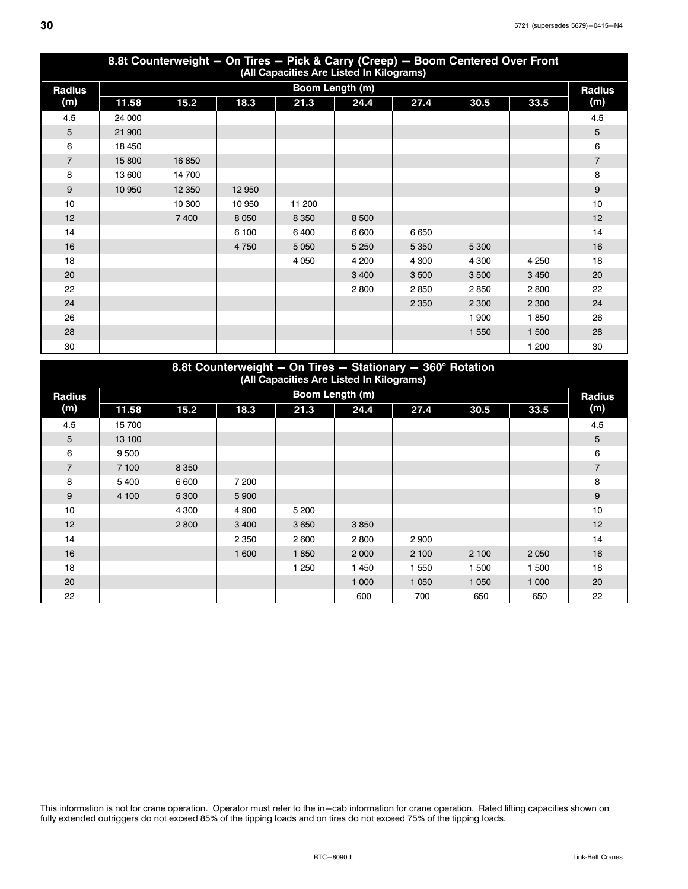<span id="page-33-0"></span>

| 8.8t Counterweight - On Tires - Pick & Carry (Creep) - Boom Centered Over Front<br>(All Capacities Are Listed In Kilograms) |        |         |         |         |                        |         |         |         |                |  |  |  |
|-----------------------------------------------------------------------------------------------------------------------------|--------|---------|---------|---------|------------------------|---------|---------|---------|----------------|--|--|--|
| <b>Radius</b>                                                                                                               |        |         |         |         | <b>Boom Length (m)</b> |         |         |         | Radius         |  |  |  |
| (m)                                                                                                                         | 11.58  | 15.2    | 18.3    | 21.3    | 24.4                   | 27.4    | 30.5    | 33.5    | (m)            |  |  |  |
| 4.5                                                                                                                         | 24 000 |         |         |         |                        |         |         |         | 4.5            |  |  |  |
| 5                                                                                                                           | 21 900 |         |         |         |                        |         |         |         | 5              |  |  |  |
| 6                                                                                                                           | 18 450 |         |         |         |                        |         |         |         | 6              |  |  |  |
| $\overline{7}$                                                                                                              | 15 800 | 16850   |         |         |                        |         |         |         | $\overline{7}$ |  |  |  |
| 8                                                                                                                           | 13 600 | 14700   |         |         |                        |         |         |         | 8              |  |  |  |
| 9                                                                                                                           | 10 950 | 12 3 50 | 12 950  |         |                        |         |         |         | 9              |  |  |  |
| 10                                                                                                                          |        | 10 300  | 10 950  | 11 200  |                        |         |         |         | 10             |  |  |  |
| 12                                                                                                                          |        | 7 400   | 8 0 5 0 | 8 3 5 0 | 8 5 0 0                |         |         |         | 12             |  |  |  |
| 14                                                                                                                          |        |         | 6 100   | 6400    | 6 600                  | 6650    |         |         | 14             |  |  |  |
| 16                                                                                                                          |        |         | 4750    | 5 0 5 0 | 5 2 5 0                | 5 3 5 0 | 5 300   |         | 16             |  |  |  |
| 18                                                                                                                          |        |         |         | 4 0 5 0 | 4 200                  | 4 3 0 0 | 4 300   | 4 2 5 0 | 18             |  |  |  |
| 20                                                                                                                          |        |         |         |         | 3 4 0 0                | 3500    | 3 500   | 3 4 5 0 | 20             |  |  |  |
| 22                                                                                                                          |        |         |         |         | 2800                   | 2850    | 2850    | 2800    | 22             |  |  |  |
| 24                                                                                                                          |        |         |         |         |                        | 2 3 5 0 | 2 3 0 0 | 2 3 0 0 | 24             |  |  |  |
| 26                                                                                                                          |        |         |         |         |                        |         | 1 900   | 1850    | 26             |  |  |  |
| 28                                                                                                                          |        |         |         |         |                        |         | 1 550   | 1 500   | 28             |  |  |  |
| 30                                                                                                                          |        |         |         |         |                        |         |         | 1 200   | 30             |  |  |  |

| 8.8t Counterweight - On Tires - Stationary - 360° Rotation<br>(All Capacities Are Listed In Kilograms) |        |         |         |         |                 |         |         |         |                |  |  |  |  |
|--------------------------------------------------------------------------------------------------------|--------|---------|---------|---------|-----------------|---------|---------|---------|----------------|--|--|--|--|
| <b>Radius</b>                                                                                          |        |         |         |         | Boom Length (m) |         |         |         | <b>Radius</b>  |  |  |  |  |
| (m)                                                                                                    | 11.58  | 15.2    | 18.3    | 21.3    | 24.4            | 27.4    | 30.5    | 33.5    | (m)            |  |  |  |  |
| 4.5                                                                                                    | 15700  |         |         |         |                 |         |         |         | 4.5            |  |  |  |  |
| 5                                                                                                      | 13 100 |         |         |         |                 |         |         |         | 5              |  |  |  |  |
| 6                                                                                                      | 9500   |         |         |         |                 |         |         |         | 6              |  |  |  |  |
| $\overline{7}$                                                                                         | 7 100  | 8 3 5 0 |         |         |                 |         |         |         | $\overline{7}$ |  |  |  |  |
| 8                                                                                                      | 5400   | 6 600   | 7 200   |         |                 |         |         |         | 8              |  |  |  |  |
| 9                                                                                                      | 4 100  | 5 300   | 5 9 0 0 |         |                 |         |         |         | 9              |  |  |  |  |
| 10                                                                                                     |        | 4 300   | 4 9 0 0 | 5 200   |                 |         |         |         | 10             |  |  |  |  |
| 12 <sup>2</sup>                                                                                        |        | 2800    | 3 4 0 0 | 3650    | 3850            |         |         |         | 12             |  |  |  |  |
| 14                                                                                                     |        |         | 2 3 5 0 | 2600    | 2800            | 2900    |         |         | 14             |  |  |  |  |
| 16                                                                                                     |        |         | 1 600   | 1850    | 2 0 0 0         | 2 100   | 2 100   | 2 0 5 0 | 16             |  |  |  |  |
| 18                                                                                                     |        |         |         | 1 2 5 0 | 1 4 5 0         | 1550    | 1 500   | 1 500   | 18             |  |  |  |  |
| 20                                                                                                     |        |         |         |         | 1 0 0 0         | 1 0 5 0 | 1 0 5 0 | 1 0 0 0 | 20             |  |  |  |  |
| 22                                                                                                     |        |         |         |         | 600             | 700     | 650     | 650     | 22             |  |  |  |  |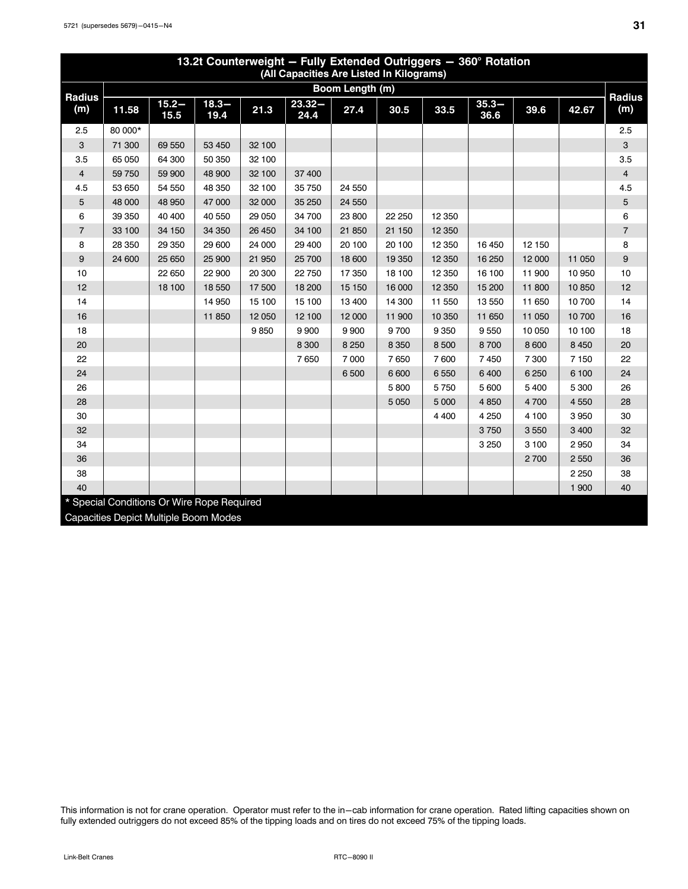<span id="page-34-0"></span>

| 13.2t Counterweight - Fully Extended Outriggers - 360° Rotation<br>(All Capacities Are Listed In Kilograms) |         |                                            |                  |        |                   |                 |         |         |                  |         |         |                      |
|-------------------------------------------------------------------------------------------------------------|---------|--------------------------------------------|------------------|--------|-------------------|-----------------|---------|---------|------------------|---------|---------|----------------------|
|                                                                                                             |         |                                            |                  |        |                   | Boom Length (m) |         |         |                  |         |         |                      |
| <b>Radius</b><br>(m)                                                                                        | 11.58   | $15.2 -$<br>15.5                           | $18.3 -$<br>19.4 | 21.3   | $23.32 -$<br>24.4 | 27.4            | 30.5    | 33.5    | $35.3 -$<br>36.6 | 39.6    | 42.67   | <b>Radius</b><br>(m) |
| 2.5                                                                                                         | 80 000* |                                            |                  |        |                   |                 |         |         |                  |         |         | 2.5                  |
| 3                                                                                                           | 71 300  | 69 550                                     | 53 450           | 32 100 |                   |                 |         |         |                  |         |         | 3                    |
| 3.5                                                                                                         | 65 050  | 64 300                                     | 50 350           | 32 100 |                   |                 |         |         |                  |         |         | 3.5                  |
| 4                                                                                                           | 59 750  | 59 900                                     | 48 900           | 32 100 | 37 400            |                 |         |         |                  |         |         | 4                    |
| 4.5                                                                                                         | 53 650  | 54 550                                     | 48 350           | 32 100 | 35 750            | 24 550          |         |         |                  |         |         | 4.5                  |
| 5                                                                                                           | 48 000  | 48 950                                     | 47 000           | 32 000 | 35 250            | 24 550          |         |         |                  |         |         | 5                    |
| 6                                                                                                           | 39 350  | 40 400                                     | 40 550           | 29 050 | 34 700            | 23 800          | 22 250  | 12 350  |                  |         |         | 6                    |
| $\overline{7}$                                                                                              | 33 100  | 34 150                                     | 34 350           | 26 450 | 34 100            | 21 850          | 21 150  | 12 3 50 |                  |         |         | $\overline{7}$       |
| 8                                                                                                           | 28 350  | 29 350                                     | 29 600           | 24 000 | 29 400            | 20 100          | 20 100  | 12 3 50 | 16 450           | 12 150  |         | 8                    |
| 9                                                                                                           | 24 600  | 25 650                                     | 25 900           | 21 950 | 25 700            | 18 600          | 19 350  | 12 3 50 | 16 250           | 12 000  | 11 050  | 9                    |
| 10                                                                                                          |         | 22 650                                     | 22 900           | 20 300 | 22750             | 17 350          | 18 100  | 12 350  | 16 100           | 11 900  | 10 950  | 10                   |
| 12                                                                                                          |         | 18 100                                     | 18 550           | 17 500 | 18 200            | 15 150          | 16 000  | 12 3 50 | 15 200           | 11 800  | 10850   | 12                   |
| 14                                                                                                          |         |                                            | 14 950           | 15 100 | 15 100            | 13 400          | 14 300  | 11 550  | 13 550           | 11 650  | 10700   | 14                   |
| 16                                                                                                          |         |                                            | 11850            | 12 050 | 12 100            | 12 000          | 11 900  | 10 350  | 11 650           | 11 050  | 10700   | 16                   |
| 18                                                                                                          |         |                                            |                  | 9850   | 9 9 0 0           | 9900            | 9700    | 9 3 5 0 | 9550             | 10 050  | 10 100  | 18                   |
| 20                                                                                                          |         |                                            |                  |        | 8 300             | 8 2 5 0         | 8 3 5 0 | 8500    | 8700             | 8 600   | 8 4 5 0 | 20                   |
| 22                                                                                                          |         |                                            |                  |        | 7650              | 7 0 0 0         | 7650    | 7600    | 7450             | 7 300   | 7 1 5 0 | 22                   |
| 24                                                                                                          |         |                                            |                  |        |                   | 6500            | 6 600   | 6550    | 6 4 0 0          | 6 2 5 0 | 6 100   | 24                   |
| 26                                                                                                          |         |                                            |                  |        |                   |                 | 5 800   | 5750    | 5 600            | 5 4 0 0 | 5 300   | 26                   |
| 28                                                                                                          |         |                                            |                  |        |                   |                 | 5 0 5 0 | 5 0 0 0 | 4 8 5 0          | 4700    | 4 5 5 0 | 28                   |
| 30                                                                                                          |         |                                            |                  |        |                   |                 |         | 4 4 0 0 | 4 2 5 0          | 4 100   | 3950    | 30                   |
| 32                                                                                                          |         |                                            |                  |        |                   |                 |         |         | 3750             | 3550    | 3 4 0 0 | 32                   |
| 34                                                                                                          |         |                                            |                  |        |                   |                 |         |         | 3 2 5 0          | 3 100   | 2950    | 34                   |
| 36                                                                                                          |         |                                            |                  |        |                   |                 |         |         |                  | 2700    | 2 5 5 0 | 36                   |
| 38                                                                                                          |         |                                            |                  |        |                   |                 |         |         |                  |         | 2 2 5 0 | 38                   |
| 40                                                                                                          |         |                                            |                  |        |                   |                 |         |         |                  |         | 1 900   | 40                   |
|                                                                                                             |         | * Special Conditions Or Wire Rope Required |                  |        |                   |                 |         |         |                  |         |         |                      |

Capacities Depict Multiple Boom Modes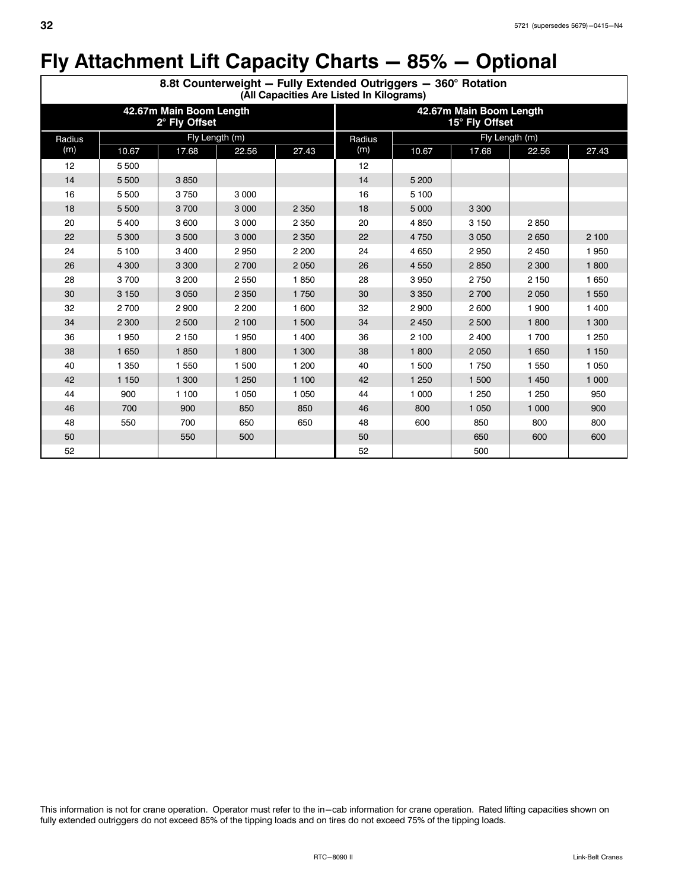### <span id="page-35-0"></span>**Fly Attachment Lift Capacity Charts - 85% - Optional**

|        |         |                                          |         | 8.8t Counterweight - Fully Extended Outriggers - 360° Rotation<br>(All Capacities Are Listed In Kilograms) |        |         |                                           |                |         |
|--------|---------|------------------------------------------|---------|------------------------------------------------------------------------------------------------------------|--------|---------|-------------------------------------------|----------------|---------|
|        |         | 42.67m Main Boom Length<br>2° Fly Offset |         |                                                                                                            |        |         | 42.67m Main Boom Length<br>15° Fly Offset |                |         |
| Radius |         | Fly Length $(m)$                         |         |                                                                                                            | Radius |         |                                           | Fly Length (m) |         |
| (m)    | 10.67   | 17.68                                    | 22.56   | 27.43                                                                                                      | (m)    | 10.67   | 17.68                                     | 22.56          | 27.43   |
| 12     | 5 5 0 0 |                                          |         |                                                                                                            | 12     |         |                                           |                |         |
| 14     | 5 500   | 3850                                     |         |                                                                                                            | 14     | 5 200   |                                           |                |         |
| 16     | 5 500   | 3750                                     | 3 0 0 0 |                                                                                                            | 16     | 5 100   |                                           |                |         |
| 18     | 5 500   | 3700                                     | 3 0 0 0 | 2 3 5 0                                                                                                    | 18     | 5 0 0 0 | 3 3 0 0                                   |                |         |
| 20     | 5400    | 3 600                                    | 3 0 0 0 | 2 3 5 0                                                                                                    | 20     | 4850    | 3 1 5 0                                   | 2850           |         |
| 22     | 5 3 0 0 | 3500                                     | 3 0 0 0 | 2 3 5 0                                                                                                    | 22     | 4750    | 3 0 5 0                                   | 2650           | 2 100   |
| 24     | 5 100   | 3 4 0 0                                  | 2950    | 2 2 0 0                                                                                                    | 24     | 4650    | 2950                                      | 2 4 5 0        | 1950    |
| 26     | 4 3 0 0 | 3 3 0 0                                  | 2 700   | 2050                                                                                                       | 26     | 4 5 5 0 | 2850                                      | 2 3 0 0        | 1800    |
| 28     | 3700    | 3 200                                    | 2 5 5 0 | 1850                                                                                                       | 28     | 3950    | 2750                                      | 2 1 5 0        | 1 650   |
| 30     | 3 1 5 0 | 3 0 5 0                                  | 2 3 5 0 | 1750                                                                                                       | 30     | 3 3 5 0 | 2700                                      | 2 0 5 0        | 1 550   |
| 32     | 2700    | 2 9 0 0                                  | 2 2 0 0 | 1 600                                                                                                      | 32     | 2900    | 2600                                      | 1 900          | 1 400   |
| 34     | 2 3 0 0 | 2 500                                    | 2 100   | 1 500                                                                                                      | 34     | 2 4 5 0 | 2 500                                     | 1800           | 1 300   |
| 36     | 1950    | 2 1 5 0                                  | 1 9 5 0 | 1 400                                                                                                      | 36     | 2 100   | 2 4 0 0                                   | 1700           | 1 2 5 0 |
| 38     | 1650    | 1850                                     | 1800    | 1 300                                                                                                      | 38     | 1800    | 2 0 5 0                                   | 1 6 5 0        | 1 1 5 0 |
| 40     | 1 3 5 0 | 1 550                                    | 1 500   | 1 200                                                                                                      | 40     | 1500    | 1750                                      | 1 5 5 0        | 1 0 5 0 |
| 42     | 1 1 5 0 | 1 300                                    | 1 250   | 1 100                                                                                                      | 42     | 1 2 5 0 | 1 500                                     | 1 4 5 0        | 1 000   |
| 44     | 900     | 1 100                                    | 1 0 5 0 | 1 0 5 0                                                                                                    | 44     | 1 0 0 0 | 1 250                                     | 1 250          | 950     |
| 46     | 700     | 900                                      | 850     | 850                                                                                                        | 46     | 800     | 1 0 5 0                                   | 1 000          | 900     |
| 48     | 550     | 700                                      | 650     | 650                                                                                                        | 48     | 600     | 850                                       | 800            | 800     |
| 50     |         | 550                                      | 500     |                                                                                                            | 50     |         | 650                                       | 600            | 600     |
| 52     |         |                                          |         |                                                                                                            | 52     |         | 500                                       |                |         |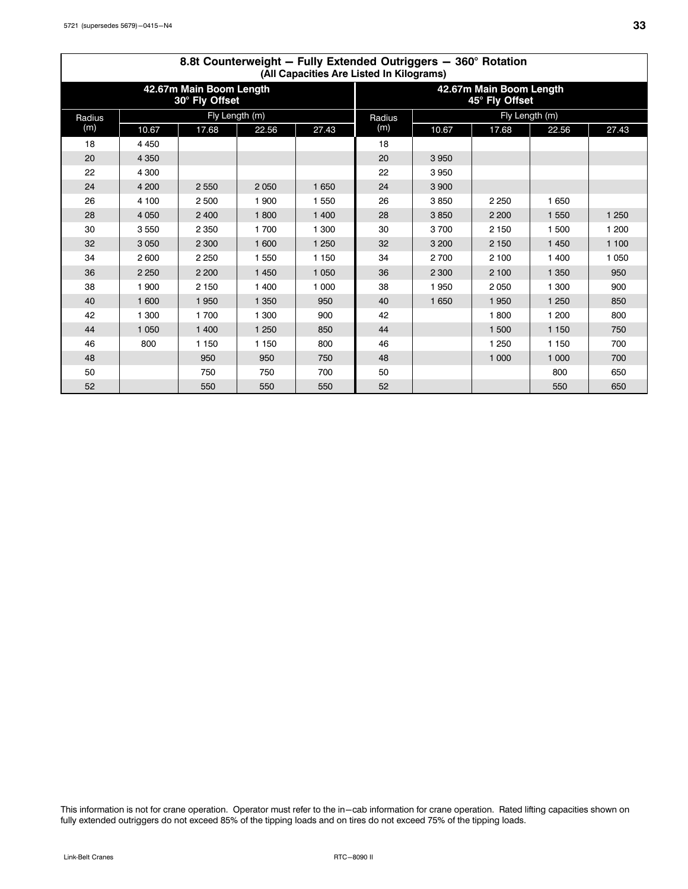<span id="page-36-0"></span>

|        | 8.8t Counterweight – Fully Extended Outriggers – 360° Rotation<br>(All Capacities Are Listed In Kilograms) |                                           |         |         |        |         |                                           |         |         |  |  |  |  |  |
|--------|------------------------------------------------------------------------------------------------------------|-------------------------------------------|---------|---------|--------|---------|-------------------------------------------|---------|---------|--|--|--|--|--|
|        |                                                                                                            | 42.67m Main Boom Length<br>30° Fly Offset |         |         |        |         | 42.67m Main Boom Length<br>45° Fly Offset |         |         |  |  |  |  |  |
| Radius |                                                                                                            | Fly Length (m)                            |         |         | Radius |         | Fly Length (m)                            |         |         |  |  |  |  |  |
| (m)    | 10.67                                                                                                      | 17.68                                     | 22.56   | 27.43   | (m)    | 10.67   | 17.68                                     | 22.56   | 27.43   |  |  |  |  |  |
| 18     | 4 4 5 0                                                                                                    |                                           |         |         | 18     |         |                                           |         |         |  |  |  |  |  |
| 20     | 4 3 5 0                                                                                                    |                                           |         |         | 20     | 3950    |                                           |         |         |  |  |  |  |  |
| 22     | 4 3 0 0                                                                                                    |                                           |         |         | 22     | 3950    |                                           |         |         |  |  |  |  |  |
| 24     | 4 200                                                                                                      | 2 5 5 0                                   | 2 0 5 0 | 1650    | 24     | 3 9 0 0 |                                           |         |         |  |  |  |  |  |
| 26     | 4 100                                                                                                      | 2 500                                     | 1 900   | 1 550   | 26     | 3850    | 2 2 5 0                                   | 1 650   |         |  |  |  |  |  |
| 28     | 4 0 5 0                                                                                                    | 2 4 0 0                                   | 1800    | 1 400   | 28     | 3850    | 2 2 0 0                                   | 1 550   | 1 250   |  |  |  |  |  |
| 30     | 3550                                                                                                       | 2 3 5 0                                   | 1700    | 1 300   | 30     | 3700    | 2 1 5 0                                   | 1 500   | 1 200   |  |  |  |  |  |
| 32     | 3 0 5 0                                                                                                    | 2 3 0 0                                   | 1 600   | 1 2 5 0 | 32     | 3 200   | 2 1 5 0                                   | 1 450   | 1 100   |  |  |  |  |  |
| 34     | 2600                                                                                                       | 2 2 5 0                                   | 1 550   | 1 1 5 0 | 34     | 2700    | 2 100                                     | 1 400   | 1 0 5 0 |  |  |  |  |  |
| 36     | 2 2 5 0                                                                                                    | 2 2 0 0                                   | 1 4 5 0 | 1 0 5 0 | 36     | 2 3 0 0 | 2 100                                     | 1 3 5 0 | 950     |  |  |  |  |  |
| 38     | 1900                                                                                                       | 2 1 5 0                                   | 1 400   | 1 0 0 0 | 38     | 1950    | 2050                                      | 1 300   | 900     |  |  |  |  |  |
| 40     | 1 600                                                                                                      | 1 9 5 0                                   | 1 350   | 950     | 40     | 1 6 5 0 | 1 9 5 0                                   | 1 2 5 0 | 850     |  |  |  |  |  |
| 42     | 1 300                                                                                                      | 1 700                                     | 1 300   | 900     | 42     |         | 1800                                      | 1 200   | 800     |  |  |  |  |  |
| 44     | 1 0 5 0                                                                                                    | 1 400                                     | 1 2 5 0 | 850     | 44     |         | 1 500                                     | 1 1 5 0 | 750     |  |  |  |  |  |
| 46     | 800                                                                                                        | 1 1 5 0                                   | 1 1 5 0 | 800     | 46     |         | 1 250                                     | 1 1 5 0 | 700     |  |  |  |  |  |
| 48     |                                                                                                            | 950                                       | 950     | 750     | 48     |         | 1 000                                     | 1 0 0 0 | 700     |  |  |  |  |  |
| 50     |                                                                                                            | 750                                       | 750     | 700     | 50     |         |                                           | 800     | 650     |  |  |  |  |  |
| 52     |                                                                                                            | 550                                       | 550     | 550     | 52     |         |                                           | 550     | 650     |  |  |  |  |  |

### 8.8t Counterweight **– Fully Extended Outriggers – 360° Rotatio**n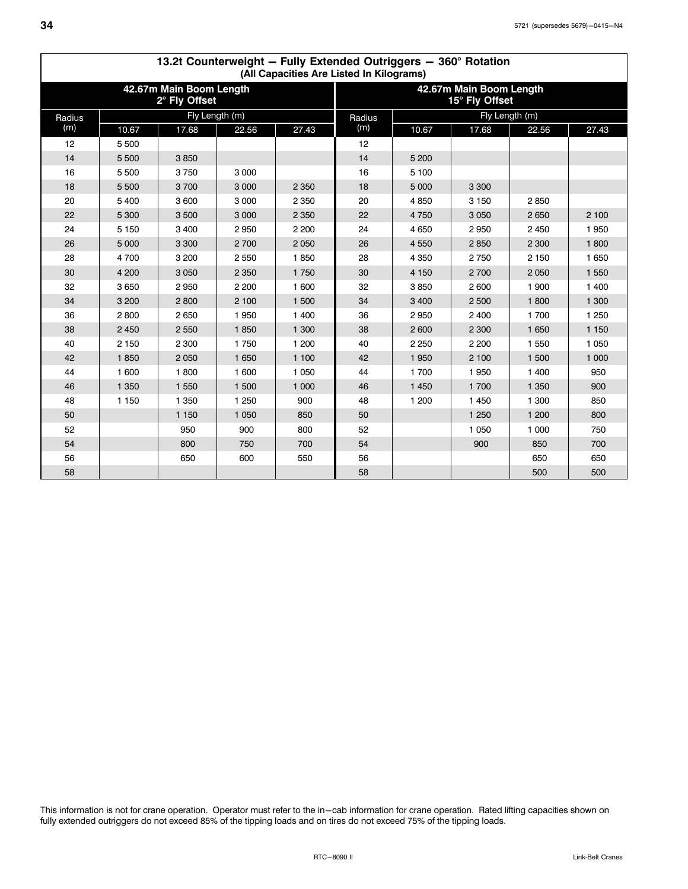| 13.2t Counterweight - Fully Extended Outriggers - 360° Rotation<br>(All Capacities Are Listed In Kilograms) |                |         |         |         |                                           |         |         |         |         |  |  |
|-------------------------------------------------------------------------------------------------------------|----------------|---------|---------|---------|-------------------------------------------|---------|---------|---------|---------|--|--|
| 42.67m Main Boom Length<br>2° Fly Offset                                                                    |                |         |         |         | 42.67m Main Boom Length<br>15° Fly Offset |         |         |         |         |  |  |
| Radius                                                                                                      | Fly Length (m) |         |         | Radius  | Fly Length (m)                            |         |         |         |         |  |  |
| (m)                                                                                                         | 10.67          | 17.68   | 22.56   | 27.43   | (m)                                       | 10.67   | 17.68   | 22.56   | 27.43   |  |  |
| 12                                                                                                          | 5 5 0 0        |         |         |         | 12                                        |         |         |         |         |  |  |
| 14                                                                                                          | 5 500          | 3850    |         |         | 14                                        | 5 200   |         |         |         |  |  |
| 16                                                                                                          | 5 500          | 3750    | 3 0 0 0 |         | 16                                        | 5 100   |         |         |         |  |  |
| 18                                                                                                          | 5 500          | 3700    | 3 0 0 0 | 2 3 5 0 | 18                                        | 5 0 0 0 | 3 3 0 0 |         |         |  |  |
| 20                                                                                                          | 5400           | 3600    | 3 0 0 0 | 2 3 5 0 | 20                                        | 4850    | 3 1 5 0 | 2850    |         |  |  |
| 22                                                                                                          | 5 3 0 0        | 3500    | 3 0 0 0 | 2 3 5 0 | 22                                        | 4750    | 3 0 5 0 | 2650    | 2 100   |  |  |
| 24                                                                                                          | 5 1 5 0        | 3 4 0 0 | 2950    | 2 2 0 0 | 24                                        | 4650    | 2950    | 2 4 5 0 | 1950    |  |  |
| 26                                                                                                          | 5 0 0 0        | 3 3 0 0 | 2 700   | 2050    | 26                                        | 4550    | 2850    | 2 3 0 0 | 1800    |  |  |
| 28                                                                                                          | 4700           | 3 200   | 2550    | 1850    | 28                                        | 4 3 5 0 | 2750    | 2 1 5 0 | 1 650   |  |  |
| 30                                                                                                          | 4 200          | 3 0 5 0 | 2 3 5 0 | 1750    | 30                                        | 4 1 5 0 | 2700    | 2 0 5 0 | 1 550   |  |  |
| 32                                                                                                          | 3650           | 2950    | 2 2 0 0 | 1 600   | 32                                        | 3850    | 2600    | 1 900   | 1 400   |  |  |
| 34                                                                                                          | 3 200          | 2800    | 2 100   | 1 500   | 34                                        | 3 4 0 0 | 2 500   | 1800    | 1 300   |  |  |
| 36                                                                                                          | 2800           | 2650    | 1 950   | 1 400   | 36                                        | 2950    | 2 4 0 0 | 1700    | 1 2 5 0 |  |  |
| 38                                                                                                          | 2 4 5 0        | 2 5 5 0 | 1850    | 1 300   | 38                                        | 2600    | 2 3 0 0 | 1 650   | 1 1 5 0 |  |  |
| 40                                                                                                          | 2 1 5 0        | 2 3 0 0 | 1750    | 1 200   | 40                                        | 2 2 5 0 | 2 2 0 0 | 1 5 5 0 | 1 0 5 0 |  |  |
| 42                                                                                                          | 1850           | 2 0 5 0 | 1 650   | 1 100   | 42                                        | 1950    | 2 100   | 1 500   | 1 000   |  |  |
| 44                                                                                                          | 1 600          | 1800    | 1 600   | 1 0 5 0 | 44                                        | 1700    | 1950    | 1 400   | 950     |  |  |
| 46                                                                                                          | 1 3 5 0        | 1 550   | 1 500   | 1 0 0 0 | 46                                        | 1 4 5 0 | 1 700   | 1 3 5 0 | 900     |  |  |
| 48                                                                                                          | 1 1 5 0        | 1 3 5 0 | 1 2 5 0 | 900     | 48                                        | 1 200   | 1 4 5 0 | 1 300   | 850     |  |  |
| 50                                                                                                          |                | 1 1 5 0 | 1 0 5 0 | 850     | 50                                        |         | 1 2 5 0 | 1 200   | 800     |  |  |
| 52                                                                                                          |                | 950     | 900     | 800     | 52                                        |         | 1 0 5 0 | 1 000   | 750     |  |  |
| 54                                                                                                          |                | 800     | 750     | 700     | 54                                        |         | 900     | 850     | 700     |  |  |
| 56                                                                                                          |                | 650     | 600     | 550     | 56                                        |         |         | 650     | 650     |  |  |
| 58                                                                                                          |                |         |         |         | 58                                        |         |         | 500     | 500     |  |  |

<span id="page-37-0"></span> $\Gamma$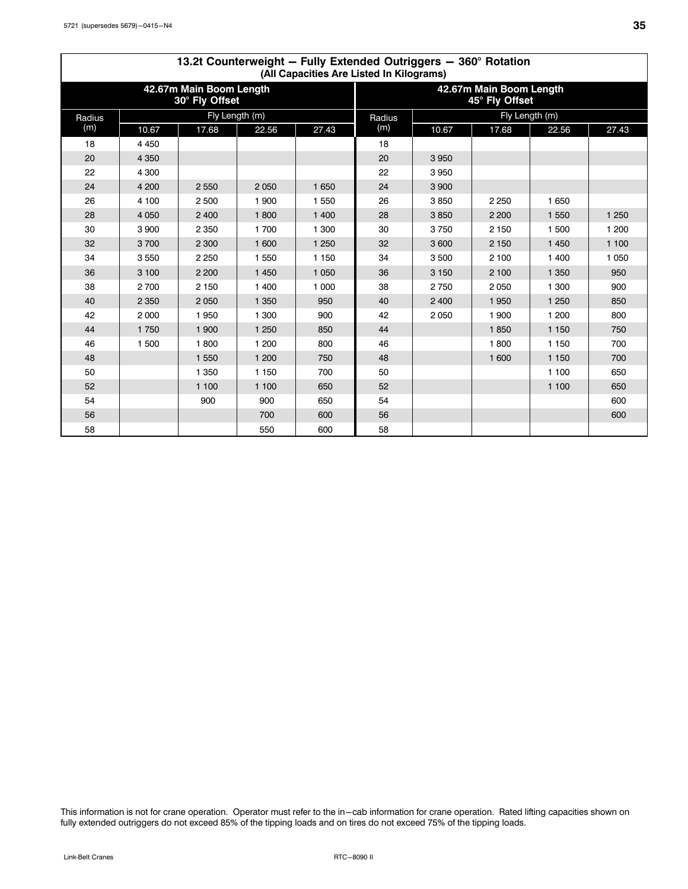<span id="page-38-0"></span>Г

| 13.2t Counterweight - Fully Extended Outriggers - 360° Rotation<br>(All Capacities Are Listed In Kilograms) |                |         |         |         |                                           |         |         |         |         |  |  |
|-------------------------------------------------------------------------------------------------------------|----------------|---------|---------|---------|-------------------------------------------|---------|---------|---------|---------|--|--|
| 42.67m Main Boom Length<br>30° Fly Offset                                                                   |                |         |         |         | 42.67m Main Boom Length<br>45° Fly Offset |         |         |         |         |  |  |
| Radius                                                                                                      | Fly Length (m) |         |         | Radius  | Fly Length (m)                            |         |         |         |         |  |  |
| (m)                                                                                                         | 10.67          | 17.68   | 22.56   | 27.43   | (m)                                       | 10.67   | 17.68   | 22.56   | 27.43   |  |  |
| 18                                                                                                          | 4 4 5 0        |         |         |         | 18                                        |         |         |         |         |  |  |
| 20                                                                                                          | 4 3 5 0        |         |         |         | 20                                        | 3950    |         |         |         |  |  |
| 22                                                                                                          | 4 3 0 0        |         |         |         | 22                                        | 3950    |         |         |         |  |  |
| 24                                                                                                          | 4 200          | 2 5 5 0 | 2 0 5 0 | 1 650   | 24                                        | 3 9 0 0 |         |         |         |  |  |
| 26                                                                                                          | 4 100          | 2 500   | 1 900   | 1 5 5 0 | 26                                        | 3850    | 2 2 5 0 | 1650    |         |  |  |
| 28                                                                                                          | 4 0 5 0        | 2 4 0 0 | 1800    | 1 400   | 28                                        | 3850    | 2 2 0 0 | 1 5 5 0 | 1 2 5 0 |  |  |
| 30                                                                                                          | 3 9 0 0        | 2 3 5 0 | 1700    | 1 300   | 30                                        | 3750    | 2 1 5 0 | 1 500   | 1 200   |  |  |
| 32                                                                                                          | 3700           | 2 3 0 0 | 1 600   | 1 2 5 0 | 32                                        | 3600    | 2 1 5 0 | 1 4 5 0 | 1 100   |  |  |
| 34                                                                                                          | 3550           | 2 2 5 0 | 1 5 5 0 | 1 1 5 0 | 34                                        | 3500    | 2 100   | 1 400   | 1 0 5 0 |  |  |
| 36                                                                                                          | 3 100          | 2 2 0 0 | 1 4 5 0 | 1 0 5 0 | 36                                        | 3 1 5 0 | 2 100   | 1 3 5 0 | 950     |  |  |
| 38                                                                                                          | 2700           | 2 1 5 0 | 1 400   | 1 0 0 0 | 38                                        | 2750    | 2 0 5 0 | 1 300   | 900     |  |  |
| 40                                                                                                          | 2 3 5 0        | 2 0 5 0 | 1 3 5 0 | 950     | 40                                        | 2 4 0 0 | 1 9 5 0 | 1 2 5 0 | 850     |  |  |
| 42                                                                                                          | 2000           | 1950    | 1 300   | 900     | 42                                        | 2050    | 1 900   | 1 200   | 800     |  |  |
| 44                                                                                                          | 1750           | 1 900   | 1 2 5 0 | 850     | 44                                        |         | 1850    | 1 1 5 0 | 750     |  |  |
| 46                                                                                                          | 1500           | 1800    | 1 200   | 800     | 46                                        |         | 1800    | 1 1 5 0 | 700     |  |  |
| 48                                                                                                          |                | 1 550   | 1 200   | 750     | 48                                        |         | 1 600   | 1 1 5 0 | 700     |  |  |
| 50                                                                                                          |                | 1 3 5 0 | 1 1 5 0 | 700     | 50                                        |         |         | 1 100   | 650     |  |  |
| 52                                                                                                          |                | 1 100   | 1 100   | 650     | 52                                        |         |         | 1 100   | 650     |  |  |
| 54                                                                                                          |                | 900     | 900     | 650     | 54                                        |         |         |         | 600     |  |  |
| 56                                                                                                          |                |         | 700     | 600     | 56                                        |         |         |         | 600     |  |  |
| 58                                                                                                          |                |         | 550     | 600     | 58                                        |         |         |         |         |  |  |